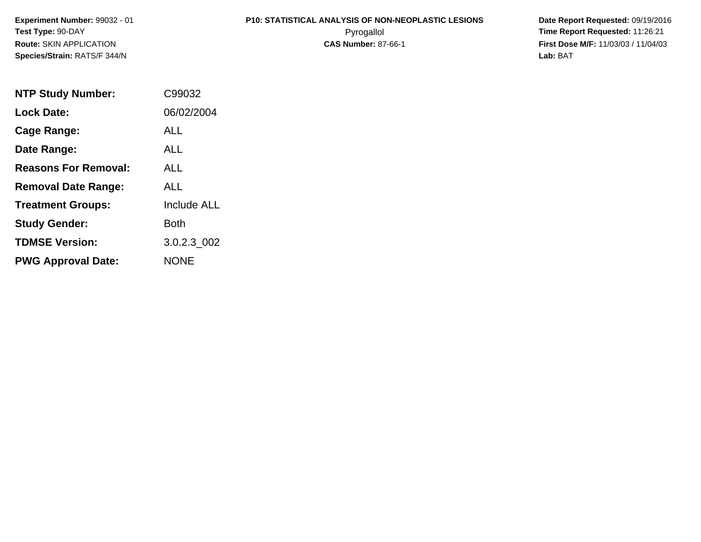**Experiment Number:** 99032 - 01**Test Type:** 90-DAY**Route:** SKIN APPLICATION**Species/Strain:** RATS/F 344/N

# **P10: STATISTICAL ANALYSIS OF NON-NEOPLASTIC LESIONS**

 **Date Report Requested:** 09/19/2016 Pyrogallol **Time Report Requested:** 11:26:21 **First Dose M/F:** 11/03/03 / 11/04/03<br>**Lab:** BAT **Lab:** BAT

| <b>NTP Study Number:</b>    | C99032      |
|-----------------------------|-------------|
| <b>Lock Date:</b>           | 06/02/2004  |
| Cage Range:                 | ALL         |
| Date Range:                 | ALL.        |
| <b>Reasons For Removal:</b> | ALL         |
| <b>Removal Date Range:</b>  | ALL         |
| <b>Treatment Groups:</b>    | Include ALL |
| <b>Study Gender:</b>        | Both        |
| <b>TDMSE Version:</b>       | 3.0.2.3_002 |
| <b>PWG Approval Date:</b>   | <b>NONE</b> |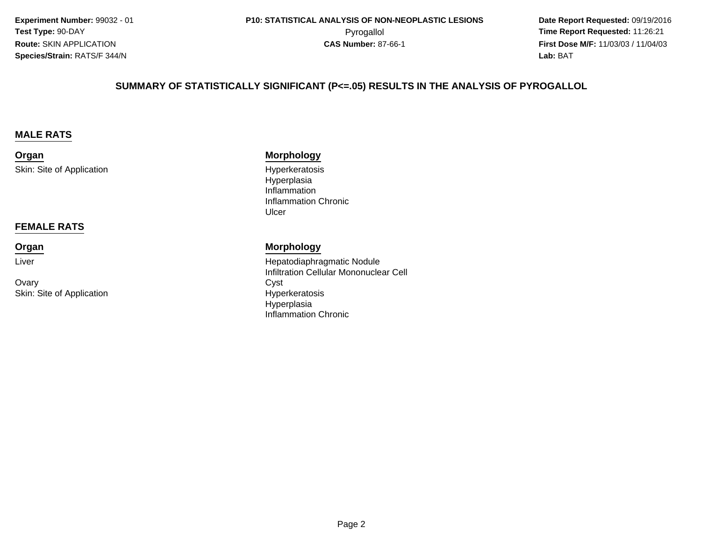**Experiment Number:** 99032 - 01**Test Type:** 90-DAY**Route:** SKIN APPLICATION**Species/Strain:** RATS/F 344/N

 **Date Report Requested:** 09/19/2016 **First Dose M/F:** 11/03/03 / 11/04/03<br>**Lab:** BAT **Lab:** BAT

#### **SUMMARY OF STATISTICALLY SIGNIFICANT (P<=.05) RESULTS IN THE ANALYSIS OF PYROGALLOL**

#### **MALE RATS**

**Organ**Skin: Site of Application

#### **FEMALE RATS**

#### **Organ**

Liver

Ovaryy Cyst Skin: Site of Application

#### **Morphology**

 Hyperkeratosis Hyperplasia Inflammation Inflammation ChronicUlcer

#### **Morphology**

 Hepatodiaphragmatic Nodule Infiltration Cellular Mononuclear Cell Hyperkeratosis HyperplasiaInflammation Chronic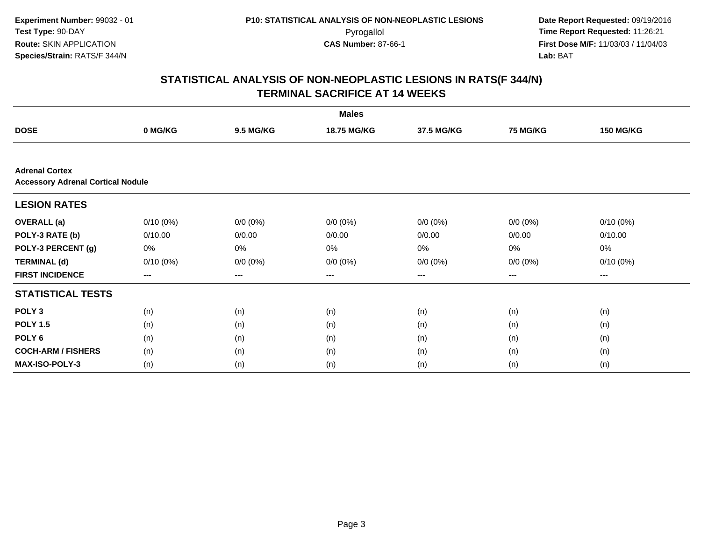**Experiment Number:** 99032 - 01**Test Type:** 90-DAY**Route:** SKIN APPLICATION**Species/Strain:** RATS/F 344/N

 **Date Report Requested:** 09/19/2016 Pyrogallol **Time Report Requested:** 11:26:21 **First Dose M/F:** 11/03/03 / 11/04/03<br>**Lab:** BAT **Lab:** BAT

|                                                                   |             |                  | <b>Males</b> |             |                 |                  |
|-------------------------------------------------------------------|-------------|------------------|--------------|-------------|-----------------|------------------|
| <b>DOSE</b>                                                       | 0 MG/KG     | <b>9.5 MG/KG</b> | 18.75 MG/KG  | 37.5 MG/KG  | <b>75 MG/KG</b> | <b>150 MG/KG</b> |
|                                                                   |             |                  |              |             |                 |                  |
| <b>Adrenal Cortex</b><br><b>Accessory Adrenal Cortical Nodule</b> |             |                  |              |             |                 |                  |
| <b>LESION RATES</b>                                               |             |                  |              |             |                 |                  |
| <b>OVERALL</b> (a)                                                | $0/10(0\%)$ | $0/0 (0\%)$      | $0/0 (0\%)$  | $0/0 (0\%)$ | $0/0 (0\%)$     | $0/10(0\%)$      |
| POLY-3 RATE (b)                                                   | 0/10.00     | 0/0.00           | 0/0.00       | 0/0.00      | 0/0.00          | 0/10.00          |
| POLY-3 PERCENT (g)                                                | 0%          | 0%               | 0%           | 0%          | 0%              | 0%               |
| <b>TERMINAL (d)</b>                                               | $0/10(0\%)$ | $0/0 (0\%)$      | $0/0 (0\%)$  | $0/0 (0\%)$ | $0/0 (0\%)$     | $0/10(0\%)$      |
| <b>FIRST INCIDENCE</b>                                            | ---         | $---$            | ---          | $---$       | ---             | ---              |
| <b>STATISTICAL TESTS</b>                                          |             |                  |              |             |                 |                  |
| POLY <sub>3</sub>                                                 | (n)         | (n)              | (n)          | (n)         | (n)             | (n)              |
| <b>POLY 1.5</b>                                                   | (n)         | (n)              | (n)          | (n)         | (n)             | (n)              |
| POLY <sub>6</sub>                                                 | (n)         | (n)              | (n)          | (n)         | (n)             | (n)              |
| <b>COCH-ARM / FISHERS</b>                                         | (n)         | (n)              | (n)          | (n)         | (n)             | (n)              |
| <b>MAX-ISO-POLY-3</b>                                             | (n)         | (n)              | (n)          | (n)         | (n)             | (n)              |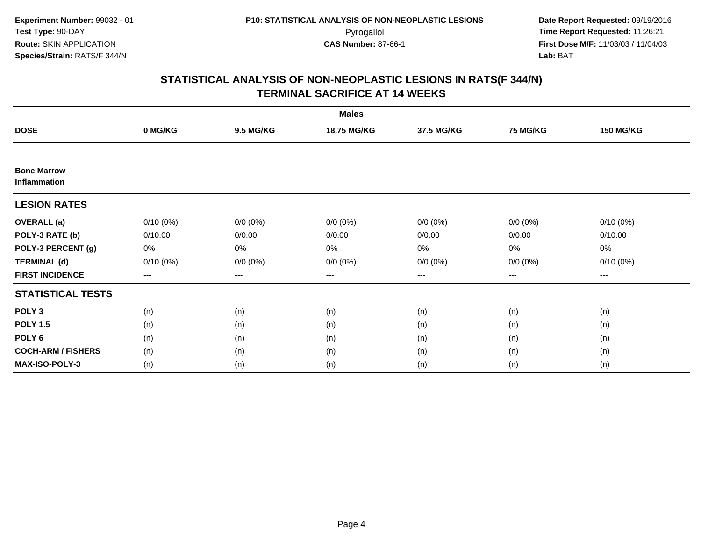|                                    |                                          |                  | <b>Males</b>       |             |                 |                  |
|------------------------------------|------------------------------------------|------------------|--------------------|-------------|-----------------|------------------|
| <b>DOSE</b>                        | 0 MG/KG                                  | <b>9.5 MG/KG</b> | <b>18.75 MG/KG</b> | 37.5 MG/KG  | <b>75 MG/KG</b> | <b>150 MG/KG</b> |
|                                    |                                          |                  |                    |             |                 |                  |
| <b>Bone Marrow</b><br>Inflammation |                                          |                  |                    |             |                 |                  |
| <b>LESION RATES</b>                |                                          |                  |                    |             |                 |                  |
| <b>OVERALL</b> (a)                 | $0/10(0\%)$                              | $0/0 (0\%)$      | $0/0 (0\%)$        | $0/0 (0\%)$ | $0/0 (0\%)$     | $0/10(0\%)$      |
| POLY-3 RATE (b)                    | 0/10.00                                  | 0/0.00           | 0/0.00             | 0/0.00      | 0/0.00          | 0/10.00          |
| POLY-3 PERCENT (g)                 | 0%                                       | 0%               | 0%                 | 0%          | 0%              | 0%               |
| <b>TERMINAL (d)</b>                | $0/10(0\%)$                              | $0/0 (0\%)$      | $0/0 (0\%)$        | $0/0 (0\%)$ | $0/0 (0\%)$     | $0/10(0\%)$      |
| <b>FIRST INCIDENCE</b>             | $\hspace{0.05cm} \ldots \hspace{0.05cm}$ | $\cdots$         | $\cdots$           | $\cdots$    | $\cdots$        | ---              |
| <b>STATISTICAL TESTS</b>           |                                          |                  |                    |             |                 |                  |
| POLY <sub>3</sub>                  | (n)                                      | (n)              | (n)                | (n)         | (n)             | (n)              |
| <b>POLY 1.5</b>                    | (n)                                      | (n)              | (n)                | (n)         | (n)             | (n)              |
| POLY <sub>6</sub>                  | (n)                                      | (n)              | (n)                | (n)         | (n)             | (n)              |
| <b>COCH-ARM / FISHERS</b>          | (n)                                      | (n)              | (n)                | (n)         | (n)             | (n)              |
| <b>MAX-ISO-POLY-3</b>              | (n)                                      | (n)              | (n)                | (n)         | (n)             | (n)              |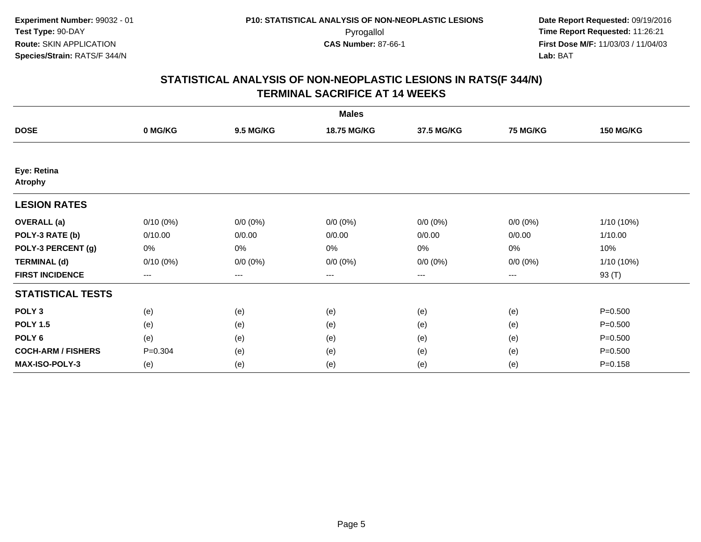|                               |                        |                  | <b>Males</b>       |                   |                 |                  |
|-------------------------------|------------------------|------------------|--------------------|-------------------|-----------------|------------------|
| <b>DOSE</b>                   | 0 MG/KG                | <b>9.5 MG/KG</b> | <b>18.75 MG/KG</b> | 37.5 MG/KG        | <b>75 MG/KG</b> | <b>150 MG/KG</b> |
|                               |                        |                  |                    |                   |                 |                  |
| Eye: Retina<br><b>Atrophy</b> |                        |                  |                    |                   |                 |                  |
| <b>LESION RATES</b>           |                        |                  |                    |                   |                 |                  |
| <b>OVERALL</b> (a)            | $0/10(0\%)$            | $0/0 (0\%)$      | $0/0 (0\%)$        | $0/0 (0\%)$       | $0/0 (0\%)$     | 1/10 (10%)       |
| POLY-3 RATE (b)               | 0/10.00                | 0/0.00           | 0/0.00             | 0/0.00            | 0/0.00          | 1/10.00          |
| POLY-3 PERCENT (g)            | 0%                     | 0%               | 0%                 | 0%                | $0\%$           | 10%              |
| <b>TERMINAL (d)</b>           | $0/10(0\%)$            | $0/0 (0\%)$      | $0/0 (0\%)$        | $0/0 (0\%)$       | $0/0 (0\%)$     | 1/10 (10%)       |
| <b>FIRST INCIDENCE</b>        | $\qquad \qquad \cdots$ | $---$            | ---                | $\qquad \qquad -$ | $---$           | 93 (T)           |
| <b>STATISTICAL TESTS</b>      |                        |                  |                    |                   |                 |                  |
| POLY <sub>3</sub>             | (e)                    | (e)              | (e)                | (e)               | (e)             | $P = 0.500$      |
| <b>POLY 1.5</b>               | (e)                    | (e)              | (e)                | (e)               | (e)             | $P = 0.500$      |
| POLY <sub>6</sub>             | (e)                    | (e)              | (e)                | (e)               | (e)             | $P = 0.500$      |
| <b>COCH-ARM / FISHERS</b>     | $P = 0.304$            | (e)              | (e)                | (e)               | (e)             | $P = 0.500$      |
| MAX-ISO-POLY-3                | (e)                    | (e)              | (e)                | (e)               | (e)             | $P = 0.158$      |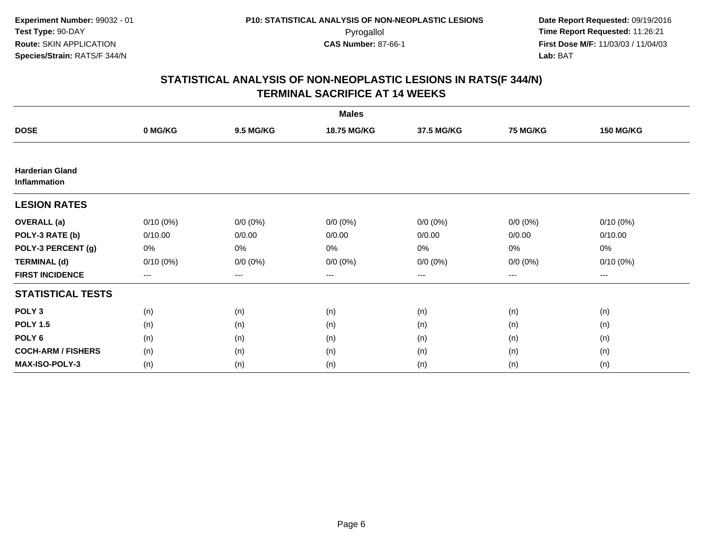|                                        |                        |                  | <b>Males</b> |                   |                 |                  |
|----------------------------------------|------------------------|------------------|--------------|-------------------|-----------------|------------------|
| <b>DOSE</b>                            | 0 MG/KG                | <b>9.5 MG/KG</b> | 18.75 MG/KG  | 37.5 MG/KG        | <b>75 MG/KG</b> | <b>150 MG/KG</b> |
|                                        |                        |                  |              |                   |                 |                  |
| <b>Harderian Gland</b><br>Inflammation |                        |                  |              |                   |                 |                  |
| <b>LESION RATES</b>                    |                        |                  |              |                   |                 |                  |
| <b>OVERALL</b> (a)                     | $0/10(0\%)$            | $0/0 (0\%)$      | $0/0 (0\%)$  | $0/0 (0\%)$       | $0/0 (0\%)$     | $0/10(0\%)$      |
| POLY-3 RATE (b)                        | 0/10.00                | 0/0.00           | 0/0.00       | 0/0.00            | 0/0.00          | 0/10.00          |
| POLY-3 PERCENT (g)                     | 0%                     | 0%               | 0%           | 0%                | $0\%$           | 0%               |
| <b>TERMINAL (d)</b>                    | $0/10(0\%)$            | $0/0 (0\%)$      | $0/0 (0\%)$  | $0/0 (0\%)$       | $0/0 (0\%)$     | $0/10(0\%)$      |
| <b>FIRST INCIDENCE</b>                 | $\qquad \qquad \cdots$ | $---$            | ---          | $\qquad \qquad -$ | $---$           | $---$            |
| <b>STATISTICAL TESTS</b>               |                        |                  |              |                   |                 |                  |
| POLY <sub>3</sub>                      | (n)                    | (n)              | (n)          | (n)               | (n)             | (n)              |
| <b>POLY 1.5</b>                        | (n)                    | (n)              | (n)          | (n)               | (n)             | (n)              |
| POLY <sub>6</sub>                      | (n)                    | (n)              | (n)          | (n)               | (n)             | (n)              |
| <b>COCH-ARM / FISHERS</b>              | (n)                    | (n)              | (n)          | (n)               | (n)             | (n)              |
| <b>MAX-ISO-POLY-3</b>                  | (n)                    | (n)              | (n)          | (n)               | (n)             | (n)              |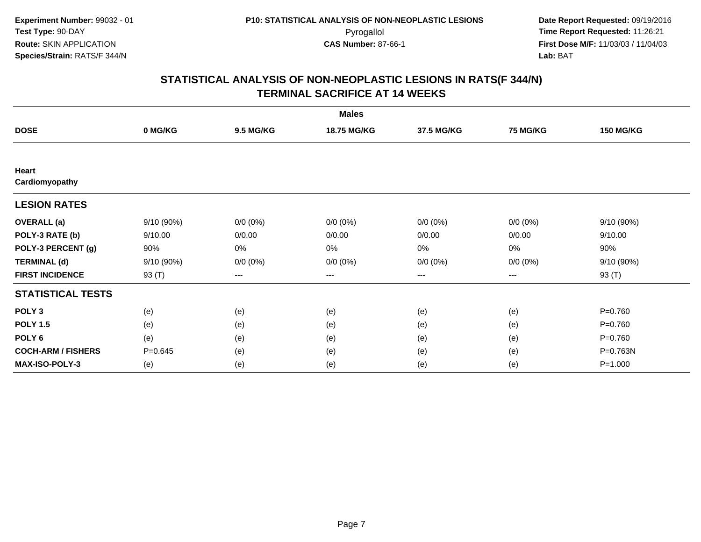|                           |             |                  | <b>Males</b> |                   |                 |                  |
|---------------------------|-------------|------------------|--------------|-------------------|-----------------|------------------|
| <b>DOSE</b>               | 0 MG/KG     | <b>9.5 MG/KG</b> | 18.75 MG/KG  | 37.5 MG/KG        | <b>75 MG/KG</b> | <b>150 MG/KG</b> |
|                           |             |                  |              |                   |                 |                  |
| Heart<br>Cardiomyopathy   |             |                  |              |                   |                 |                  |
| <b>LESION RATES</b>       |             |                  |              |                   |                 |                  |
| <b>OVERALL</b> (a)        | 9/10 (90%)  | $0/0 (0\%)$      | $0/0 (0\%)$  | $0/0 (0\%)$       | $0/0 (0\%)$     | 9/10 (90%)       |
| POLY-3 RATE (b)           | 9/10.00     | 0/0.00           | 0/0.00       | 0/0.00            | 0/0.00          | 9/10.00          |
| POLY-3 PERCENT (g)        | 90%         | 0%               | 0%           | 0%                | 0%              | 90%              |
| <b>TERMINAL (d)</b>       | 9/10(90%)   | $0/0 (0\%)$      | $0/0 (0\%)$  | $0/0 (0\%)$       | $0/0 (0\%)$     | 9/10 (90%)       |
| <b>FIRST INCIDENCE</b>    | 93 (T)      | $---$            | ---          | $\qquad \qquad -$ | $---$           | 93 (T)           |
| <b>STATISTICAL TESTS</b>  |             |                  |              |                   |                 |                  |
| POLY <sub>3</sub>         | (e)         | (e)              | (e)          | (e)               | (e)             | $P = 0.760$      |
| <b>POLY 1.5</b>           | (e)         | (e)              | (e)          | (e)               | (e)             | $P = 0.760$      |
| POLY <sub>6</sub>         | (e)         | (e)              | (e)          | (e)               | (e)             | $P = 0.760$      |
| <b>COCH-ARM / FISHERS</b> | $P = 0.645$ | (e)              | (e)          | (e)               | (e)             | P=0.763N         |
| <b>MAX-ISO-POLY-3</b>     | (e)         | (e)              | (e)          | (e)               | (e)             | $P = 1.000$      |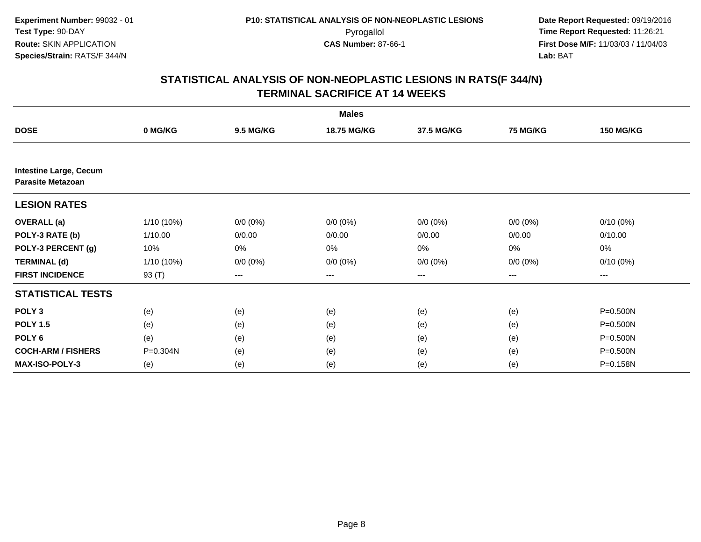|                                                           |              |                  | <b>Males</b> |                   |                 |                  |
|-----------------------------------------------------------|--------------|------------------|--------------|-------------------|-----------------|------------------|
| <b>DOSE</b>                                               | 0 MG/KG      | <b>9.5 MG/KG</b> | 18.75 MG/KG  | 37.5 MG/KG        | <b>75 MG/KG</b> | <b>150 MG/KG</b> |
|                                                           |              |                  |              |                   |                 |                  |
| <b>Intestine Large, Cecum</b><br><b>Parasite Metazoan</b> |              |                  |              |                   |                 |                  |
| <b>LESION RATES</b>                                       |              |                  |              |                   |                 |                  |
| <b>OVERALL</b> (a)                                        | $1/10(10\%)$ | $0/0 (0\%)$      | $0/0 (0\%)$  | $0/0 (0\%)$       | $0/0 (0\%)$     | $0/10(0\%)$      |
| POLY-3 RATE (b)                                           | 1/10.00      | 0/0.00           | 0/0.00       | 0/0.00            | 0/0.00          | 0/10.00          |
| POLY-3 PERCENT (g)                                        | 10%          | 0%               | 0%           | 0%                | $0\%$           | $0\%$            |
| <b>TERMINAL (d)</b>                                       | $1/10(10\%)$ | $0/0 (0\%)$      | $0/0 (0\%)$  | $0/0 (0\%)$       | $0/0 (0\%)$     | $0/10(0\%)$      |
| <b>FIRST INCIDENCE</b>                                    | 93 (T)       | $---$            | $---$        | $\qquad \qquad -$ | $---$           | ---              |
| <b>STATISTICAL TESTS</b>                                  |              |                  |              |                   |                 |                  |
| POLY <sub>3</sub>                                         | (e)          | (e)              | (e)          | (e)               | (e)             | P=0.500N         |
| <b>POLY 1.5</b>                                           | (e)          | (e)              | (e)          | (e)               | (e)             | P=0.500N         |
| POLY <sub>6</sub>                                         | (e)          | (e)              | (e)          | (e)               | (e)             | P=0.500N         |
| <b>COCH-ARM / FISHERS</b>                                 | P=0.304N     | (e)              | (e)          | (e)               | (e)             | P=0.500N         |
| MAX-ISO-POLY-3                                            | (e)          | (e)              | (e)          | (e)               | (e)             | P=0.158N         |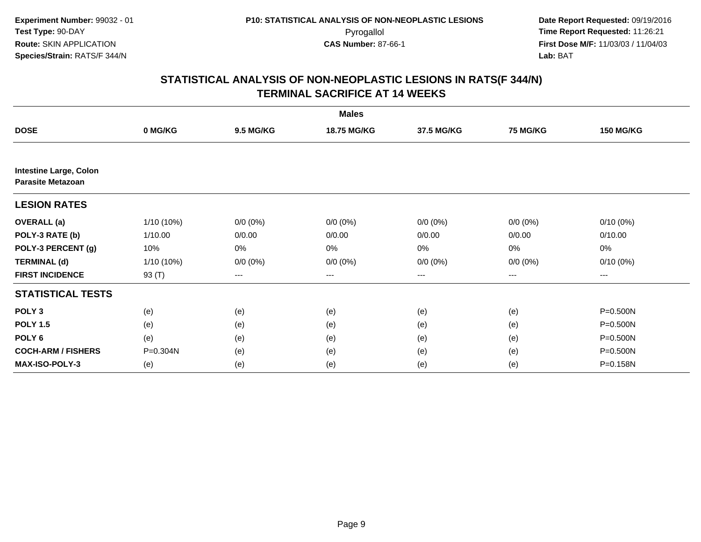|                                                           |              |                  | <b>Males</b> |                   |                 |                  |
|-----------------------------------------------------------|--------------|------------------|--------------|-------------------|-----------------|------------------|
| <b>DOSE</b>                                               | 0 MG/KG      | <b>9.5 MG/KG</b> | 18.75 MG/KG  | 37.5 MG/KG        | <b>75 MG/KG</b> | <b>150 MG/KG</b> |
|                                                           |              |                  |              |                   |                 |                  |
| <b>Intestine Large, Colon</b><br><b>Parasite Metazoan</b> |              |                  |              |                   |                 |                  |
| <b>LESION RATES</b>                                       |              |                  |              |                   |                 |                  |
| <b>OVERALL</b> (a)                                        | $1/10(10\%)$ | $0/0 (0\%)$      | $0/0 (0\%)$  | $0/0 (0\%)$       | $0/0 (0\%)$     | $0/10(0\%)$      |
| POLY-3 RATE (b)                                           | 1/10.00      | 0/0.00           | 0/0.00       | 0/0.00            | 0/0.00          | 0/10.00          |
| POLY-3 PERCENT (g)                                        | 10%          | 0%               | 0%           | 0%                | $0\%$           | $0\%$            |
| <b>TERMINAL (d)</b>                                       | $1/10(10\%)$ | $0/0 (0\%)$      | $0/0 (0\%)$  | $0/0 (0\%)$       | $0/0 (0\%)$     | $0/10(0\%)$      |
| <b>FIRST INCIDENCE</b>                                    | 93 (T)       | $---$            | $---$        | $\qquad \qquad -$ | $---$           | ---              |
| <b>STATISTICAL TESTS</b>                                  |              |                  |              |                   |                 |                  |
| POLY <sub>3</sub>                                         | (e)          | (e)              | (e)          | (e)               | (e)             | P=0.500N         |
| <b>POLY 1.5</b>                                           | (e)          | (e)              | (e)          | (e)               | (e)             | P=0.500N         |
| POLY <sub>6</sub>                                         | (e)          | (e)              | (e)          | (e)               | (e)             | P=0.500N         |
| <b>COCH-ARM / FISHERS</b>                                 | P=0.304N     | (e)              | (e)          | (e)               | (e)             | P=0.500N         |
| MAX-ISO-POLY-3                                            | (e)          | (e)              | (e)          | (e)               | (e)             | P=0.158N         |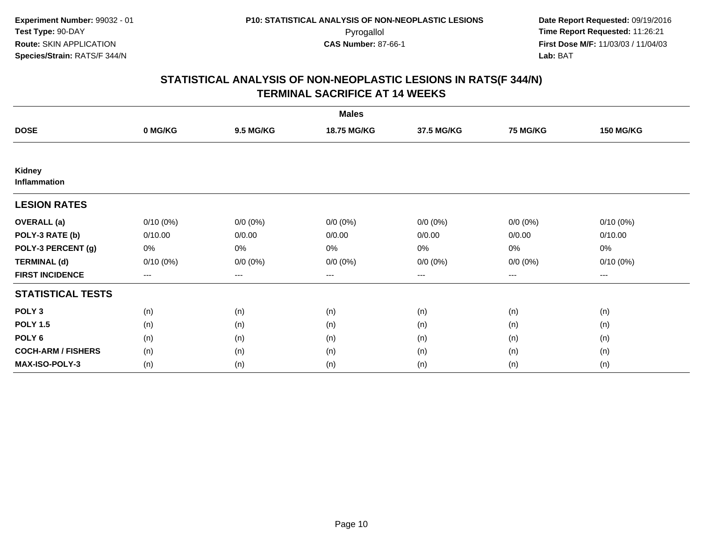|                           |                        |                  | <b>Males</b> |                   |                 |                  |
|---------------------------|------------------------|------------------|--------------|-------------------|-----------------|------------------|
| <b>DOSE</b>               | 0 MG/KG                | <b>9.5 MG/KG</b> | 18.75 MG/KG  | 37.5 MG/KG        | <b>75 MG/KG</b> | <b>150 MG/KG</b> |
|                           |                        |                  |              |                   |                 |                  |
| Kidney<br>Inflammation    |                        |                  |              |                   |                 |                  |
| <b>LESION RATES</b>       |                        |                  |              |                   |                 |                  |
| <b>OVERALL</b> (a)        | $0/10(0\%)$            | $0/0 (0\%)$      | $0/0 (0\%)$  | $0/0 (0\%)$       | $0/0 (0\%)$     | $0/10(0\%)$      |
| POLY-3 RATE (b)           | 0/10.00                | 0/0.00           | 0/0.00       | 0/0.00            | 0/0.00          | 0/10.00          |
| POLY-3 PERCENT (g)        | 0%                     | 0%               | 0%           | 0%                | 0%              | 0%               |
| <b>TERMINAL (d)</b>       | $0/10(0\%)$            | $0/0 (0\%)$      | $0/0 (0\%)$  | $0/0 (0\%)$       | $0/0 (0\%)$     | $0/10(0\%)$      |
| <b>FIRST INCIDENCE</b>    | $\qquad \qquad \cdots$ | $---$            | ---          | $\qquad \qquad -$ | $---$           | $---$            |
| <b>STATISTICAL TESTS</b>  |                        |                  |              |                   |                 |                  |
| POLY <sub>3</sub>         | (n)                    | (n)              | (n)          | (n)               | (n)             | (n)              |
| <b>POLY 1.5</b>           | (n)                    | (n)              | (n)          | (n)               | (n)             | (n)              |
| POLY <sub>6</sub>         | (n)                    | (n)              | (n)          | (n)               | (n)             | (n)              |
| <b>COCH-ARM / FISHERS</b> | (n)                    | (n)              | (n)          | (n)               | (n)             | (n)              |
| MAX-ISO-POLY-3            | (n)                    | (n)              | (n)          | (n)               | (n)             | (n)              |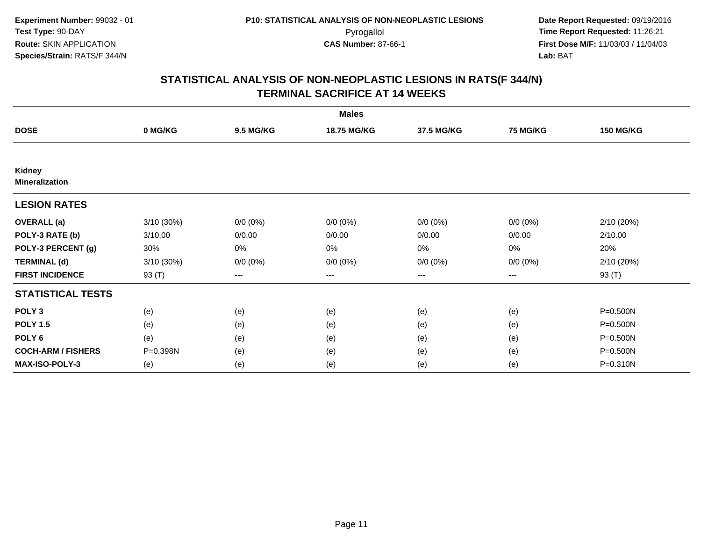|                                        |            |                  | <b>Males</b>       |             |                 |                  |
|----------------------------------------|------------|------------------|--------------------|-------------|-----------------|------------------|
| <b>DOSE</b>                            | 0 MG/KG    | <b>9.5 MG/KG</b> | <b>18.75 MG/KG</b> | 37.5 MG/KG  | <b>75 MG/KG</b> | <b>150 MG/KG</b> |
|                                        |            |                  |                    |             |                 |                  |
| <b>Kidney</b><br><b>Mineralization</b> |            |                  |                    |             |                 |                  |
| <b>LESION RATES</b>                    |            |                  |                    |             |                 |                  |
| <b>OVERALL</b> (a)                     | 3/10(30%)  | $0/0 (0\%)$      | $0/0 (0\%)$        | $0/0 (0\%)$ | $0/0 (0\%)$     | 2/10(20%)        |
| POLY-3 RATE (b)                        | 3/10.00    | 0/0.00           | 0/0.00             | 0/0.00      | 0/0.00          | 2/10.00          |
| POLY-3 PERCENT (g)                     | 30%        | 0%               | 0%                 | 0%          | 0%              | 20%              |
| <b>TERMINAL (d)</b>                    | 3/10 (30%) | $0/0 (0\%)$      | $0/0 (0\%)$        | $0/0 (0\%)$ | $0/0 (0\%)$     | 2/10(20%)        |
| <b>FIRST INCIDENCE</b>                 | 93 (T)     | ---              | $--$               | ---         | $--$            | 93 (T)           |
| <b>STATISTICAL TESTS</b>               |            |                  |                    |             |                 |                  |
| POLY <sub>3</sub>                      | (e)        | (e)              | (e)                | (e)         | (e)             | P=0.500N         |
| <b>POLY 1.5</b>                        | (e)        | (e)              | (e)                | (e)         | (e)             | P=0.500N         |
| POLY <sub>6</sub>                      | (e)        | (e)              | (e)                | (e)         | (e)             | P=0.500N         |
| <b>COCH-ARM / FISHERS</b>              | P=0.398N   | (e)              | (e)                | (e)         | (e)             | P=0.500N         |
| <b>MAX-ISO-POLY-3</b>                  | (e)        | (e)              | (e)                | (e)         | (e)             | P=0.310N         |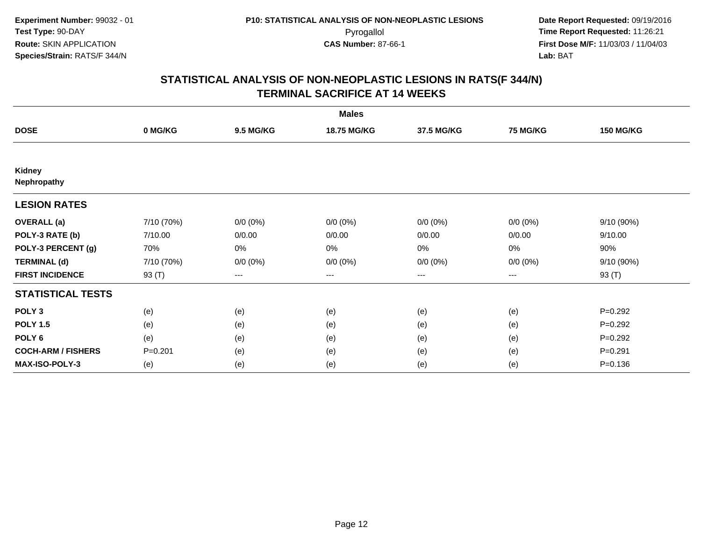|                           |             |                  | <b>Males</b> |             |                 |                  |
|---------------------------|-------------|------------------|--------------|-------------|-----------------|------------------|
| <b>DOSE</b>               | 0 MG/KG     | <b>9.5 MG/KG</b> | 18.75 MG/KG  | 37.5 MG/KG  | <b>75 MG/KG</b> | <b>150 MG/KG</b> |
|                           |             |                  |              |             |                 |                  |
| Kidney<br>Nephropathy     |             |                  |              |             |                 |                  |
| <b>LESION RATES</b>       |             |                  |              |             |                 |                  |
| <b>OVERALL</b> (a)        | 7/10 (70%)  | $0/0 (0\%)$      | $0/0 (0\%)$  | $0/0 (0\%)$ | $0/0 (0\%)$     | 9/10 (90%)       |
| POLY-3 RATE (b)           | 7/10.00     | 0/0.00           | 0/0.00       | 0/0.00      | 0/0.00          | 9/10.00          |
| POLY-3 PERCENT (g)        | 70%         | 0%               | 0%           | 0%          | $0\%$           | 90%              |
| <b>TERMINAL (d)</b>       | 7/10 (70%)  | $0/0 (0\%)$      | $0/0 (0\%)$  | $0/0 (0\%)$ | $0/0 (0\%)$     | 9/10 (90%)       |
| <b>FIRST INCIDENCE</b>    | 93 (T)      | ---              | ---          | $--$        | ---             | 93 (T)           |
| <b>STATISTICAL TESTS</b>  |             |                  |              |             |                 |                  |
| POLY <sub>3</sub>         | (e)         | (e)              | (e)          | (e)         | (e)             | $P=0.292$        |
| <b>POLY 1.5</b>           | (e)         | (e)              | (e)          | (e)         | (e)             | $P=0.292$        |
| POLY <sub>6</sub>         | (e)         | (e)              | (e)          | (e)         | (e)             | $P=0.292$        |
| <b>COCH-ARM / FISHERS</b> | $P = 0.201$ | (e)              | (e)          | (e)         | (e)             | $P=0.291$        |
| <b>MAX-ISO-POLY-3</b>     | (e)         | (e)              | (e)          | (e)         | (e)             | $P = 0.136$      |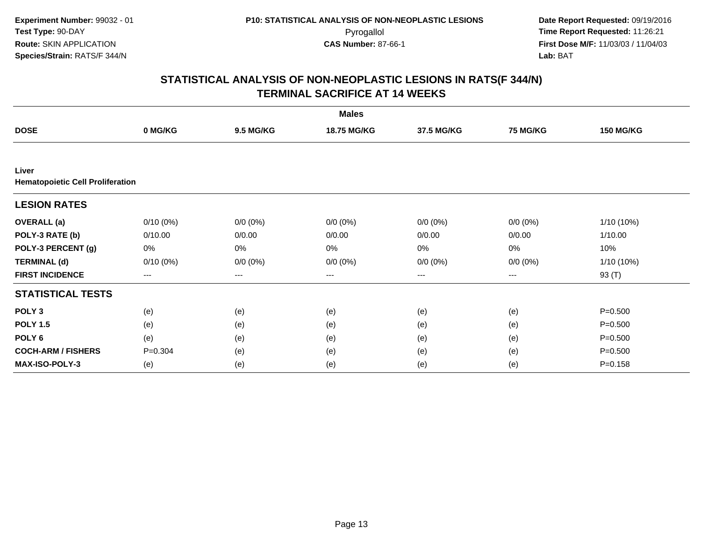|                                                  |             |                  | <b>Males</b> |             |             |                  |
|--------------------------------------------------|-------------|------------------|--------------|-------------|-------------|------------------|
| <b>DOSE</b>                                      | 0 MG/KG     | <b>9.5 MG/KG</b> | 18.75 MG/KG  | 37.5 MG/KG  | 75 MG/KG    | <b>150 MG/KG</b> |
|                                                  |             |                  |              |             |             |                  |
| Liver<br><b>Hematopoietic Cell Proliferation</b> |             |                  |              |             |             |                  |
| <b>LESION RATES</b>                              |             |                  |              |             |             |                  |
| <b>OVERALL</b> (a)                               | $0/10(0\%)$ | $0/0 (0\%)$      | $0/0 (0\%)$  | $0/0 (0\%)$ | $0/0 (0\%)$ | 1/10 (10%)       |
| POLY-3 RATE (b)                                  | 0/10.00     | 0/0.00           | 0/0.00       | 0/0.00      | 0/0.00      | 1/10.00          |
| POLY-3 PERCENT (g)                               | 0%          | 0%               | 0%           | 0%          | 0%          | 10%              |
| <b>TERMINAL (d)</b>                              | $0/10(0\%)$ | $0/0 (0\%)$      | $0/0 (0\%)$  | $0/0 (0\%)$ | $0/0 (0\%)$ | 1/10 (10%)       |
| <b>FIRST INCIDENCE</b>                           | $---$       | ---              | ---          | $\cdots$    | ---         | 93 (T)           |
| <b>STATISTICAL TESTS</b>                         |             |                  |              |             |             |                  |
| POLY <sub>3</sub>                                | (e)         | (e)              | (e)          | (e)         | (e)         | $P = 0.500$      |
| <b>POLY 1.5</b>                                  | (e)         | (e)              | (e)          | (e)         | (e)         | $P = 0.500$      |
| POLY <sub>6</sub>                                | (e)         | (e)              | (e)          | (e)         | (e)         | $P = 0.500$      |
| <b>COCH-ARM / FISHERS</b>                        | $P = 0.304$ | (e)              | (e)          | (e)         | (e)         | $P = 0.500$      |
| <b>MAX-ISO-POLY-3</b>                            | (e)         | (e)              | (e)          | (e)         | (e)         | $P = 0.158$      |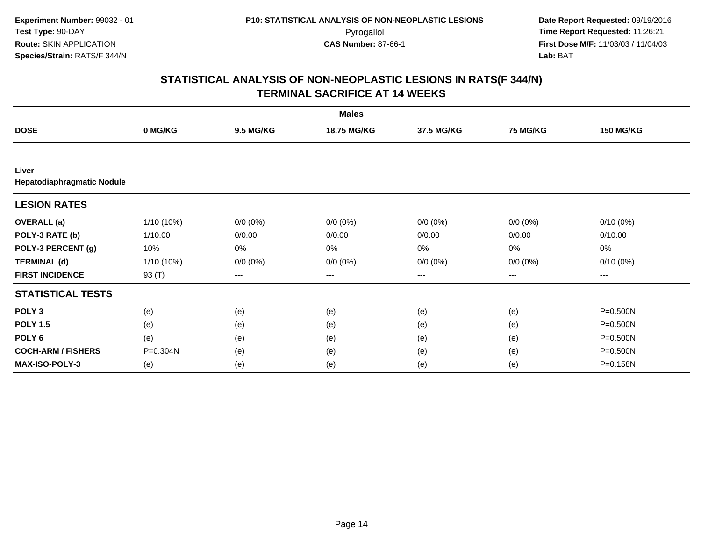|                                     |            |                  | <b>Males</b> |             |                 |                  |
|-------------------------------------|------------|------------------|--------------|-------------|-----------------|------------------|
| <b>DOSE</b>                         | 0 MG/KG    | <b>9.5 MG/KG</b> | 18.75 MG/KG  | 37.5 MG/KG  | <b>75 MG/KG</b> | <b>150 MG/KG</b> |
|                                     |            |                  |              |             |                 |                  |
| Liver<br>Hepatodiaphragmatic Nodule |            |                  |              |             |                 |                  |
| <b>LESION RATES</b>                 |            |                  |              |             |                 |                  |
| <b>OVERALL</b> (a)                  | 1/10 (10%) | $0/0 (0\%)$      | $0/0 (0\%)$  | $0/0 (0\%)$ | $0/0 (0\%)$     | $0/10(0\%)$      |
| POLY-3 RATE (b)                     | 1/10.00    | 0/0.00           | 0/0.00       | 0/0.00      | 0/0.00          | 0/10.00          |
| POLY-3 PERCENT (g)                  | 10%        | 0%               | 0%           | 0%          | 0%              | 0%               |
| <b>TERMINAL (d)</b>                 | 1/10 (10%) | $0/0 (0\%)$      | $0/0 (0\%)$  | $0/0 (0\%)$ | $0/0 (0\%)$     | $0/10(0\%)$      |
| <b>FIRST INCIDENCE</b>              | 93 (T)     | $--$             | ---          | $--$        | ---             | ---              |
| <b>STATISTICAL TESTS</b>            |            |                  |              |             |                 |                  |
| POLY <sub>3</sub>                   | (e)        | (e)              | (e)          | (e)         | (e)             | P=0.500N         |
| <b>POLY 1.5</b>                     | (e)        | (e)              | (e)          | (e)         | (e)             | P=0.500N         |
| POLY <sub>6</sub>                   | (e)        | (e)              | (e)          | (e)         | (e)             | P=0.500N         |
| <b>COCH-ARM / FISHERS</b>           | P=0.304N   | (e)              | (e)          | (e)         | (e)             | P=0.500N         |
| MAX-ISO-POLY-3                      | (e)        | (e)              | (e)          | (e)         | (e)             | P=0.158N         |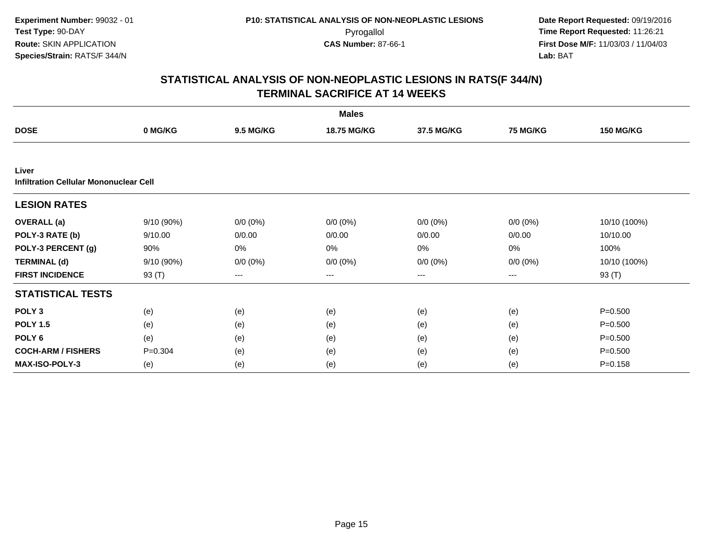|                                                 |             |                   | <b>Males</b> |             |                 |                  |
|-------------------------------------------------|-------------|-------------------|--------------|-------------|-----------------|------------------|
| <b>DOSE</b>                                     | 0 MG/KG     | <b>9.5 MG/KG</b>  | 18.75 MG/KG  | 37.5 MG/KG  | <b>75 MG/KG</b> | <b>150 MG/KG</b> |
|                                                 |             |                   |              |             |                 |                  |
| Liver<br>Infiltration Cellular Mononuclear Cell |             |                   |              |             |                 |                  |
| <b>LESION RATES</b>                             |             |                   |              |             |                 |                  |
| <b>OVERALL</b> (a)                              | 9/10 (90%)  | $0/0 (0\%)$       | $0/0 (0\%)$  | $0/0 (0\%)$ | $0/0 (0\%)$     | 10/10 (100%)     |
| POLY-3 RATE (b)                                 | 9/10.00     | 0/0.00            | 0/0.00       | 0/0.00      | 0/0.00          | 10/10.00         |
| POLY-3 PERCENT (g)                              | 90%         | 0%                | 0%           | 0%          | 0%              | 100%             |
| <b>TERMINAL (d)</b>                             | 9/10(90%)   | $0/0 (0\%)$       | $0/0 (0\%)$  | $0/0 (0\%)$ | $0/0 (0\%)$     | 10/10 (100%)     |
| <b>FIRST INCIDENCE</b>                          | 93 (T)      | $\qquad \qquad -$ | $---$        | ---         | $---$           | 93 (T)           |
| <b>STATISTICAL TESTS</b>                        |             |                   |              |             |                 |                  |
| POLY <sub>3</sub>                               | (e)         | (e)               | (e)          | (e)         | (e)             | $P = 0.500$      |
| <b>POLY 1.5</b>                                 | (e)         | (e)               | (e)          | (e)         | (e)             | $P = 0.500$      |
| POLY <sub>6</sub>                               | (e)         | (e)               | (e)          | (e)         | (e)             | $P = 0.500$      |
| <b>COCH-ARM / FISHERS</b>                       | $P = 0.304$ | (e)               | (e)          | (e)         | (e)             | $P = 0.500$      |
| <b>MAX-ISO-POLY-3</b>                           | (e)         | (e)               | (e)          | (e)         | (e)             | $P = 0.158$      |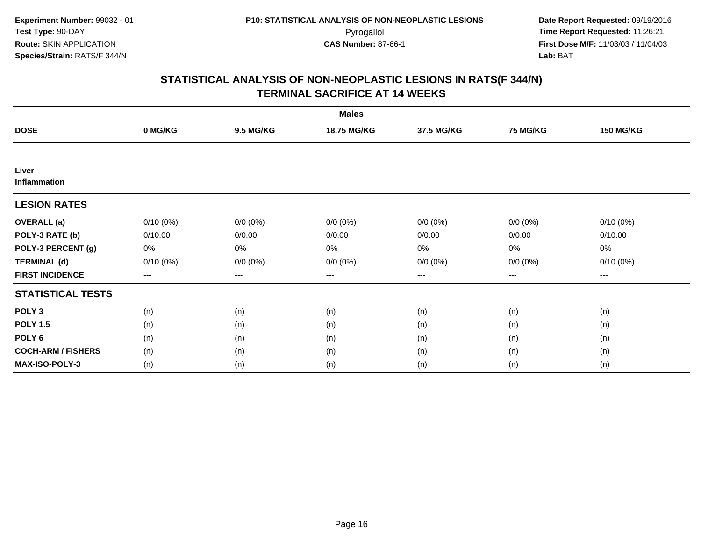|                           |                        |                  | <b>Males</b> |                   |                 |                  |
|---------------------------|------------------------|------------------|--------------|-------------------|-----------------|------------------|
| <b>DOSE</b>               | 0 MG/KG                | <b>9.5 MG/KG</b> | 18.75 MG/KG  | 37.5 MG/KG        | <b>75 MG/KG</b> | <b>150 MG/KG</b> |
|                           |                        |                  |              |                   |                 |                  |
| Liver<br>Inflammation     |                        |                  |              |                   |                 |                  |
| <b>LESION RATES</b>       |                        |                  |              |                   |                 |                  |
| <b>OVERALL</b> (a)        | $0/10(0\%)$            | $0/0 (0\%)$      | $0/0 (0\%)$  | $0/0 (0\%)$       | $0/0 (0\%)$     | $0/10(0\%)$      |
| POLY-3 RATE (b)           | 0/10.00                | 0/0.00           | 0/0.00       | 0/0.00            | 0/0.00          | 0/10.00          |
| POLY-3 PERCENT (g)        | 0%                     | 0%               | 0%           | 0%                | 0%              | 0%               |
| <b>TERMINAL (d)</b>       | $0/10(0\%)$            | $0/0 (0\%)$      | $0/0 (0\%)$  | $0/0 (0\%)$       | $0/0 (0\%)$     | $0/10(0\%)$      |
| <b>FIRST INCIDENCE</b>    | $\qquad \qquad \cdots$ | $---$            | ---          | $\qquad \qquad -$ | $---$           | $---$            |
| <b>STATISTICAL TESTS</b>  |                        |                  |              |                   |                 |                  |
| POLY <sub>3</sub>         | (n)                    | (n)              | (n)          | (n)               | (n)             | (n)              |
| <b>POLY 1.5</b>           | (n)                    | (n)              | (n)          | (n)               | (n)             | (n)              |
| POLY <sub>6</sub>         | (n)                    | (n)              | (n)          | (n)               | (n)             | (n)              |
| <b>COCH-ARM / FISHERS</b> | (n)                    | (n)              | (n)          | (n)               | (n)             | (n)              |
| <b>MAX-ISO-POLY-3</b>     | (n)                    | (n)              | (n)          | (n)               | (n)             | (n)              |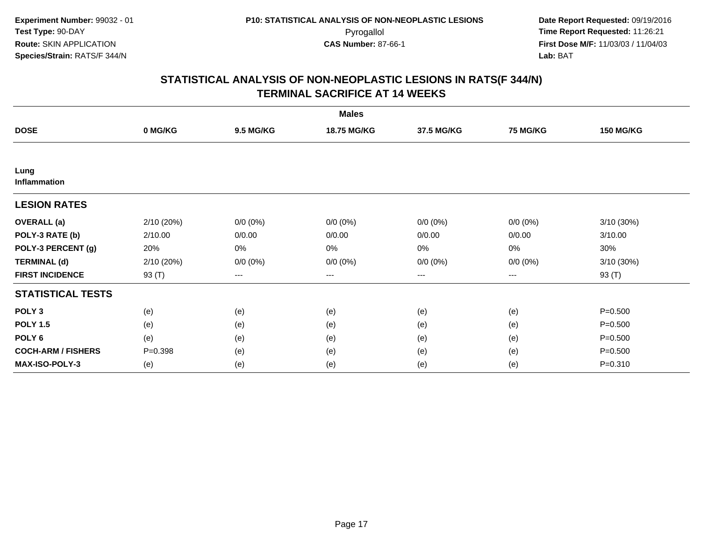|                           |             |                  | <b>Males</b> |             |             |                  |
|---------------------------|-------------|------------------|--------------|-------------|-------------|------------------|
| <b>DOSE</b>               | 0 MG/KG     | <b>9.5 MG/KG</b> | 18.75 MG/KG  | 37.5 MG/KG  | 75 MG/KG    | <b>150 MG/KG</b> |
|                           |             |                  |              |             |             |                  |
| Lung<br>Inflammation      |             |                  |              |             |             |                  |
| <b>LESION RATES</b>       |             |                  |              |             |             |                  |
| <b>OVERALL</b> (a)        | 2/10 (20%)  | $0/0 (0\%)$      | $0/0 (0\%)$  | $0/0 (0\%)$ | $0/0 (0\%)$ | 3/10 (30%)       |
| POLY-3 RATE (b)           | 2/10.00     | 0/0.00           | 0/0.00       | 0/0.00      | 0/0.00      | 3/10.00          |
| POLY-3 PERCENT (g)        | 20%         | 0%               | 0%           | 0%          | 0%          | 30%              |
| <b>TERMINAL (d)</b>       | 2/10 (20%)  | $0/0 (0\%)$      | $0/0 (0\%)$  | $0/0 (0\%)$ | $0/0 (0\%)$ | $3/10(30\%)$     |
| <b>FIRST INCIDENCE</b>    | 93 (T)      | ---              | $--$         | $--$        | $--$        | 93 (T)           |
| <b>STATISTICAL TESTS</b>  |             |                  |              |             |             |                  |
| POLY <sub>3</sub>         | (e)         | (e)              | (e)          | (e)         | (e)         | $P = 0.500$      |
| <b>POLY 1.5</b>           | (e)         | (e)              | (e)          | (e)         | (e)         | $P = 0.500$      |
| POLY <sub>6</sub>         | (e)         | (e)              | (e)          | (e)         | (e)         | $P = 0.500$      |
| <b>COCH-ARM / FISHERS</b> | $P = 0.398$ | (e)              | (e)          | (e)         | (e)         | $P = 0.500$      |
| <b>MAX-ISO-POLY-3</b>     | (e)         | (e)              | (e)          | (e)         | (e)         | $P = 0.310$      |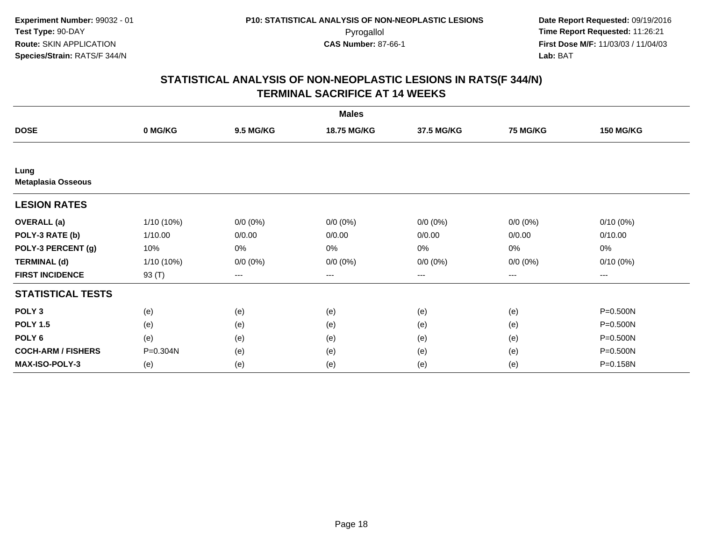|                                   |              |                  | <b>Males</b> |             |                 |                  |
|-----------------------------------|--------------|------------------|--------------|-------------|-----------------|------------------|
| <b>DOSE</b>                       | 0 MG/KG      | <b>9.5 MG/KG</b> | 18.75 MG/KG  | 37.5 MG/KG  | <b>75 MG/KG</b> | <b>150 MG/KG</b> |
|                                   |              |                  |              |             |                 |                  |
| Lung<br><b>Metaplasia Osseous</b> |              |                  |              |             |                 |                  |
| <b>LESION RATES</b>               |              |                  |              |             |                 |                  |
| <b>OVERALL</b> (a)                | $1/10(10\%)$ | $0/0 (0\%)$      | $0/0 (0\%)$  | $0/0 (0\%)$ | $0/0(0\%)$      | $0/10(0\%)$      |
| POLY-3 RATE (b)                   | 1/10.00      | 0/0.00           | 0/0.00       | 0/0.00      | 0/0.00          | 0/10.00          |
| POLY-3 PERCENT (g)                | 10%          | 0%               | 0%           | 0%          | 0%              | 0%               |
| <b>TERMINAL (d)</b>               | $1/10(10\%)$ | $0/0 (0\%)$      | $0/0 (0\%)$  | $0/0 (0\%)$ | $0/0 (0\%)$     | $0/10(0\%)$      |
| <b>FIRST INCIDENCE</b>            | 93 (T)       | $--$             | ---          | ---         | ---             | ---              |
| <b>STATISTICAL TESTS</b>          |              |                  |              |             |                 |                  |
| POLY <sub>3</sub>                 | (e)          | (e)              | (e)          | (e)         | (e)             | P=0.500N         |
| <b>POLY 1.5</b>                   | (e)          | (e)              | (e)          | (e)         | (e)             | P=0.500N         |
| POLY <sub>6</sub>                 | (e)          | (e)              | (e)          | (e)         | (e)             | P=0.500N         |
| <b>COCH-ARM / FISHERS</b>         | P=0.304N     | (e)              | (e)          | (e)         | (e)             | P=0.500N         |
| <b>MAX-ISO-POLY-3</b>             | (e)          | (e)              | (e)          | (e)         | (e)             | P=0.158N         |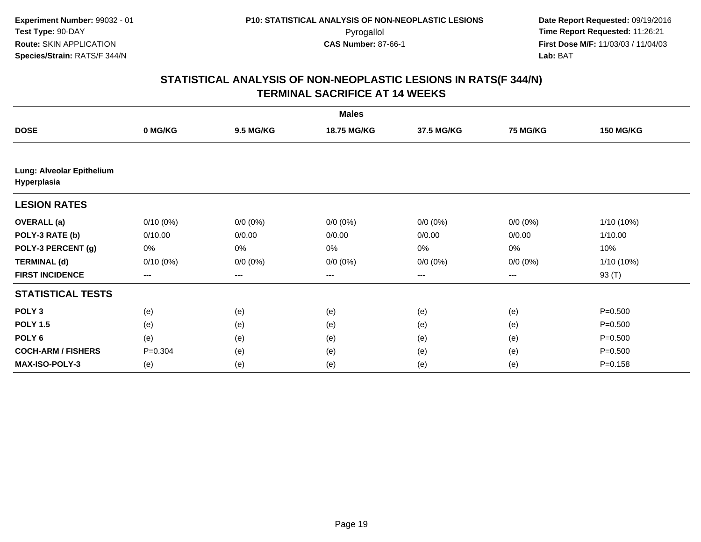| <b>Males</b>                             |             |                  |             |             |                 |                  |  |
|------------------------------------------|-------------|------------------|-------------|-------------|-----------------|------------------|--|
| <b>DOSE</b>                              | 0 MG/KG     | <b>9.5 MG/KG</b> | 18.75 MG/KG | 37.5 MG/KG  | <b>75 MG/KG</b> | <b>150 MG/KG</b> |  |
|                                          |             |                  |             |             |                 |                  |  |
| Lung: Alveolar Epithelium<br>Hyperplasia |             |                  |             |             |                 |                  |  |
| <b>LESION RATES</b>                      |             |                  |             |             |                 |                  |  |
| <b>OVERALL</b> (a)                       | $0/10(0\%)$ | $0/0 (0\%)$      | $0/0 (0\%)$ | $0/0 (0\%)$ | $0/0 (0\%)$     | $1/10(10\%)$     |  |
| POLY-3 RATE (b)                          | 0/10.00     | 0/0.00           | 0/0.00      | 0/0.00      | 0/0.00          | 1/10.00          |  |
| POLY-3 PERCENT (g)                       | 0%          | 0%               | 0%          | 0%          | 0%              | 10%              |  |
| <b>TERMINAL (d)</b>                      | $0/10(0\%)$ | $0/0 (0\%)$      | $0/0 (0\%)$ | $0/0 (0\%)$ | $0/0 (0\%)$     | $1/10(10\%)$     |  |
| <b>FIRST INCIDENCE</b>                   | ---         | ---              | $---$       | ---         | $---$           | 93 (T)           |  |
| <b>STATISTICAL TESTS</b>                 |             |                  |             |             |                 |                  |  |
| POLY <sub>3</sub>                        | (e)         | (e)              | (e)         | (e)         | (e)             | $P = 0.500$      |  |
| <b>POLY 1.5</b>                          | (e)         | (e)              | (e)         | (e)         | (e)             | $P = 0.500$      |  |
| POLY <sub>6</sub>                        | (e)         | (e)              | (e)         | (e)         | (e)             | $P = 0.500$      |  |
| <b>COCH-ARM / FISHERS</b>                | $P = 0.304$ | (e)              | (e)         | (e)         | (e)             | $P = 0.500$      |  |
| MAX-ISO-POLY-3                           | (e)         | (e)              | (e)         | (e)         | (e)             | $P = 0.158$      |  |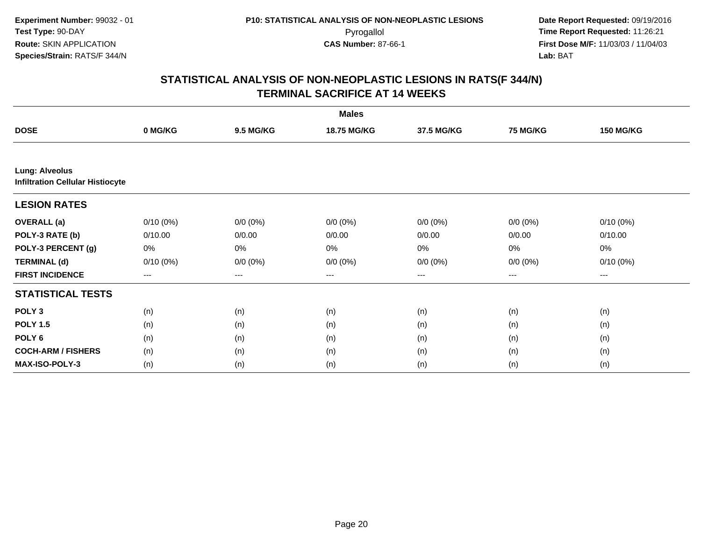| <b>Males</b>                                                     |             |                  |             |             |                   |                  |  |
|------------------------------------------------------------------|-------------|------------------|-------------|-------------|-------------------|------------------|--|
| <b>DOSE</b>                                                      | 0 MG/KG     | <b>9.5 MG/KG</b> | 18.75 MG/KG | 37.5 MG/KG  | <b>75 MG/KG</b>   | <b>150 MG/KG</b> |  |
|                                                                  |             |                  |             |             |                   |                  |  |
| <b>Lung: Alveolus</b><br><b>Infiltration Cellular Histiocyte</b> |             |                  |             |             |                   |                  |  |
| <b>LESION RATES</b>                                              |             |                  |             |             |                   |                  |  |
| <b>OVERALL</b> (a)                                               | $0/10(0\%)$ | $0/0 (0\%)$      | $0/0 (0\%)$ | $0/0 (0\%)$ | $0/0 (0\%)$       | $0/10(0\%)$      |  |
| POLY-3 RATE (b)                                                  | 0/10.00     | 0/0.00           | 0/0.00      | 0/0.00      | 0/0.00            | 0/10.00          |  |
| POLY-3 PERCENT (g)                                               | 0%          | 0%               | 0%          | 0%          | $0\%$             | 0%               |  |
| <b>TERMINAL (d)</b>                                              | $0/10(0\%)$ | $0/0 (0\%)$      | $0/0 (0\%)$ | $0/0 (0\%)$ | $0/0 (0\%)$       | $0/10(0\%)$      |  |
| <b>FIRST INCIDENCE</b>                                           | ---         | ---              | ---         | $---$       | $\qquad \qquad -$ | ---              |  |
| <b>STATISTICAL TESTS</b>                                         |             |                  |             |             |                   |                  |  |
| POLY <sub>3</sub>                                                | (n)         | (n)              | (n)         | (n)         | (n)               | (n)              |  |
| <b>POLY 1.5</b>                                                  | (n)         | (n)              | (n)         | (n)         | (n)               | (n)              |  |
| POLY 6                                                           | (n)         | (n)              | (n)         | (n)         | (n)               | (n)              |  |
| <b>COCH-ARM / FISHERS</b>                                        | (n)         | (n)              | (n)         | (n)         | (n)               | (n)              |  |
| MAX-ISO-POLY-3                                                   | (n)         | (n)              | (n)         | (n)         | (n)               | (n)              |  |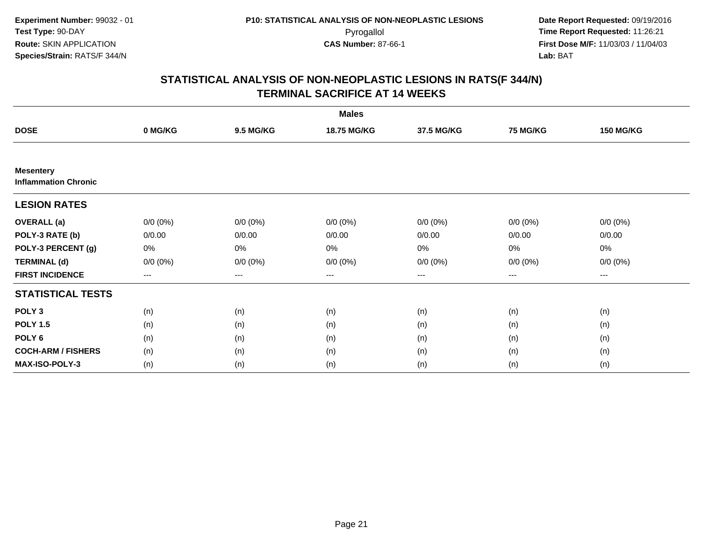|                                                 |             |                  | <b>Males</b> |             |                 |                  |
|-------------------------------------------------|-------------|------------------|--------------|-------------|-----------------|------------------|
| <b>DOSE</b>                                     | 0 MG/KG     | <b>9.5 MG/KG</b> | 18.75 MG/KG  | 37.5 MG/KG  | <b>75 MG/KG</b> | <b>150 MG/KG</b> |
|                                                 |             |                  |              |             |                 |                  |
| <b>Mesentery</b><br><b>Inflammation Chronic</b> |             |                  |              |             |                 |                  |
| <b>LESION RATES</b>                             |             |                  |              |             |                 |                  |
| <b>OVERALL</b> (a)                              | $0/0 (0\%)$ | $0/0 (0\%)$      | $0/0 (0\%)$  | $0/0 (0\%)$ | $0/0 (0\%)$     | $0/0 (0\%)$      |
| POLY-3 RATE (b)                                 | 0/0.00      | 0/0.00           | 0/0.00       | 0/0.00      | 0/0.00          | 0/0.00           |
| POLY-3 PERCENT (g)                              | 0%          | 0%               | 0%           | 0%          | 0%              | 0%               |
| <b>TERMINAL (d)</b>                             | $0/0 (0\%)$ | $0/0 (0\%)$      | $0/0 (0\%)$  | $0/0 (0\%)$ | $0/0 (0\%)$     | $0/0 (0\%)$      |
| <b>FIRST INCIDENCE</b>                          | $\cdots$    | $\cdots$         | $\cdots$     | $\cdots$    | ---             | $---$            |
| <b>STATISTICAL TESTS</b>                        |             |                  |              |             |                 |                  |
| POLY <sub>3</sub>                               | (n)         | (n)              | (n)          | (n)         | (n)             | (n)              |
| <b>POLY 1.5</b>                                 | (n)         | (n)              | (n)          | (n)         | (n)             | (n)              |
| POLY <sub>6</sub>                               | (n)         | (n)              | (n)          | (n)         | (n)             | (n)              |
| <b>COCH-ARM / FISHERS</b>                       | (n)         | (n)              | (n)          | (n)         | (n)             | (n)              |
| MAX-ISO-POLY-3                                  | (n)         | (n)              | (n)          | (n)         | (n)             | (n)              |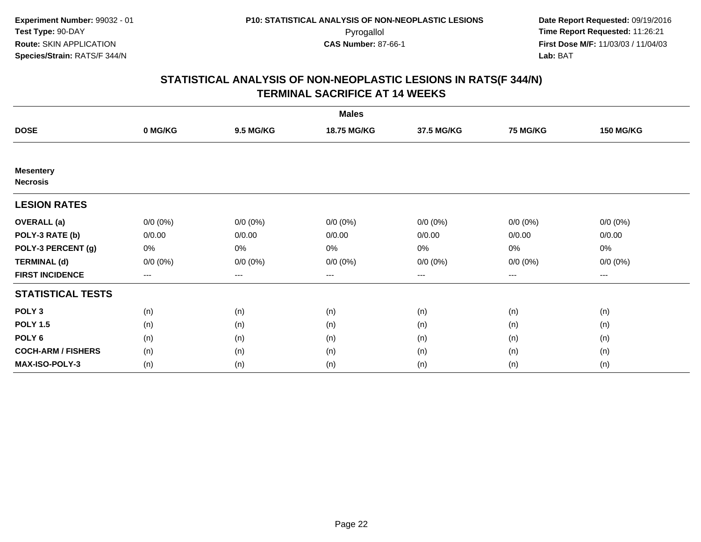| <b>Males</b>                        |                        |                  |                    |                   |                 |                  |  |  |
|-------------------------------------|------------------------|------------------|--------------------|-------------------|-----------------|------------------|--|--|
| <b>DOSE</b>                         | 0 MG/KG                | <b>9.5 MG/KG</b> | <b>18.75 MG/KG</b> | 37.5 MG/KG        | <b>75 MG/KG</b> | <b>150 MG/KG</b> |  |  |
|                                     |                        |                  |                    |                   |                 |                  |  |  |
| <b>Mesentery</b><br><b>Necrosis</b> |                        |                  |                    |                   |                 |                  |  |  |
| <b>LESION RATES</b>                 |                        |                  |                    |                   |                 |                  |  |  |
| <b>OVERALL</b> (a)                  | $0/0 (0\%)$            | $0/0 (0\%)$      | $0/0 (0\%)$        | $0/0 (0\%)$       | $0/0 (0\%)$     | $0/0 (0\%)$      |  |  |
| POLY-3 RATE (b)                     | 0/0.00                 | 0/0.00           | 0/0.00             | 0/0.00            | 0/0.00          | 0/0.00           |  |  |
| POLY-3 PERCENT (g)                  | 0%                     | $0\%$            | 0%                 | 0%                | $0\%$           | 0%               |  |  |
| <b>TERMINAL (d)</b>                 | $0/0 (0\%)$            | $0/0 (0\%)$      | $0/0 (0\%)$        | $0/0 (0\%)$       | $0/0 (0\%)$     | $0/0 (0\%)$      |  |  |
| <b>FIRST INCIDENCE</b>              | $\qquad \qquad \cdots$ | $---$            | ---                | $\qquad \qquad -$ | $---$           | $---$            |  |  |
| <b>STATISTICAL TESTS</b>            |                        |                  |                    |                   |                 |                  |  |  |
| POLY <sub>3</sub>                   | (n)                    | (n)              | (n)                | (n)               | (n)             | (n)              |  |  |
| <b>POLY 1.5</b>                     | (n)                    | (n)              | (n)                | (n)               | (n)             | (n)              |  |  |
| POLY <sub>6</sub>                   | (n)                    | (n)              | (n)                | (n)               | (n)             | (n)              |  |  |
| <b>COCH-ARM / FISHERS</b>           | (n)                    | (n)              | (n)                | (n)               | (n)             | (n)              |  |  |
| MAX-ISO-POLY-3                      | (n)                    | (n)              | (n)                | (n)               | (n)             | (n)              |  |  |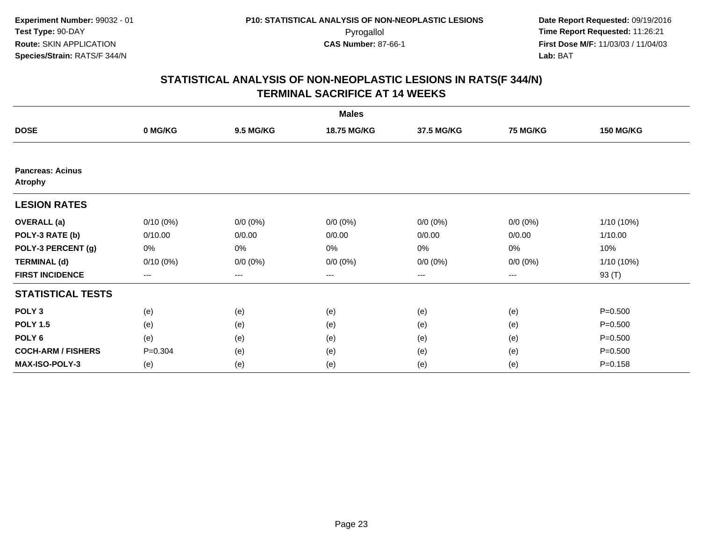|                                           |             |                  | <b>Males</b> |             |             |                  |
|-------------------------------------------|-------------|------------------|--------------|-------------|-------------|------------------|
| <b>DOSE</b>                               | 0 MG/KG     | <b>9.5 MG/KG</b> | 18.75 MG/KG  | 37.5 MG/KG  | 75 MG/KG    | <b>150 MG/KG</b> |
|                                           |             |                  |              |             |             |                  |
| <b>Pancreas: Acinus</b><br><b>Atrophy</b> |             |                  |              |             |             |                  |
| <b>LESION RATES</b>                       |             |                  |              |             |             |                  |
| <b>OVERALL</b> (a)                        | $0/10(0\%)$ | $0/0 (0\%)$      | $0/0 (0\%)$  | $0/0 (0\%)$ | $0/0 (0\%)$ | 1/10 (10%)       |
| POLY-3 RATE (b)                           | 0/10.00     | 0/0.00           | 0/0.00       | 0/0.00      | 0/0.00      | 1/10.00          |
| POLY-3 PERCENT (g)                        | 0%          | 0%               | 0%           | 0%          | 0%          | 10%              |
| <b>TERMINAL (d)</b>                       | $0/10(0\%)$ | $0/0 (0\%)$      | $0/0 (0\%)$  | $0/0 (0\%)$ | $0/0 (0\%)$ | 1/10 (10%)       |
| <b>FIRST INCIDENCE</b>                    | $--$        | ---              | ---          | $--$        | $--$        | 93 (T)           |
| <b>STATISTICAL TESTS</b>                  |             |                  |              |             |             |                  |
| POLY <sub>3</sub>                         | (e)         | (e)              | (e)          | (e)         | (e)         | $P = 0.500$      |
| <b>POLY 1.5</b>                           | (e)         | (e)              | (e)          | (e)         | (e)         | $P = 0.500$      |
| POLY <sub>6</sub>                         | (e)         | (e)              | (e)          | (e)         | (e)         | $P = 0.500$      |
| <b>COCH-ARM / FISHERS</b>                 | $P = 0.304$ | (e)              | (e)          | (e)         | (e)         | $P = 0.500$      |
| MAX-ISO-POLY-3                            | (e)         | (e)              | (e)          | (e)         | (e)         | $P = 0.158$      |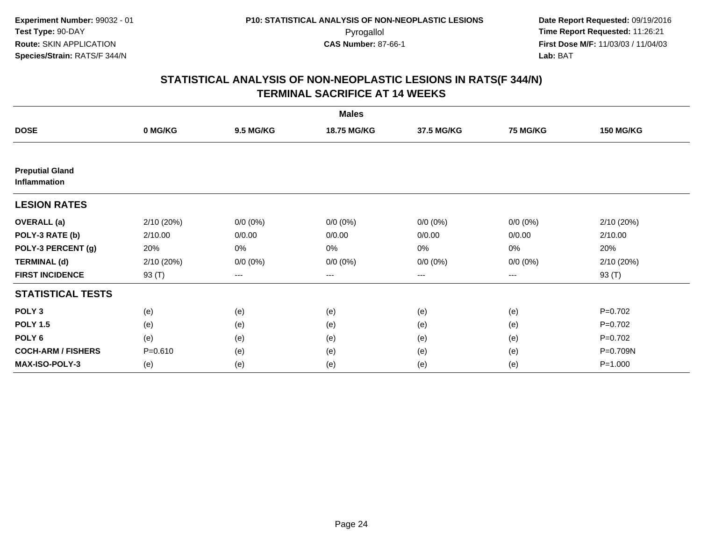|                                               |             |                  | <b>Males</b> |                   |             |                  |
|-----------------------------------------------|-------------|------------------|--------------|-------------------|-------------|------------------|
| <b>DOSE</b>                                   | 0 MG/KG     | <b>9.5 MG/KG</b> | 18.75 MG/KG  | 37.5 MG/KG        | 75 MG/KG    | <b>150 MG/KG</b> |
|                                               |             |                  |              |                   |             |                  |
| <b>Preputial Gland</b><br><b>Inflammation</b> |             |                  |              |                   |             |                  |
| <b>LESION RATES</b>                           |             |                  |              |                   |             |                  |
| <b>OVERALL</b> (a)                            | 2/10 (20%)  | $0/0 (0\%)$      | $0/0 (0\%)$  | $0/0 (0\%)$       | $0/0 (0\%)$ | 2/10 (20%)       |
| POLY-3 RATE (b)                               | 2/10.00     | 0/0.00           | 0/0.00       | 0/0.00            | 0/0.00      | 2/10.00          |
| POLY-3 PERCENT (g)                            | 20%         | $0\%$            | 0%           | $0\%$             | $0\%$       | 20%              |
| <b>TERMINAL (d)</b>                           | 2/10(20%)   | $0/0 (0\%)$      | $0/0 (0\%)$  | $0/0 (0\%)$       | $0/0 (0\%)$ | 2/10 (20%)       |
| <b>FIRST INCIDENCE</b>                        | 93 (T)      | $---$            | ---          | $\qquad \qquad -$ | $---$       | 93 (T)           |
| <b>STATISTICAL TESTS</b>                      |             |                  |              |                   |             |                  |
| POLY <sub>3</sub>                             | (e)         | (e)              | (e)          | (e)               | (e)         | $P=0.702$        |
| <b>POLY 1.5</b>                               | (e)         | (e)              | (e)          | (e)               | (e)         | $P=0.702$        |
| POLY <sub>6</sub>                             | (e)         | (e)              | (e)          | (e)               | (e)         | $P=0.702$        |
| <b>COCH-ARM / FISHERS</b>                     | $P = 0.610$ | (e)              | (e)          | (e)               | (e)         | P=0.709N         |
| <b>MAX-ISO-POLY-3</b>                         | (e)         | (e)              | (e)          | (e)               | (e)         | $P = 1.000$      |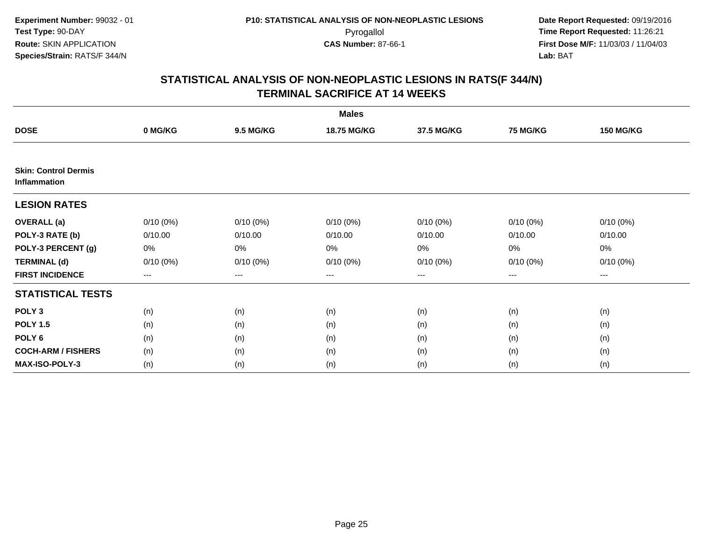| <b>Males</b>                                |             |                  |             |                        |                        |                  |  |
|---------------------------------------------|-------------|------------------|-------------|------------------------|------------------------|------------------|--|
| <b>DOSE</b>                                 | 0 MG/KG     | <b>9.5 MG/KG</b> | 18.75 MG/KG | 37.5 MG/KG             | <b>75 MG/KG</b>        | <b>150 MG/KG</b> |  |
|                                             |             |                  |             |                        |                        |                  |  |
| <b>Skin: Control Dermis</b><br>Inflammation |             |                  |             |                        |                        |                  |  |
| <b>LESION RATES</b>                         |             |                  |             |                        |                        |                  |  |
| <b>OVERALL</b> (a)                          | $0/10(0\%)$ | $0/10(0\%)$      | $0/10(0\%)$ | $0/10(0\%)$            | $0/10(0\%)$            | $0/10(0\%)$      |  |
| POLY-3 RATE (b)                             | 0/10.00     | 0/10.00          | 0/10.00     | 0/10.00                | 0/10.00                | 0/10.00          |  |
| POLY-3 PERCENT (g)                          | 0%          | 0%               | 0%          | 0%                     | $0\%$                  | $0\%$            |  |
| <b>TERMINAL (d)</b>                         | $0/10(0\%)$ | $0/10(0\%)$      | $0/10(0\%)$ | $0/10(0\%)$            | $0/10(0\%)$            | $0/10(0\%)$      |  |
| <b>FIRST INCIDENCE</b>                      | ---         | ---              | ---         | $\qquad \qquad \cdots$ | $\qquad \qquad \cdots$ | ---              |  |
| <b>STATISTICAL TESTS</b>                    |             |                  |             |                        |                        |                  |  |
| POLY <sub>3</sub>                           | (n)         | (n)              | (n)         | (n)                    | (n)                    | (n)              |  |
| <b>POLY 1.5</b>                             | (n)         | (n)              | (n)         | (n)                    | (n)                    | (n)              |  |
| POLY <sub>6</sub>                           | (n)         | (n)              | (n)         | (n)                    | (n)                    | (n)              |  |
| <b>COCH-ARM / FISHERS</b>                   | (n)         | (n)              | (n)         | (n)                    | (n)                    | (n)              |  |
| <b>MAX-ISO-POLY-3</b>                       | (n)         | (n)              | (n)         | (n)                    | (n)                    | (n)              |  |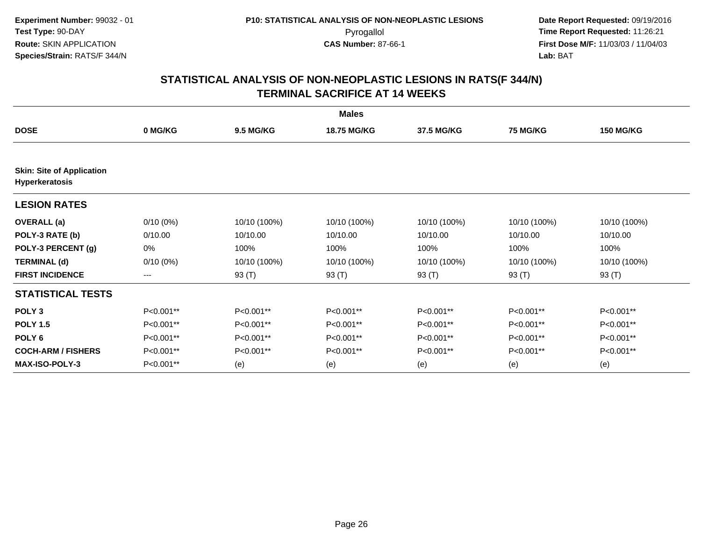|                                  | <b>Males</b> |                  |                    |              |                 |                  |  |  |  |
|----------------------------------|--------------|------------------|--------------------|--------------|-----------------|------------------|--|--|--|
| <b>DOSE</b>                      | 0 MG/KG      | <b>9.5 MG/KG</b> | <b>18.75 MG/KG</b> | 37.5 MG/KG   | <b>75 MG/KG</b> | <b>150 MG/KG</b> |  |  |  |
| <b>Skin: Site of Application</b> |              |                  |                    |              |                 |                  |  |  |  |
| <b>Hyperkeratosis</b>            |              |                  |                    |              |                 |                  |  |  |  |
| <b>LESION RATES</b>              |              |                  |                    |              |                 |                  |  |  |  |
| <b>OVERALL</b> (a)               | $0/10(0\%)$  | 10/10 (100%)     | 10/10 (100%)       | 10/10 (100%) | 10/10 (100%)    | 10/10 (100%)     |  |  |  |
| POLY-3 RATE (b)                  | 0/10.00      | 10/10.00         | 10/10.00           | 10/10.00     | 10/10.00        | 10/10.00         |  |  |  |
| POLY-3 PERCENT (g)               | 0%           | 100%             | 100%               | 100%         | 100%            | 100%             |  |  |  |
| <b>TERMINAL (d)</b>              | $0/10(0\%)$  | 10/10 (100%)     | 10/10 (100%)       | 10/10 (100%) | 10/10 (100%)    | 10/10 (100%)     |  |  |  |
| <b>FIRST INCIDENCE</b>           | ---          | 93 (T)           | 93 (T)             | 93 (T)       | 93 (T)          | 93 (T)           |  |  |  |
| <b>STATISTICAL TESTS</b>         |              |                  |                    |              |                 |                  |  |  |  |
| POLY <sub>3</sub>                | P<0.001**    | P<0.001**        | P<0.001**          | P<0.001**    | P<0.001**       | P<0.001**        |  |  |  |
| <b>POLY 1.5</b>                  | P<0.001**    | P<0.001**        | P<0.001**          | P<0.001**    | P<0.001**       | $P<0.001**$      |  |  |  |
| POLY <sub>6</sub>                | P<0.001**    | P<0.001**        | P<0.001**          | P<0.001**    | P<0.001**       | P<0.001**        |  |  |  |
| <b>COCH-ARM / FISHERS</b>        | P<0.001**    | P<0.001**        | P<0.001**          | P<0.001**    | P<0.001**       | P<0.001**        |  |  |  |
| <b>MAX-ISO-POLY-3</b>            | P<0.001**    | (e)              | (e)                | (e)          | (e)             | (e)              |  |  |  |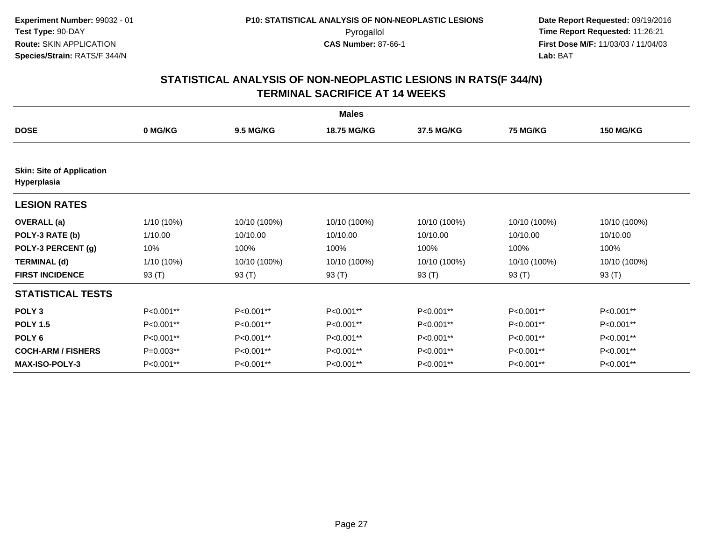|                                                 | <b>Males</b> |                  |                    |              |                 |                  |  |  |
|-------------------------------------------------|--------------|------------------|--------------------|--------------|-----------------|------------------|--|--|
| <b>DOSE</b>                                     | 0 MG/KG      | <b>9.5 MG/KG</b> | <b>18.75 MG/KG</b> | 37.5 MG/KG   | <b>75 MG/KG</b> | <b>150 MG/KG</b> |  |  |
| <b>Skin: Site of Application</b><br>Hyperplasia |              |                  |                    |              |                 |                  |  |  |
| <b>LESION RATES</b>                             |              |                  |                    |              |                 |                  |  |  |
| <b>OVERALL</b> (a)                              | 1/10 (10%)   | 10/10 (100%)     | 10/10 (100%)       | 10/10 (100%) | 10/10 (100%)    | 10/10 (100%)     |  |  |
| POLY-3 RATE (b)                                 | 1/10.00      | 10/10.00         | 10/10.00           | 10/10.00     | 10/10.00        | 10/10.00         |  |  |
| POLY-3 PERCENT (g)                              | 10%          | 100%             | 100%               | 100%         | 100%            | 100%             |  |  |
| <b>TERMINAL (d)</b>                             | $1/10(10\%)$ | 10/10 (100%)     | 10/10 (100%)       | 10/10 (100%) | 10/10 (100%)    | 10/10 (100%)     |  |  |
| <b>FIRST INCIDENCE</b>                          | 93 (T)       | 93 (T)           | 93 (T)             | 93 (T)       | 93 (T)          | 93 (T)           |  |  |
| <b>STATISTICAL TESTS</b>                        |              |                  |                    |              |                 |                  |  |  |
| POLY <sub>3</sub>                               | P<0.001**    | P<0.001**        | P<0.001**          | P<0.001**    | P<0.001**       | P<0.001**        |  |  |
| <b>POLY 1.5</b>                                 | P<0.001**    | P<0.001**        | P<0.001**          | P<0.001**    | P<0.001**       | P<0.001**        |  |  |
| POLY <sub>6</sub>                               | P<0.001**    | P<0.001**        | P<0.001**          | P<0.001**    | P<0.001**       | P<0.001**        |  |  |
| <b>COCH-ARM / FISHERS</b>                       | P=0.003**    | P<0.001**        | P<0.001**          | P<0.001**    | P<0.001**       | P<0.001**        |  |  |
| <b>MAX-ISO-POLY-3</b>                           | P<0.001**    | P<0.001**        | P<0.001**          | P<0.001**    | P<0.001**       | P<0.001**        |  |  |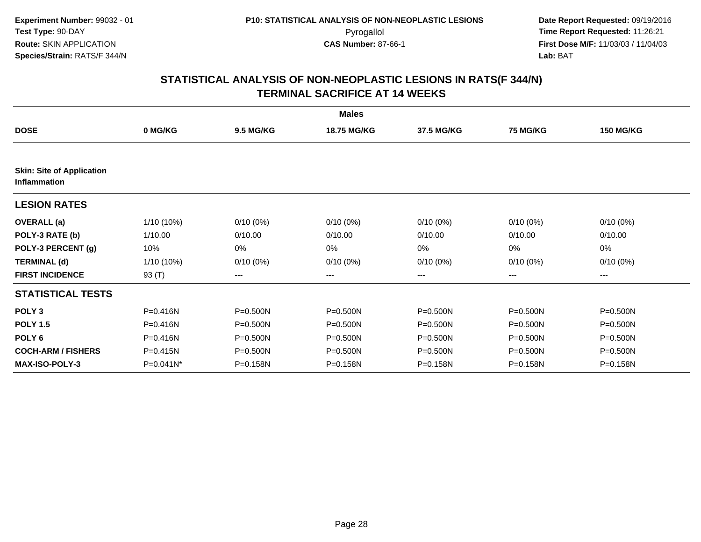|                                                  |              |                  | <b>Males</b>       |              |                 |                  |
|--------------------------------------------------|--------------|------------------|--------------------|--------------|-----------------|------------------|
| <b>DOSE</b>                                      | 0 MG/KG      | <b>9.5 MG/KG</b> | <b>18.75 MG/KG</b> | 37.5 MG/KG   | <b>75 MG/KG</b> | <b>150 MG/KG</b> |
| <b>Skin: Site of Application</b><br>Inflammation |              |                  |                    |              |                 |                  |
| <b>LESION RATES</b>                              |              |                  |                    |              |                 |                  |
| <b>OVERALL</b> (a)                               | 1/10 (10%)   | $0/10(0\%)$      | $0/10(0\%)$        | $0/10(0\%)$  | $0/10(0\%)$     | $0/10(0\%)$      |
| POLY-3 RATE (b)                                  | 1/10.00      | 0/10.00          | 0/10.00            | 0/10.00      | 0/10.00         | 0/10.00          |
| POLY-3 PERCENT (g)                               | 10%          | 0%               | 0%                 | 0%           | 0%              | 0%               |
| <b>TERMINAL (d)</b>                              | 1/10 (10%)   | $0/10(0\%)$      | $0/10(0\%)$        | $0/10(0\%)$  | $0/10(0\%)$     | $0/10(0\%)$      |
| <b>FIRST INCIDENCE</b>                           | 93 (T)       | ---              | ---                | ---          | $---$           | ---              |
| <b>STATISTICAL TESTS</b>                         |              |                  |                    |              |                 |                  |
| POLY <sub>3</sub>                                | P=0.416N     | P=0.500N         | P=0.500N           | $P = 0.500N$ | P=0.500N        | P=0.500N         |
| <b>POLY 1.5</b>                                  | $P = 0.416N$ | P=0.500N         | P=0.500N           | $P = 0.500N$ | P=0.500N        | P=0.500N         |
| POLY 6                                           | $P = 0.416N$ | P=0.500N         | P=0.500N           | $P = 0.500N$ | P=0.500N        | P=0.500N         |
| <b>COCH-ARM / FISHERS</b>                        | P=0.415N     | $P = 0.500N$     | P=0.500N           | $P = 0.500N$ | $P = 0.500N$    | P=0.500N         |
| <b>MAX-ISO-POLY-3</b>                            | P=0.041N*    | P=0.158N         | P=0.158N           | P=0.158N     | P=0.158N        | P=0.158N         |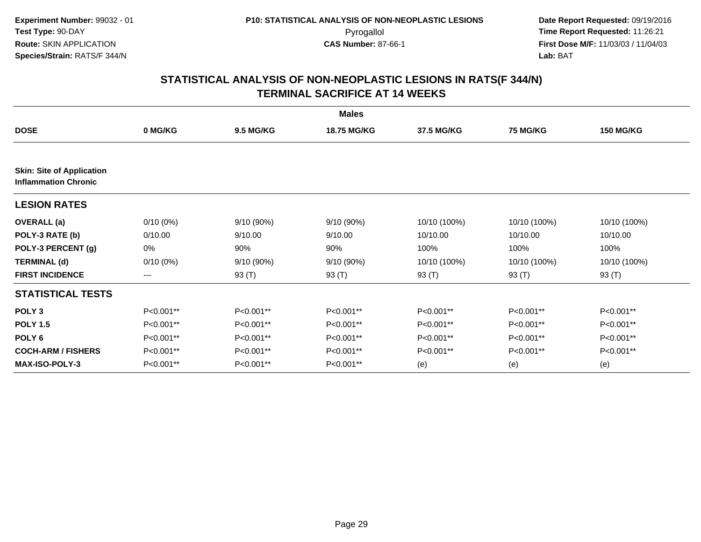|                                                                 | <b>Males</b> |                  |                    |              |                 |                  |  |  |
|-----------------------------------------------------------------|--------------|------------------|--------------------|--------------|-----------------|------------------|--|--|
| <b>DOSE</b>                                                     | 0 MG/KG      | <b>9.5 MG/KG</b> | <b>18.75 MG/KG</b> | 37.5 MG/KG   | <b>75 MG/KG</b> | <b>150 MG/KG</b> |  |  |
| <b>Skin: Site of Application</b><br><b>Inflammation Chronic</b> |              |                  |                    |              |                 |                  |  |  |
| <b>LESION RATES</b>                                             |              |                  |                    |              |                 |                  |  |  |
| <b>OVERALL</b> (a)                                              | $0/10(0\%)$  | 9/10 (90%)       | 9/10 (90%)         | 10/10 (100%) | 10/10 (100%)    | 10/10 (100%)     |  |  |
| POLY-3 RATE (b)                                                 | 0/10.00      | 9/10.00          | 9/10.00            | 10/10.00     | 10/10.00        | 10/10.00         |  |  |
| POLY-3 PERCENT (g)                                              | 0%           | 90%              | 90%                | 100%         | 100%            | 100%             |  |  |
| <b>TERMINAL (d)</b>                                             | $0/10(0\%)$  | 9/10 (90%)       | 9/10 (90%)         | 10/10 (100%) | 10/10 (100%)    | 10/10 (100%)     |  |  |
| <b>FIRST INCIDENCE</b>                                          | ---          | 93 (T)           | 93 (T)             | 93 $(T)$     | 93 $(T)$        | 93 $(T)$         |  |  |
| <b>STATISTICAL TESTS</b>                                        |              |                  |                    |              |                 |                  |  |  |
| POLY <sub>3</sub>                                               | P<0.001**    | P<0.001**        | P<0.001**          | P<0.001**    | P<0.001**       | P<0.001**        |  |  |
| <b>POLY 1.5</b>                                                 | P<0.001**    | P<0.001**        | P<0.001**          | P<0.001**    | P<0.001**       | P<0.001**        |  |  |
| POLY <sub>6</sub>                                               | P<0.001**    | P<0.001**        | P<0.001**          | P<0.001**    | P<0.001**       | P<0.001**        |  |  |
| <b>COCH-ARM / FISHERS</b>                                       | P<0.001**    | P<0.001**        | P<0.001**          | P<0.001**    | P<0.001**       | P<0.001**        |  |  |
| <b>MAX-ISO-POLY-3</b>                                           | P<0.001**    | P<0.001**        | P<0.001**          | (e)          | (e)             | (e)              |  |  |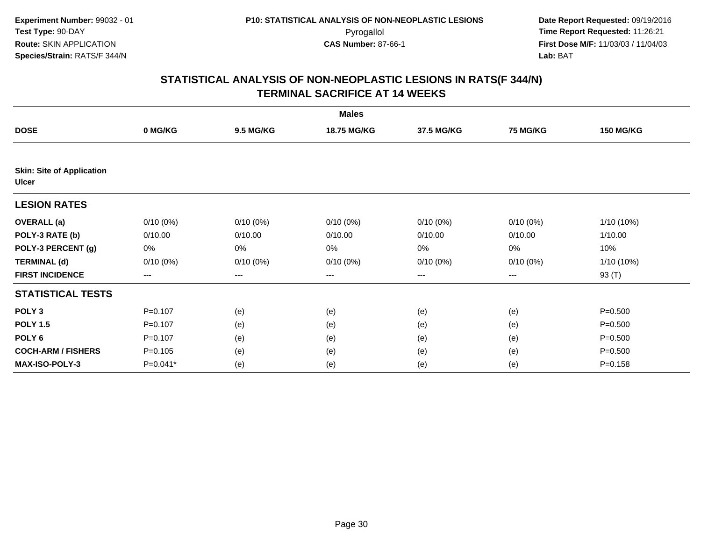| <b>Males</b>                                     |             |             |             |             |             |                  |  |  |
|--------------------------------------------------|-------------|-------------|-------------|-------------|-------------|------------------|--|--|
| <b>DOSE</b>                                      | 0 MG/KG     | 9.5 MG/KG   | 18.75 MG/KG | 37.5 MG/KG  | 75 MG/KG    | <b>150 MG/KG</b> |  |  |
|                                                  |             |             |             |             |             |                  |  |  |
| <b>Skin: Site of Application</b><br><b>Ulcer</b> |             |             |             |             |             |                  |  |  |
| <b>LESION RATES</b>                              |             |             |             |             |             |                  |  |  |
| <b>OVERALL</b> (a)                               | $0/10(0\%)$ | $0/10(0\%)$ | $0/10(0\%)$ | $0/10(0\%)$ | $0/10(0\%)$ | $1/10(10\%)$     |  |  |
| POLY-3 RATE (b)                                  | 0/10.00     | 0/10.00     | 0/10.00     | 0/10.00     | 0/10.00     | 1/10.00          |  |  |
| POLY-3 PERCENT (g)                               | 0%          | 0%          | 0%          | 0%          | 0%          | 10%              |  |  |
| <b>TERMINAL (d)</b>                              | $0/10(0\%)$ | $0/10(0\%)$ | $0/10(0\%)$ | $0/10(0\%)$ | 0/10(0%)    | 1/10 (10%)       |  |  |
| <b>FIRST INCIDENCE</b>                           | ---         | ---         | $--$        | ---         | ---         | 93 (T)           |  |  |
| <b>STATISTICAL TESTS</b>                         |             |             |             |             |             |                  |  |  |
| POLY <sub>3</sub>                                | $P = 0.107$ | (e)         | (e)         | (e)         | (e)         | $P = 0.500$      |  |  |
| <b>POLY 1.5</b>                                  | $P = 0.107$ | (e)         | (e)         | (e)         | (e)         | $P = 0.500$      |  |  |
| POLY 6                                           | $P=0.107$   | (e)         | (e)         | (e)         | (e)         | $P = 0.500$      |  |  |
| <b>COCH-ARM / FISHERS</b>                        | $P = 0.105$ | (e)         | (e)         | (e)         | (e)         | $P = 0.500$      |  |  |
| MAX-ISO-POLY-3                                   | P=0.041*    | (e)         | (e)         | (e)         | (e)         | $P = 0.158$      |  |  |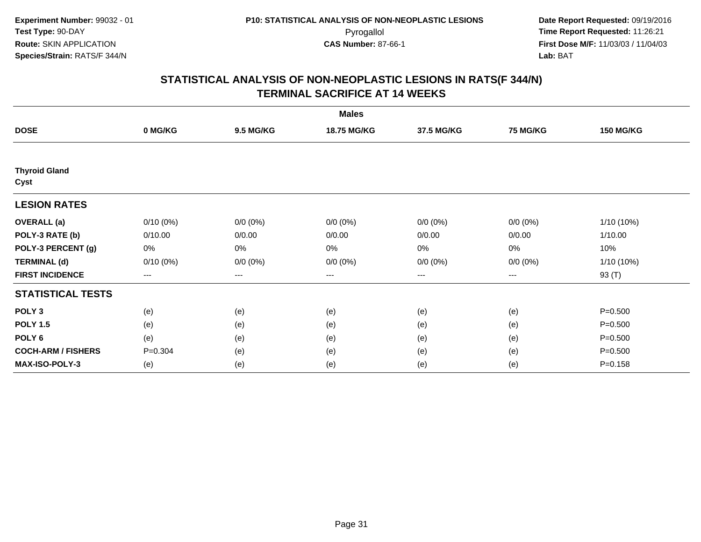| <b>Males</b>                 |                   |                  |                    |             |                   |                  |  |  |
|------------------------------|-------------------|------------------|--------------------|-------------|-------------------|------------------|--|--|
| <b>DOSE</b>                  | 0 MG/KG           | <b>9.5 MG/KG</b> | <b>18.75 MG/KG</b> | 37.5 MG/KG  | <b>75 MG/KG</b>   | <b>150 MG/KG</b> |  |  |
|                              |                   |                  |                    |             |                   |                  |  |  |
| <b>Thyroid Gland</b><br>Cyst |                   |                  |                    |             |                   |                  |  |  |
| <b>LESION RATES</b>          |                   |                  |                    |             |                   |                  |  |  |
| <b>OVERALL</b> (a)           | $0/10(0\%)$       | $0/0 (0\%)$      | $0/0 (0\%)$        | $0/0 (0\%)$ | $0/0 (0\%)$       | 1/10 (10%)       |  |  |
| POLY-3 RATE (b)              | 0/10.00           | 0/0.00           | 0/0.00             | 0/0.00      | 0/0.00            | 1/10.00          |  |  |
| POLY-3 PERCENT (g)           | 0%                | $0\%$            | 0%                 | 0%          | 0%                | 10%              |  |  |
| <b>TERMINAL (d)</b>          | $0/10(0\%)$       | $0/0 (0\%)$      | $0/0 (0\%)$        | $0/0 (0\%)$ | $0/0 (0\%)$       | 1/10 (10%)       |  |  |
| <b>FIRST INCIDENCE</b>       | $\qquad \qquad -$ | $\cdots$         | $\cdots$           | ---         | $\qquad \qquad -$ | 93 (T)           |  |  |
| <b>STATISTICAL TESTS</b>     |                   |                  |                    |             |                   |                  |  |  |
| POLY <sub>3</sub>            | (e)               | (e)              | (e)                | (e)         | (e)               | $P = 0.500$      |  |  |
| <b>POLY 1.5</b>              | (e)               | (e)              | (e)                | (e)         | (e)               | $P = 0.500$      |  |  |
| POLY <sub>6</sub>            | (e)               | (e)              | (e)                | (e)         | (e)               | $P = 0.500$      |  |  |
| <b>COCH-ARM / FISHERS</b>    | $P = 0.304$       | (e)              | (e)                | (e)         | (e)               | $P = 0.500$      |  |  |
| MAX-ISO-POLY-3               | (e)               | (e)              | (e)                | (e)         | (e)               | $P = 0.158$      |  |  |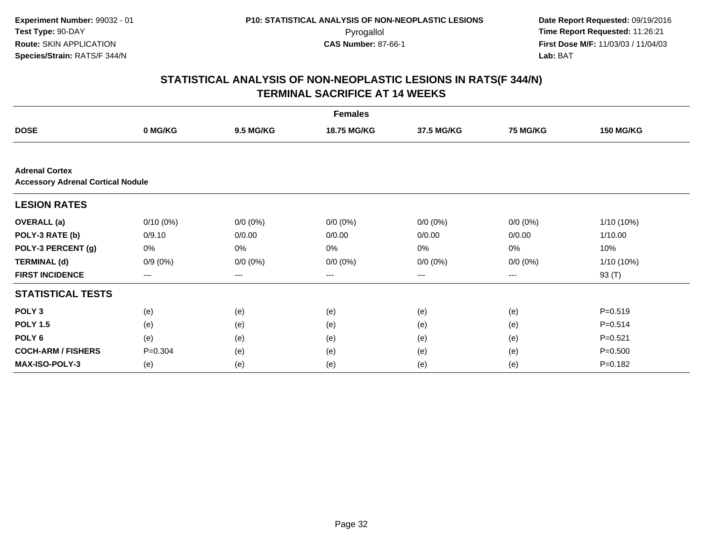| <b>Females</b>                                                    |                   |                  |                        |             |                 |                  |  |  |
|-------------------------------------------------------------------|-------------------|------------------|------------------------|-------------|-----------------|------------------|--|--|
| <b>DOSE</b>                                                       | 0 MG/KG           | <b>9.5 MG/KG</b> | <b>18.75 MG/KG</b>     | 37.5 MG/KG  | <b>75 MG/KG</b> | <b>150 MG/KG</b> |  |  |
|                                                                   |                   |                  |                        |             |                 |                  |  |  |
| <b>Adrenal Cortex</b><br><b>Accessory Adrenal Cortical Nodule</b> |                   |                  |                        |             |                 |                  |  |  |
| <b>LESION RATES</b>                                               |                   |                  |                        |             |                 |                  |  |  |
| <b>OVERALL</b> (a)                                                | $0/10(0\%)$       | $0/0 (0\%)$      | $0/0 (0\%)$            | $0/0 (0\%)$ | $0/0 (0\%)$     | 1/10 (10%)       |  |  |
| POLY-3 RATE (b)                                                   | 0/9.10            | 0/0.00           | 0/0.00                 | 0/0.00      | 0/0.00          | 1/10.00          |  |  |
| POLY-3 PERCENT (g)                                                | $0\%$             | 0%               | 0%                     | 0%          | 0%              | 10%              |  |  |
| <b>TERMINAL (d)</b>                                               | $0/9(0\%)$        | $0/0 (0\%)$      | $0/0 (0\%)$            | $0/0 (0\%)$ | $0/0 (0\%)$     | 1/10 (10%)       |  |  |
| <b>FIRST INCIDENCE</b>                                            | $\qquad \qquad -$ | ---              | $\qquad \qquad \cdots$ | ---         | ---             | 93 (T)           |  |  |
| <b>STATISTICAL TESTS</b>                                          |                   |                  |                        |             |                 |                  |  |  |
| POLY <sub>3</sub>                                                 | (e)               | (e)              | (e)                    | (e)         | (e)             | $P = 0.519$      |  |  |
| <b>POLY 1.5</b>                                                   | (e)               | (e)              | (e)                    | (e)         | (e)             | $P = 0.514$      |  |  |
| POLY <sub>6</sub>                                                 | (e)               | (e)              | (e)                    | (e)         | (e)             | $P = 0.521$      |  |  |
| <b>COCH-ARM / FISHERS</b>                                         | $P = 0.304$       | (e)              | (e)                    | (e)         | (e)             | $P = 0.500$      |  |  |
| <b>MAX-ISO-POLY-3</b>                                             | (e)               | (e)              | (e)                    | (e)         | (e)             | $P = 0.182$      |  |  |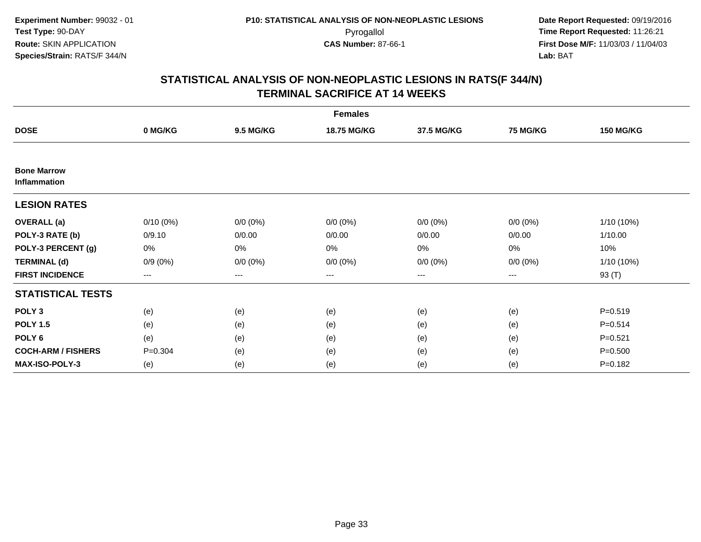| <b>Females</b>                     |             |                  |             |                        |                 |                  |  |  |
|------------------------------------|-------------|------------------|-------------|------------------------|-----------------|------------------|--|--|
| <b>DOSE</b>                        | 0 MG/KG     | <b>9.5 MG/KG</b> | 18.75 MG/KG | 37.5 MG/KG             | <b>75 MG/KG</b> | <b>150 MG/KG</b> |  |  |
|                                    |             |                  |             |                        |                 |                  |  |  |
| <b>Bone Marrow</b><br>Inflammation |             |                  |             |                        |                 |                  |  |  |
| <b>LESION RATES</b>                |             |                  |             |                        |                 |                  |  |  |
| <b>OVERALL</b> (a)                 | $0/10(0\%)$ | $0/0 (0\%)$      | $0/0 (0\%)$ | $0/0 (0\%)$            | $0/0 (0\%)$     | $1/10(10\%)$     |  |  |
| POLY-3 RATE (b)                    | 0/9.10      | 0/0.00           | 0/0.00      | 0/0.00                 | 0/0.00          | 1/10.00          |  |  |
| POLY-3 PERCENT (g)                 | 0%          | 0%               | 0%          | 0%                     | $0\%$           | 10%              |  |  |
| <b>TERMINAL (d)</b>                | $0/9(0\%)$  | $0/0 (0\%)$      | $0/0 (0\%)$ | $0/0 (0\%)$            | $0/0 (0\%)$     | $1/10(10\%)$     |  |  |
| <b>FIRST INCIDENCE</b>             | $--$        | ---              | ---         | $\qquad \qquad \cdots$ | ---             | 93 (T)           |  |  |
| <b>STATISTICAL TESTS</b>           |             |                  |             |                        |                 |                  |  |  |
| POLY <sub>3</sub>                  | (e)         | (e)              | (e)         | (e)                    | (e)             | $P = 0.519$      |  |  |
| <b>POLY 1.5</b>                    | (e)         | (e)              | (e)         | (e)                    | (e)             | $P = 0.514$      |  |  |
| POLY <sub>6</sub>                  | (e)         | (e)              | (e)         | (e)                    | (e)             | $P = 0.521$      |  |  |
| <b>COCH-ARM / FISHERS</b>          | $P = 0.304$ | (e)              | (e)         | (e)                    | (e)             | $P = 0.500$      |  |  |
| <b>MAX-ISO-POLY-3</b>              | (e)         | (e)              | (e)         | (e)                    | (e)             | $P = 0.182$      |  |  |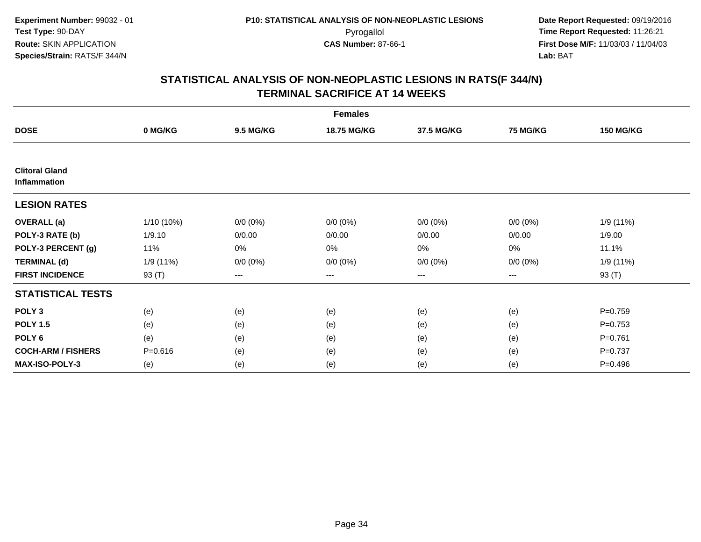| <b>Females</b>                        |             |                  |             |             |                 |                  |  |  |
|---------------------------------------|-------------|------------------|-------------|-------------|-----------------|------------------|--|--|
| <b>DOSE</b>                           | 0 MG/KG     | <b>9.5 MG/KG</b> | 18.75 MG/KG | 37.5 MG/KG  | <b>75 MG/KG</b> | <b>150 MG/KG</b> |  |  |
|                                       |             |                  |             |             |                 |                  |  |  |
| <b>Clitoral Gland</b><br>Inflammation |             |                  |             |             |                 |                  |  |  |
| <b>LESION RATES</b>                   |             |                  |             |             |                 |                  |  |  |
| <b>OVERALL</b> (a)                    | 1/10 (10%)  | $0/0 (0\%)$      | $0/0 (0\%)$ | $0/0 (0\%)$ | $0/0 (0\%)$     | 1/9(11%)         |  |  |
| POLY-3 RATE (b)                       | 1/9.10      | 0/0.00           | 0/0.00      | 0/0.00      | 0/0.00          | 1/9.00           |  |  |
| POLY-3 PERCENT (g)                    | 11%         | 0%               | 0%          | 0%          | 0%              | 11.1%            |  |  |
| <b>TERMINAL (d)</b>                   | 1/9 (11%)   | $0/0 (0\%)$      | $0/0 (0\%)$ | $0/0 (0\%)$ | $0/0 (0\%)$     | 1/9(11%)         |  |  |
| <b>FIRST INCIDENCE</b>                | 93 (T)      | ---              | $--$        | ---         | $--$            | 93 (T)           |  |  |
| <b>STATISTICAL TESTS</b>              |             |                  |             |             |                 |                  |  |  |
| POLY <sub>3</sub>                     | (e)         | (e)              | (e)         | (e)         | (e)             | $P=0.759$        |  |  |
| <b>POLY 1.5</b>                       | (e)         | (e)              | (e)         | (e)         | (e)             | $P=0.753$        |  |  |
| POLY <sub>6</sub>                     | (e)         | (e)              | (e)         | (e)         | (e)             | $P = 0.761$      |  |  |
| <b>COCH-ARM / FISHERS</b>             | $P = 0.616$ | (e)              | (e)         | (e)         | (e)             | $P = 0.737$      |  |  |
| <b>MAX-ISO-POLY-3</b>                 | (e)         | (e)              | (e)         | (e)         | (e)             | $P=0.496$        |  |  |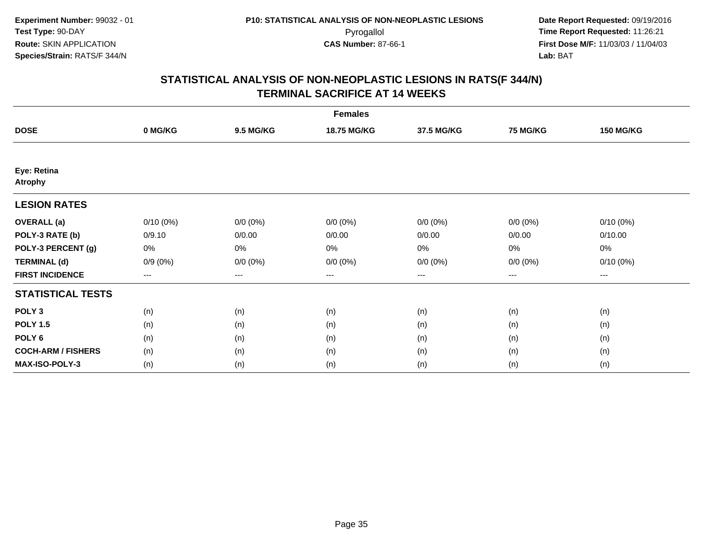| <b>Females</b>                |                        |                  |             |                   |                 |                  |  |  |
|-------------------------------|------------------------|------------------|-------------|-------------------|-----------------|------------------|--|--|
| <b>DOSE</b>                   | 0 MG/KG                | <b>9.5 MG/KG</b> | 18.75 MG/KG | 37.5 MG/KG        | <b>75 MG/KG</b> | <b>150 MG/KG</b> |  |  |
|                               |                        |                  |             |                   |                 |                  |  |  |
| Eye: Retina<br><b>Atrophy</b> |                        |                  |             |                   |                 |                  |  |  |
| <b>LESION RATES</b>           |                        |                  |             |                   |                 |                  |  |  |
| <b>OVERALL</b> (a)            | $0/10(0\%)$            | $0/0 (0\%)$      | $0/0 (0\%)$ | $0/0 (0\%)$       | $0/0 (0\%)$     | $0/10(0\%)$      |  |  |
| POLY-3 RATE (b)               | 0/9.10                 | 0/0.00           | 0/0.00      | 0/0.00            | 0/0.00          | 0/10.00          |  |  |
| POLY-3 PERCENT (g)            | 0%                     | $0\%$            | 0%          | 0%                | $0\%$           | 0%               |  |  |
| <b>TERMINAL (d)</b>           | $0/9(0\%)$             | $0/0 (0\%)$      | $0/0 (0\%)$ | $0/0 (0\%)$       | $0/0 (0\%)$     | $0/10(0\%)$      |  |  |
| <b>FIRST INCIDENCE</b>        | $\qquad \qquad \cdots$ | $---$            | ---         | $\qquad \qquad -$ | ---             | $---$            |  |  |
| <b>STATISTICAL TESTS</b>      |                        |                  |             |                   |                 |                  |  |  |
| POLY <sub>3</sub>             | (n)                    | (n)              | (n)         | (n)               | (n)             | (n)              |  |  |
| <b>POLY 1.5</b>               | (n)                    | (n)              | (n)         | (n)               | (n)             | (n)              |  |  |
| POLY <sub>6</sub>             | (n)                    | (n)              | (n)         | (n)               | (n)             | (n)              |  |  |
| <b>COCH-ARM / FISHERS</b>     | (n)                    | (n)              | (n)         | (n)               | (n)             | (n)              |  |  |
| MAX-ISO-POLY-3                | (n)                    | (n)              | (n)         | (n)               | (n)             | (n)              |  |  |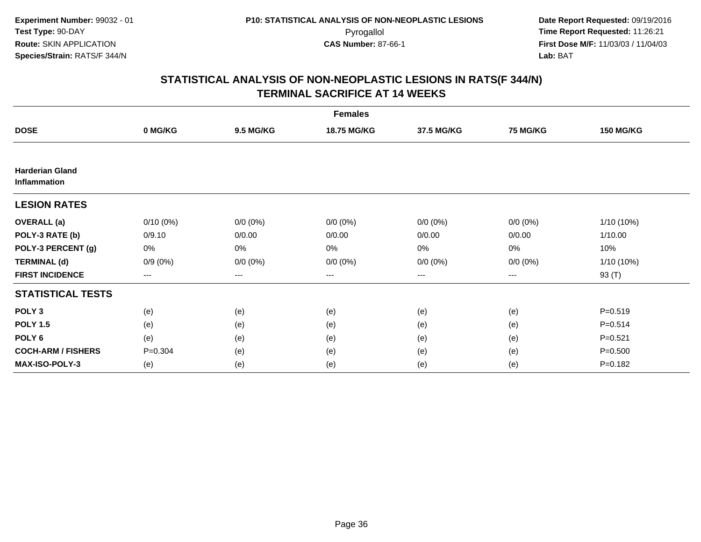| <b>Females</b>                         |             |                  |             |                        |                 |                  |  |  |
|----------------------------------------|-------------|------------------|-------------|------------------------|-----------------|------------------|--|--|
| <b>DOSE</b>                            | 0 MG/KG     | <b>9.5 MG/KG</b> | 18.75 MG/KG | 37.5 MG/KG             | <b>75 MG/KG</b> | <b>150 MG/KG</b> |  |  |
|                                        |             |                  |             |                        |                 |                  |  |  |
| <b>Harderian Gland</b><br>Inflammation |             |                  |             |                        |                 |                  |  |  |
| <b>LESION RATES</b>                    |             |                  |             |                        |                 |                  |  |  |
| <b>OVERALL</b> (a)                     | $0/10(0\%)$ | $0/0 (0\%)$      | $0/0 (0\%)$ | $0/0 (0\%)$            | $0/0 (0\%)$     | $1/10(10\%)$     |  |  |
| POLY-3 RATE (b)                        | 0/9.10      | 0/0.00           | 0/0.00      | 0/0.00                 | 0/0.00          | 1/10.00          |  |  |
| POLY-3 PERCENT (g)                     | 0%          | 0%               | 0%          | 0%                     | $0\%$           | 10%              |  |  |
| <b>TERMINAL (d)</b>                    | $0/9(0\%)$  | $0/0 (0\%)$      | $0/0 (0\%)$ | $0/0 (0\%)$            | $0/0 (0\%)$     | $1/10(10\%)$     |  |  |
| <b>FIRST INCIDENCE</b>                 | $--$        | ---              | ---         | $\qquad \qquad \cdots$ | ---             | 93 (T)           |  |  |
| <b>STATISTICAL TESTS</b>               |             |                  |             |                        |                 |                  |  |  |
| POLY <sub>3</sub>                      | (e)         | (e)              | (e)         | (e)                    | (e)             | $P = 0.519$      |  |  |
| <b>POLY 1.5</b>                        | (e)         | (e)              | (e)         | (e)                    | (e)             | $P = 0.514$      |  |  |
| POLY <sub>6</sub>                      | (e)         | (e)              | (e)         | (e)                    | (e)             | $P = 0.521$      |  |  |
| <b>COCH-ARM / FISHERS</b>              | $P = 0.304$ | (e)              | (e)         | (e)                    | (e)             | $P = 0.500$      |  |  |
| <b>MAX-ISO-POLY-3</b>                  | (e)         | (e)              | (e)         | (e)                    | (e)             | $P = 0.182$      |  |  |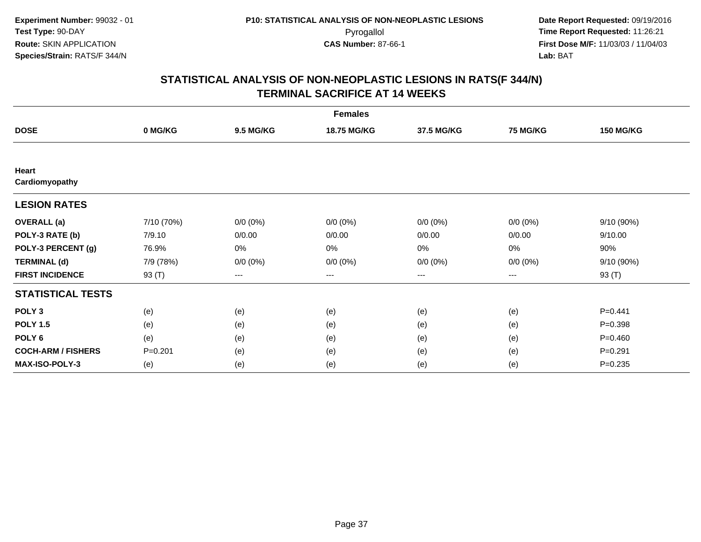| <b>Females</b>            |             |                  |             |             |             |                  |  |  |
|---------------------------|-------------|------------------|-------------|-------------|-------------|------------------|--|--|
| <b>DOSE</b>               | 0 MG/KG     | <b>9.5 MG/KG</b> | 18.75 MG/KG | 37.5 MG/KG  | 75 MG/KG    | <b>150 MG/KG</b> |  |  |
|                           |             |                  |             |             |             |                  |  |  |
| Heart<br>Cardiomyopathy   |             |                  |             |             |             |                  |  |  |
| <b>LESION RATES</b>       |             |                  |             |             |             |                  |  |  |
| <b>OVERALL</b> (a)        | 7/10 (70%)  | $0/0 (0\%)$      | $0/0 (0\%)$ | $0/0 (0\%)$ | $0/0 (0\%)$ | 9/10 (90%)       |  |  |
| POLY-3 RATE (b)           | 7/9.10      | 0/0.00           | 0/0.00      | 0/0.00      | 0/0.00      | 9/10.00          |  |  |
| POLY-3 PERCENT (g)        | 76.9%       | 0%               | 0%          | 0%          | 0%          | 90%              |  |  |
| <b>TERMINAL (d)</b>       | 7/9 (78%)   | $0/0 (0\%)$      | $0/0 (0\%)$ | $0/0 (0\%)$ | $0/0 (0\%)$ | 9/10 (90%)       |  |  |
| <b>FIRST INCIDENCE</b>    | 93 (T)      | $---$            | ---         | $\cdots$    | $---$       | 93 (T)           |  |  |
| <b>STATISTICAL TESTS</b>  |             |                  |             |             |             |                  |  |  |
| POLY <sub>3</sub>         | (e)         | (e)              | (e)         | (e)         | (e)         | $P=0.441$        |  |  |
| <b>POLY 1.5</b>           | (e)         | (e)              | (e)         | (e)         | (e)         | $P = 0.398$      |  |  |
| POLY <sub>6</sub>         | (e)         | (e)              | (e)         | (e)         | (e)         | $P=0.460$        |  |  |
| <b>COCH-ARM / FISHERS</b> | $P = 0.201$ | (e)              | (e)         | (e)         | (e)         | $P = 0.291$      |  |  |
| <b>MAX-ISO-POLY-3</b>     | (e)         | (e)              | (e)         | (e)         | (e)         | $P = 0.235$      |  |  |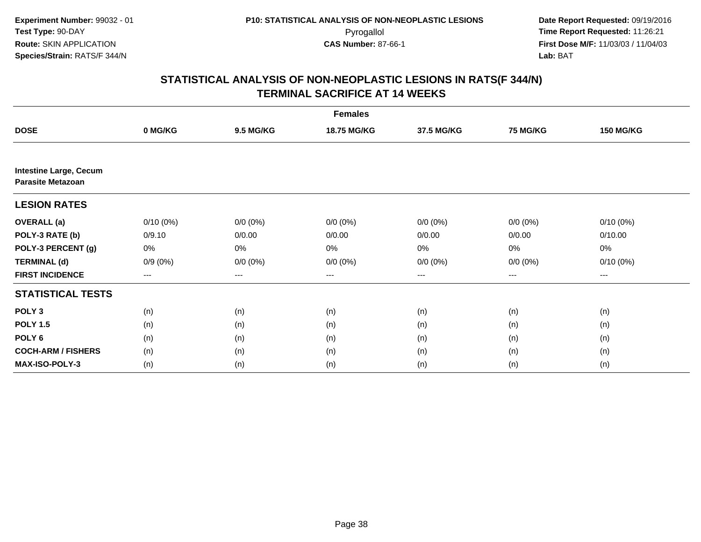| <b>Females</b>                                            |             |                  |             |             |                 |                  |  |  |
|-----------------------------------------------------------|-------------|------------------|-------------|-------------|-----------------|------------------|--|--|
| <b>DOSE</b>                                               | 0 MG/KG     | <b>9.5 MG/KG</b> | 18.75 MG/KG | 37.5 MG/KG  | <b>75 MG/KG</b> | <b>150 MG/KG</b> |  |  |
|                                                           |             |                  |             |             |                 |                  |  |  |
| <b>Intestine Large, Cecum</b><br><b>Parasite Metazoan</b> |             |                  |             |             |                 |                  |  |  |
| <b>LESION RATES</b>                                       |             |                  |             |             |                 |                  |  |  |
| <b>OVERALL</b> (a)                                        | $0/10(0\%)$ | $0/0 (0\%)$      | $0/0 (0\%)$ | $0/0 (0\%)$ | $0/0 (0\%)$     | $0/10(0\%)$      |  |  |
| POLY-3 RATE (b)                                           | 0/9.10      | 0/0.00           | 0/0.00      | 0/0.00      | 0/0.00          | 0/10.00          |  |  |
| POLY-3 PERCENT (g)                                        | 0%          | 0%               | 0%          | 0%          | 0%              | 0%               |  |  |
| <b>TERMINAL (d)</b>                                       | $0/9(0\%)$  | $0/0 (0\%)$      | $0/0 (0\%)$ | $0/0 (0\%)$ | $0/0 (0\%)$     | $0/10(0\%)$      |  |  |
| <b>FIRST INCIDENCE</b>                                    | ---         | $---$            | $--$        | $--$        | ---             | $--$             |  |  |
| <b>STATISTICAL TESTS</b>                                  |             |                  |             |             |                 |                  |  |  |
| POLY <sub>3</sub>                                         | (n)         | (n)              | (n)         | (n)         | (n)             | (n)              |  |  |
| <b>POLY 1.5</b>                                           | (n)         | (n)              | (n)         | (n)         | (n)             | (n)              |  |  |
| POLY <sub>6</sub>                                         | (n)         | (n)              | (n)         | (n)         | (n)             | (n)              |  |  |
| <b>COCH-ARM / FISHERS</b>                                 | (n)         | (n)              | (n)         | (n)         | (n)             | (n)              |  |  |
| MAX-ISO-POLY-3                                            | (n)         | (n)              | (n)         | (n)         | (n)             | (n)              |  |  |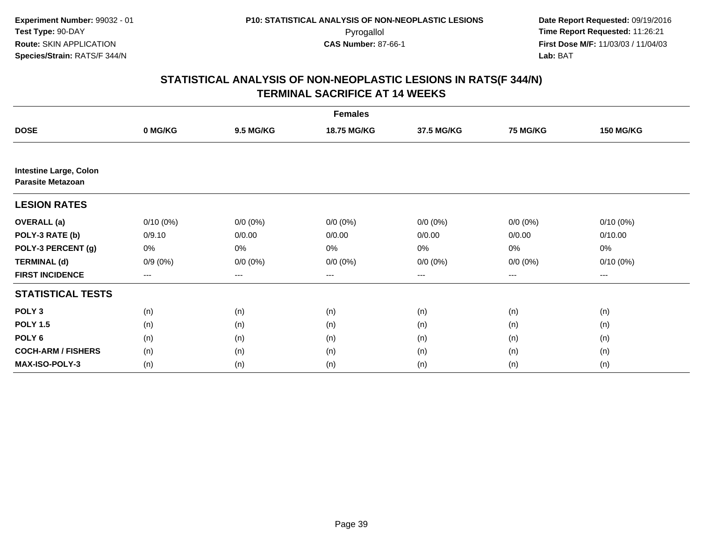| <b>Females</b>                                            |             |                  |             |             |             |                  |  |  |
|-----------------------------------------------------------|-------------|------------------|-------------|-------------|-------------|------------------|--|--|
| <b>DOSE</b>                                               | 0 MG/KG     | <b>9.5 MG/KG</b> | 18.75 MG/KG | 37.5 MG/KG  | 75 MG/KG    | <b>150 MG/KG</b> |  |  |
|                                                           |             |                  |             |             |             |                  |  |  |
| <b>Intestine Large, Colon</b><br><b>Parasite Metazoan</b> |             |                  |             |             |             |                  |  |  |
| <b>LESION RATES</b>                                       |             |                  |             |             |             |                  |  |  |
| <b>OVERALL</b> (a)                                        | $0/10(0\%)$ | $0/0 (0\%)$      | $0/0 (0\%)$ | $0/0 (0\%)$ | $0/0 (0\%)$ | $0/10(0\%)$      |  |  |
| POLY-3 RATE (b)                                           | 0/9.10      | 0/0.00           | 0/0.00      | 0/0.00      | 0/0.00      | 0/10.00          |  |  |
| POLY-3 PERCENT (g)                                        | 0%          | 0%               | 0%          | 0%          | 0%          | 0%               |  |  |
| <b>TERMINAL (d)</b>                                       | $0/9(0\%)$  | $0/0 (0\%)$      | $0/0 (0\%)$ | $0/0 (0\%)$ | $0/0 (0\%)$ | $0/10(0\%)$      |  |  |
| <b>FIRST INCIDENCE</b>                                    | ---         | ---              | $--$        | ---         | ---         | $---$            |  |  |
| <b>STATISTICAL TESTS</b>                                  |             |                  |             |             |             |                  |  |  |
| POLY <sub>3</sub>                                         | (n)         | (n)              | (n)         | (n)         | (n)         | (n)              |  |  |
| <b>POLY 1.5</b>                                           | (n)         | (n)              | (n)         | (n)         | (n)         | (n)              |  |  |
| POLY <sub>6</sub>                                         | (n)         | (n)              | (n)         | (n)         | (n)         | (n)              |  |  |
| <b>COCH-ARM / FISHERS</b>                                 | (n)         | (n)              | (n)         | (n)         | (n)         | (n)              |  |  |
| <b>MAX-ISO-POLY-3</b>                                     | (n)         | (n)              | (n)         | (n)         | (n)         | (n)              |  |  |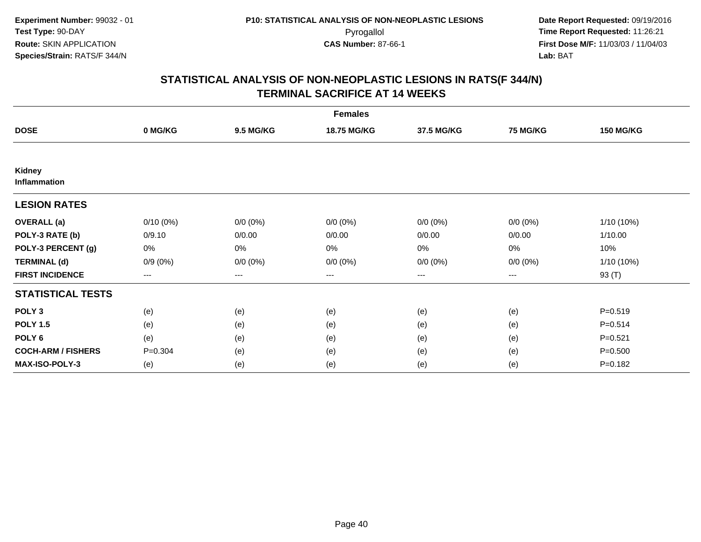| <b>Females</b>            |             |                  |             |             |             |                  |  |  |
|---------------------------|-------------|------------------|-------------|-------------|-------------|------------------|--|--|
| <b>DOSE</b>               | 0 MG/KG     | <b>9.5 MG/KG</b> | 18.75 MG/KG | 37.5 MG/KG  | 75 MG/KG    | <b>150 MG/KG</b> |  |  |
|                           |             |                  |             |             |             |                  |  |  |
| Kidney<br>Inflammation    |             |                  |             |             |             |                  |  |  |
| <b>LESION RATES</b>       |             |                  |             |             |             |                  |  |  |
| <b>OVERALL</b> (a)        | $0/10(0\%)$ | $0/0 (0\%)$      | $0/0 (0\%)$ | $0/0 (0\%)$ | $0/0 (0\%)$ | 1/10 (10%)       |  |  |
| POLY-3 RATE (b)           | 0/9.10      | 0/0.00           | 0/0.00      | 0/0.00      | 0/0.00      | 1/10.00          |  |  |
| POLY-3 PERCENT (g)        | 0%          | 0%               | 0%          | 0%          | $0\%$       | 10%              |  |  |
| <b>TERMINAL (d)</b>       | $0/9(0\%)$  | $0/0 (0\%)$      | $0/0 (0\%)$ | $0/0 (0\%)$ | $0/0 (0\%)$ | 1/10 (10%)       |  |  |
| <b>FIRST INCIDENCE</b>    | $---$       | ---              | ---         | $--$        | ---         | 93 (T)           |  |  |
| <b>STATISTICAL TESTS</b>  |             |                  |             |             |             |                  |  |  |
| POLY <sub>3</sub>         | (e)         | (e)              | (e)         | (e)         | (e)         | $P = 0.519$      |  |  |
| <b>POLY 1.5</b>           | (e)         | (e)              | (e)         | (e)         | (e)         | $P = 0.514$      |  |  |
| POLY <sub>6</sub>         | (e)         | (e)              | (e)         | (e)         | (e)         | $P = 0.521$      |  |  |
| <b>COCH-ARM / FISHERS</b> | $P = 0.304$ | (e)              | (e)         | (e)         | (e)         | $P = 0.500$      |  |  |
| <b>MAX-ISO-POLY-3</b>     | (e)         | (e)              | (e)         | (e)         | (e)         | $P = 0.182$      |  |  |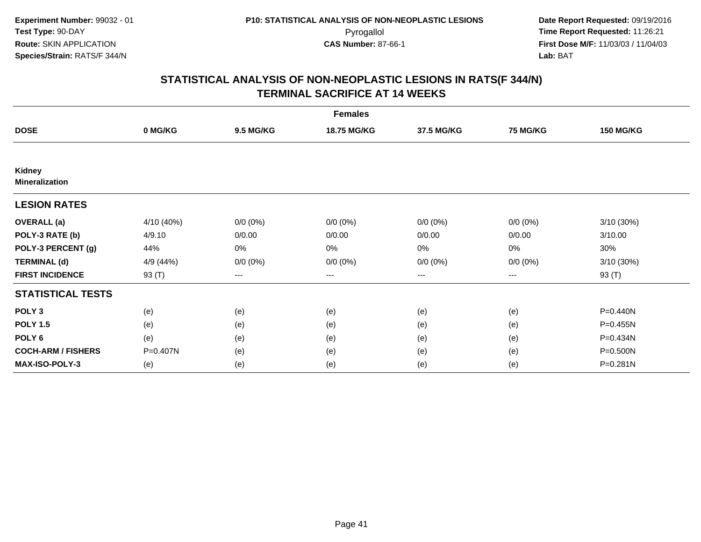| <b>Females</b>                  |            |                  |             |                   |                 |                  |  |  |
|---------------------------------|------------|------------------|-------------|-------------------|-----------------|------------------|--|--|
| <b>DOSE</b>                     | 0 MG/KG    | <b>9.5 MG/KG</b> | 18.75 MG/KG | 37.5 MG/KG        | <b>75 MG/KG</b> | <b>150 MG/KG</b> |  |  |
|                                 |            |                  |             |                   |                 |                  |  |  |
| Kidney<br><b>Mineralization</b> |            |                  |             |                   |                 |                  |  |  |
| <b>LESION RATES</b>             |            |                  |             |                   |                 |                  |  |  |
| <b>OVERALL</b> (a)              | 4/10 (40%) | $0/0 (0\%)$      | $0/0 (0\%)$ | $0/0 (0\%)$       | $0/0 (0\%)$     | 3/10 (30%)       |  |  |
| POLY-3 RATE (b)                 | 4/9.10     | 0/0.00           | 0/0.00      | 0/0.00            | 0/0.00          | 3/10.00          |  |  |
| POLY-3 PERCENT (g)              | 44%        | 0%               | 0%          | $0\%$             | $0\%$           | 30%              |  |  |
| <b>TERMINAL (d)</b>             | 4/9 (44%)  | $0/0 (0\%)$      | $0/0 (0\%)$ | $0/0 (0\%)$       | $0/0 (0\%)$     | 3/10 (30%)       |  |  |
| <b>FIRST INCIDENCE</b>          | 93 (T)     | $---$            | ---         | $\qquad \qquad -$ | $---$           | 93 (T)           |  |  |
| <b>STATISTICAL TESTS</b>        |            |                  |             |                   |                 |                  |  |  |
| POLY <sub>3</sub>               | (e)        | (e)              | (e)         | (e)               | (e)             | P=0.440N         |  |  |
| <b>POLY 1.5</b>                 | (e)        | (e)              | (e)         | (e)               | (e)             | P=0.455N         |  |  |
| POLY <sub>6</sub>               | (e)        | (e)              | (e)         | (e)               | (e)             | P=0.434N         |  |  |
| <b>COCH-ARM / FISHERS</b>       | P=0.407N   | (e)              | (e)         | (e)               | (e)             | P=0.500N         |  |  |
| <b>MAX-ISO-POLY-3</b>           | (e)        | (e)              | (e)         | (e)               | (e)             | P=0.281N         |  |  |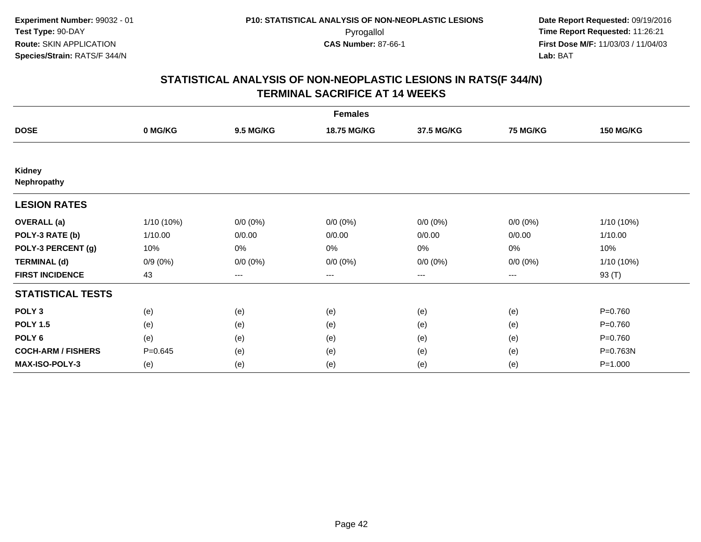| <b>Females</b>            |              |                  |             |                        |                 |                  |  |  |
|---------------------------|--------------|------------------|-------------|------------------------|-----------------|------------------|--|--|
| <b>DOSE</b>               | 0 MG/KG      | <b>9.5 MG/KG</b> | 18.75 MG/KG | 37.5 MG/KG             | <b>75 MG/KG</b> | <b>150 MG/KG</b> |  |  |
|                           |              |                  |             |                        |                 |                  |  |  |
| Kidney<br>Nephropathy     |              |                  |             |                        |                 |                  |  |  |
| <b>LESION RATES</b>       |              |                  |             |                        |                 |                  |  |  |
| <b>OVERALL</b> (a)        | $1/10(10\%)$ | $0/0 (0\%)$      | $0/0 (0\%)$ | $0/0 (0\%)$            | $0/0 (0\%)$     | $1/10(10\%)$     |  |  |
| POLY-3 RATE (b)           | 1/10.00      | 0/0.00           | 0/0.00      | 0/0.00                 | 0/0.00          | 1/10.00          |  |  |
| POLY-3 PERCENT (g)        | 10%          | 0%               | 0%          | $0\%$                  | $0\%$           | 10%              |  |  |
| <b>TERMINAL (d)</b>       | $0/9(0\%)$   | $0/0 (0\%)$      | $0/0 (0\%)$ | $0/0 (0\%)$            | $0/0 (0\%)$     | 1/10 (10%)       |  |  |
| <b>FIRST INCIDENCE</b>    | 43           | ---              | ---         | $\qquad \qquad \cdots$ | ---             | 93 (T)           |  |  |
| <b>STATISTICAL TESTS</b>  |              |                  |             |                        |                 |                  |  |  |
| POLY <sub>3</sub>         | (e)          | (e)              | (e)         | (e)                    | (e)             | $P = 0.760$      |  |  |
| <b>POLY 1.5</b>           | (e)          | (e)              | (e)         | (e)                    | (e)             | $P = 0.760$      |  |  |
| POLY <sub>6</sub>         | (e)          | (e)              | (e)         | (e)                    | (e)             | $P=0.760$        |  |  |
| <b>COCH-ARM / FISHERS</b> | $P = 0.645$  | (e)              | (e)         | (e)                    | (e)             | P=0.763N         |  |  |
| <b>MAX-ISO-POLY-3</b>     | (e)          | (e)              | (e)         | (e)                    | (e)             | $P = 1.000$      |  |  |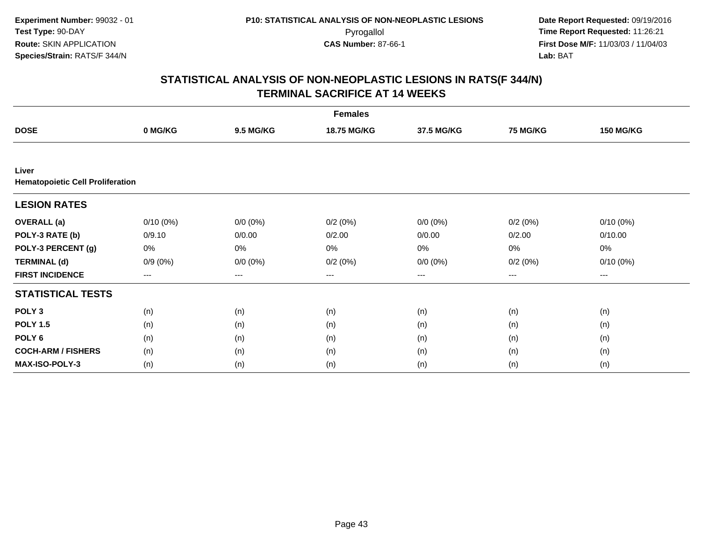| <b>Females</b>                                   |             |                  |             |             |          |                  |  |  |
|--------------------------------------------------|-------------|------------------|-------------|-------------|----------|------------------|--|--|
| <b>DOSE</b>                                      | 0 MG/KG     | <b>9.5 MG/KG</b> | 18.75 MG/KG | 37.5 MG/KG  | 75 MG/KG | <b>150 MG/KG</b> |  |  |
|                                                  |             |                  |             |             |          |                  |  |  |
| Liver<br><b>Hematopoietic Cell Proliferation</b> |             |                  |             |             |          |                  |  |  |
| <b>LESION RATES</b>                              |             |                  |             |             |          |                  |  |  |
| <b>OVERALL</b> (a)                               | $0/10(0\%)$ | $0/0 (0\%)$      | 0/2(0%)     | $0/0 (0\%)$ | 0/2(0%)  | $0/10(0\%)$      |  |  |
| POLY-3 RATE (b)                                  | 0/9.10      | 0/0.00           | 0/2.00      | 0/0.00      | 0/2.00   | 0/10.00          |  |  |
| POLY-3 PERCENT (g)                               | 0%          | 0%               | 0%          | 0%          | 0%       | 0%               |  |  |
| <b>TERMINAL (d)</b>                              | $0/9(0\%)$  | $0/0 (0\%)$      | 0/2(0%)     | $0/0 (0\%)$ | 0/2(0%)  | $0/10(0\%)$      |  |  |
| <b>FIRST INCIDENCE</b>                           | $---$       | ---              | ---         | $\cdots$    | $---$    | ---              |  |  |
| <b>STATISTICAL TESTS</b>                         |             |                  |             |             |          |                  |  |  |
| POLY <sub>3</sub>                                | (n)         | (n)              | (n)         | (n)         | (n)      | (n)              |  |  |
| <b>POLY 1.5</b>                                  | (n)         | (n)              | (n)         | (n)         | (n)      | (n)              |  |  |
| POLY <sub>6</sub>                                | (n)         | (n)              | (n)         | (n)         | (n)      | (n)              |  |  |
| <b>COCH-ARM / FISHERS</b>                        | (n)         | (n)              | (n)         | (n)         | (n)      | (n)              |  |  |
| <b>MAX-ISO-POLY-3</b>                            | (n)         | (n)              | (n)         | (n)         | (n)      | (n)              |  |  |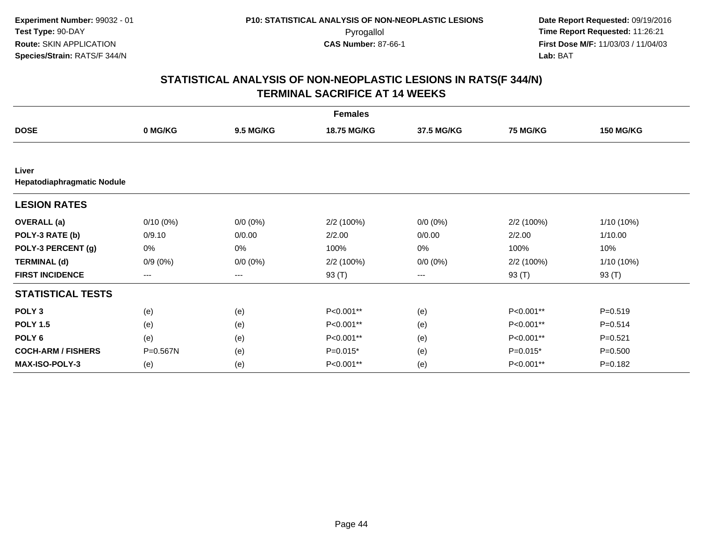| <b>Females</b>                      |             |                  |                    |                        |                 |                  |  |  |
|-------------------------------------|-------------|------------------|--------------------|------------------------|-----------------|------------------|--|--|
| <b>DOSE</b>                         | 0 MG/KG     | <b>9.5 MG/KG</b> | <b>18.75 MG/KG</b> | 37.5 MG/KG             | <b>75 MG/KG</b> | <b>150 MG/KG</b> |  |  |
|                                     |             |                  |                    |                        |                 |                  |  |  |
| Liver<br>Hepatodiaphragmatic Nodule |             |                  |                    |                        |                 |                  |  |  |
| <b>LESION RATES</b>                 |             |                  |                    |                        |                 |                  |  |  |
| <b>OVERALL</b> (a)                  | $0/10(0\%)$ | $0/0 (0\%)$      | 2/2 (100%)         | $0/0 (0\%)$            | 2/2 (100%)      | 1/10 (10%)       |  |  |
| POLY-3 RATE (b)                     | 0/9.10      | 0/0.00           | 2/2.00             | 0/0.00                 | 2/2.00          | 1/10.00          |  |  |
| POLY-3 PERCENT (g)                  | 0%          | 0%               | 100%               | 0%                     | 100%            | 10%              |  |  |
| <b>TERMINAL (d)</b>                 | $0/9(0\%)$  | $0/0 (0\%)$      | 2/2 (100%)         | $0/0 (0\%)$            | 2/2 (100%)      | 1/10 (10%)       |  |  |
| <b>FIRST INCIDENCE</b>              | $---$       | ---              | 93 (T)             | $\qquad \qquad \cdots$ | 93 (T)          | 93 (T)           |  |  |
| <b>STATISTICAL TESTS</b>            |             |                  |                    |                        |                 |                  |  |  |
| POLY <sub>3</sub>                   | (e)         | (e)              | P<0.001**          | (e)                    | P<0.001**       | $P = 0.519$      |  |  |
| <b>POLY 1.5</b>                     | (e)         | (e)              | P<0.001**          | (e)                    | P<0.001**       | $P = 0.514$      |  |  |
| POLY <sub>6</sub>                   | (e)         | (e)              | P<0.001**          | (e)                    | P<0.001**       | $P = 0.521$      |  |  |
| <b>COCH-ARM / FISHERS</b>           | P=0.567N    | (e)              | $P=0.015*$         | (e)                    | $P=0.015*$      | $P = 0.500$      |  |  |
| <b>MAX-ISO-POLY-3</b>               | (e)         | (e)              | P<0.001**          | (e)                    | P<0.001**       | $P = 0.182$      |  |  |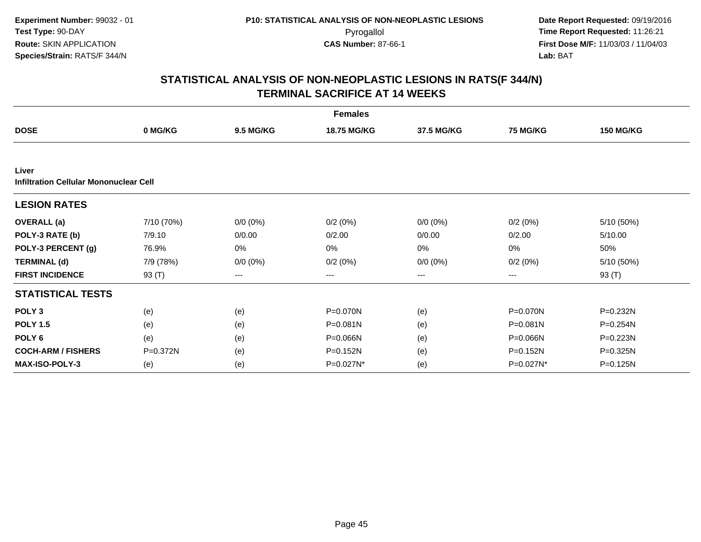| <b>Females</b>                                         |            |                  |                    |             |                 |                  |  |  |
|--------------------------------------------------------|------------|------------------|--------------------|-------------|-----------------|------------------|--|--|
| <b>DOSE</b>                                            | 0 MG/KG    | <b>9.5 MG/KG</b> | <b>18.75 MG/KG</b> | 37.5 MG/KG  | <b>75 MG/KG</b> | <b>150 MG/KG</b> |  |  |
|                                                        |            |                  |                    |             |                 |                  |  |  |
| Liver<br><b>Infiltration Cellular Mononuclear Cell</b> |            |                  |                    |             |                 |                  |  |  |
| <b>LESION RATES</b>                                    |            |                  |                    |             |                 |                  |  |  |
| <b>OVERALL</b> (a)                                     | 7/10 (70%) | $0/0 (0\%)$      | 0/2(0%)            | $0/0 (0\%)$ | 0/2(0%)         | 5/10 (50%)       |  |  |
| POLY-3 RATE (b)                                        | 7/9.10     | 0/0.00           | 0/2.00             | 0/0.00      | 0/2.00          | 5/10.00          |  |  |
| POLY-3 PERCENT (g)                                     | 76.9%      | 0%               | 0%                 | 0%          | 0%              | 50%              |  |  |
| <b>TERMINAL (d)</b>                                    | 7/9 (78%)  | $0/0 (0\%)$      | 0/2(0%)            | $0/0 (0\%)$ | 0/2(0%)         | 5/10 (50%)       |  |  |
| <b>FIRST INCIDENCE</b>                                 | 93 (T)     | ---              | ---                | ---         | ---             | 93 (T)           |  |  |
| <b>STATISTICAL TESTS</b>                               |            |                  |                    |             |                 |                  |  |  |
| POLY <sub>3</sub>                                      | (e)        | (e)              | P=0.070N           | (e)         | P=0.070N        | P=0.232N         |  |  |
| <b>POLY 1.5</b>                                        | (e)        | (e)              | P=0.081N           | (e)         | P=0.081N        | P=0.254N         |  |  |
| POLY <sub>6</sub>                                      | (e)        | (e)              | P=0.066N           | (e)         | P=0.066N        | P=0.223N         |  |  |
| <b>COCH-ARM / FISHERS</b>                              | P=0.372N   | (e)              | $P=0.152N$         | (e)         | P=0.152N        | P=0.325N         |  |  |
| <b>MAX-ISO-POLY-3</b>                                  | (e)        | (e)              | P=0.027N*          | (e)         | P=0.027N*       | P=0.125N         |  |  |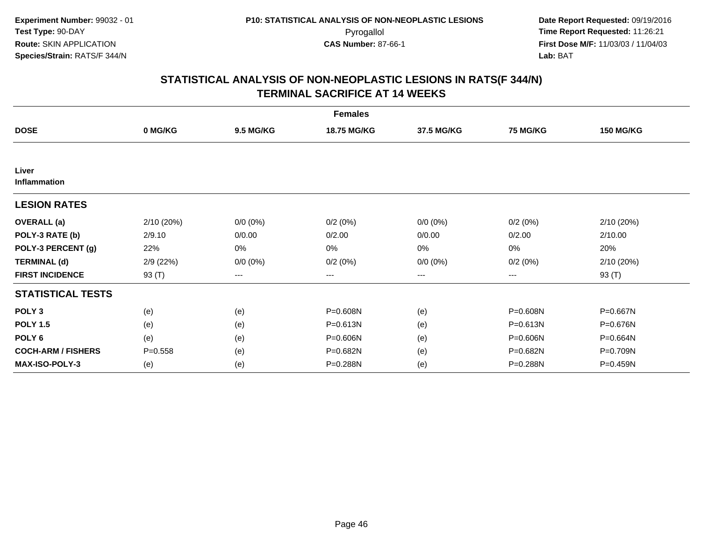| <b>Females</b>            |             |                  |                    |             |          |                  |  |  |
|---------------------------|-------------|------------------|--------------------|-------------|----------|------------------|--|--|
| <b>DOSE</b>               | 0 MG/KG     | <b>9.5 MG/KG</b> | <b>18.75 MG/KG</b> | 37.5 MG/KG  | 75 MG/KG | <b>150 MG/KG</b> |  |  |
|                           |             |                  |                    |             |          |                  |  |  |
| Liver<br>Inflammation     |             |                  |                    |             |          |                  |  |  |
| <b>LESION RATES</b>       |             |                  |                    |             |          |                  |  |  |
| <b>OVERALL</b> (a)        | 2/10 (20%)  | $0/0 (0\%)$      | 0/2(0%)            | $0/0 (0\%)$ | 0/2(0%)  | 2/10 (20%)       |  |  |
| POLY-3 RATE (b)           | 2/9.10      | 0/0.00           | 0/2.00             | 0/0.00      | 0/2.00   | 2/10.00          |  |  |
| POLY-3 PERCENT (g)        | 22%         | 0%               | 0%                 | 0%          | 0%       | 20%              |  |  |
| <b>TERMINAL (d)</b>       | 2/9 (22%)   | $0/0 (0\%)$      | 0/2(0%)            | $0/0 (0\%)$ | 0/2(0%)  | 2/10(20%)        |  |  |
| <b>FIRST INCIDENCE</b>    | 93 (T)      | ---              | ---                | ---         | ---      | 93 $(T)$         |  |  |
| <b>STATISTICAL TESTS</b>  |             |                  |                    |             |          |                  |  |  |
| POLY <sub>3</sub>         | (e)         | (e)              | P=0.608N           | (e)         | P=0.608N | P=0.667N         |  |  |
| <b>POLY 1.5</b>           | (e)         | (e)              | P=0.613N           | (e)         | P=0.613N | P=0.676N         |  |  |
| POLY <sub>6</sub>         | (e)         | (e)              | P=0.606N           | (e)         | P=0.606N | P=0.664N         |  |  |
| <b>COCH-ARM / FISHERS</b> | $P = 0.558$ | (e)              | P=0.682N           | (e)         | P=0.682N | P=0.709N         |  |  |
| <b>MAX-ISO-POLY-3</b>     | (e)         | (e)              | P=0.288N           | (e)         | P=0.288N | P=0.459N         |  |  |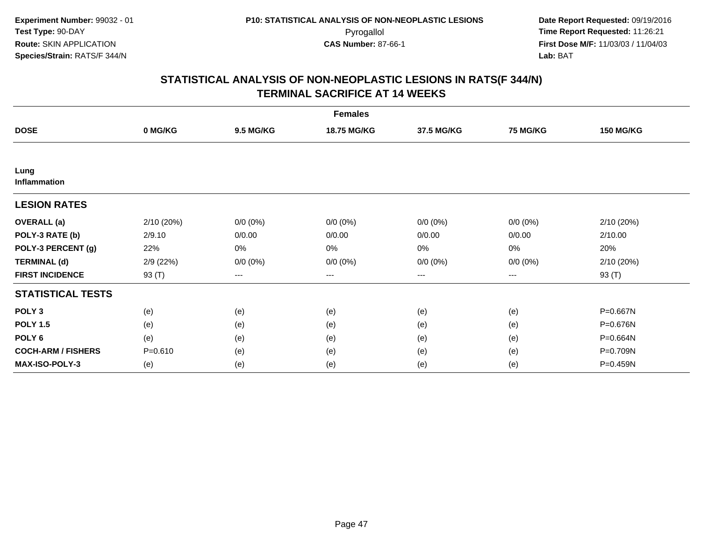| <b>Females</b>            |             |                   |             |             |             |                  |  |  |
|---------------------------|-------------|-------------------|-------------|-------------|-------------|------------------|--|--|
| <b>DOSE</b>               | 0 MG/KG     | <b>9.5 MG/KG</b>  | 18.75 MG/KG | 37.5 MG/KG  | 75 MG/KG    | <b>150 MG/KG</b> |  |  |
|                           |             |                   |             |             |             |                  |  |  |
| Lung<br>Inflammation      |             |                   |             |             |             |                  |  |  |
| <b>LESION RATES</b>       |             |                   |             |             |             |                  |  |  |
| <b>OVERALL</b> (a)        | 2/10 (20%)  | $0/0 (0\%)$       | $0/0 (0\%)$ | $0/0 (0\%)$ | $0/0 (0\%)$ | 2/10(20%)        |  |  |
| POLY-3 RATE (b)           | 2/9.10      | 0/0.00            | 0/0.00      | 0/0.00      | 0/0.00      | 2/10.00          |  |  |
| POLY-3 PERCENT (g)        | 22%         | 0%                | 0%          | 0%          | $0\%$       | 20%              |  |  |
| <b>TERMINAL (d)</b>       | 2/9(22%)    | $0/0 (0\%)$       | $0/0 (0\%)$ | $0/0 (0\%)$ | $0/0 (0\%)$ | 2/10 (20%)       |  |  |
| <b>FIRST INCIDENCE</b>    | 93 (T)      | $\qquad \qquad -$ | ---         | $\cdots$    | $---$       | 93 (T)           |  |  |
| <b>STATISTICAL TESTS</b>  |             |                   |             |             |             |                  |  |  |
| POLY <sub>3</sub>         | (e)         | (e)               | (e)         | (e)         | (e)         | P=0.667N         |  |  |
| <b>POLY 1.5</b>           | (e)         | (e)               | (e)         | (e)         | (e)         | P=0.676N         |  |  |
| POLY <sub>6</sub>         | (e)         | (e)               | (e)         | (e)         | (e)         | P=0.664N         |  |  |
| <b>COCH-ARM / FISHERS</b> | $P = 0.610$ | (e)               | (e)         | (e)         | (e)         | P=0.709N         |  |  |
| <b>MAX-ISO-POLY-3</b>     | (e)         | (e)               | (e)         | (e)         | (e)         | P=0.459N         |  |  |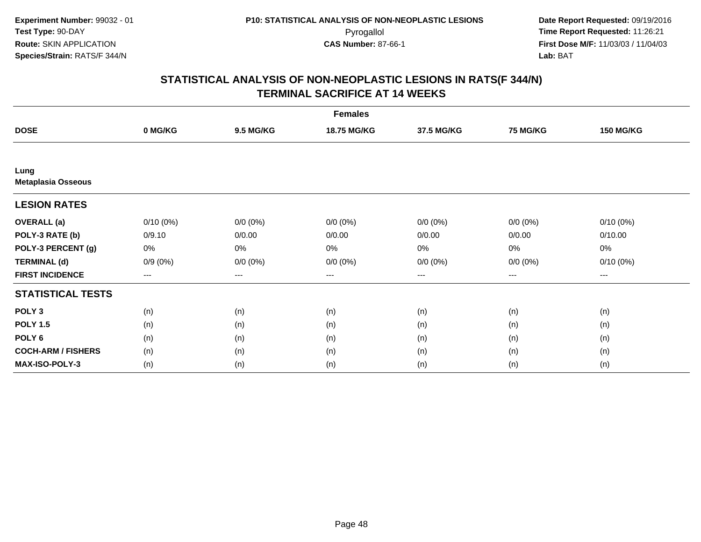| <b>Females</b>                    |                        |                  |             |                   |                 |                  |  |  |
|-----------------------------------|------------------------|------------------|-------------|-------------------|-----------------|------------------|--|--|
| <b>DOSE</b>                       | 0 MG/KG                | <b>9.5 MG/KG</b> | 18.75 MG/KG | 37.5 MG/KG        | <b>75 MG/KG</b> | <b>150 MG/KG</b> |  |  |
|                                   |                        |                  |             |                   |                 |                  |  |  |
| Lung<br><b>Metaplasia Osseous</b> |                        |                  |             |                   |                 |                  |  |  |
| <b>LESION RATES</b>               |                        |                  |             |                   |                 |                  |  |  |
| <b>OVERALL</b> (a)                | $0/10(0\%)$            | $0/0 (0\%)$      | $0/0 (0\%)$ | $0/0 (0\%)$       | $0/0 (0\%)$     | $0/10(0\%)$      |  |  |
| POLY-3 RATE (b)                   | 0/9.10                 | 0/0.00           | 0/0.00      | 0/0.00            | 0/0.00          | 0/10.00          |  |  |
| POLY-3 PERCENT (g)                | 0%                     | 0%               | 0%          | $0\%$             | $0\%$           | 0%               |  |  |
| <b>TERMINAL (d)</b>               | $0/9(0\%)$             | $0/0 (0\%)$      | $0/0 (0\%)$ | $0/0 (0\%)$       | $0/0 (0\%)$     | $0/10(0\%)$      |  |  |
| <b>FIRST INCIDENCE</b>            | $\qquad \qquad \cdots$ | $---$            | ---         | $\qquad \qquad -$ | $---$           | $---$            |  |  |
| <b>STATISTICAL TESTS</b>          |                        |                  |             |                   |                 |                  |  |  |
| POLY <sub>3</sub>                 | (n)                    | (n)              | (n)         | (n)               | (n)             | (n)              |  |  |
| <b>POLY 1.5</b>                   | (n)                    | (n)              | (n)         | (n)               | (n)             | (n)              |  |  |
| POLY <sub>6</sub>                 | (n)                    | (n)              | (n)         | (n)               | (n)             | (n)              |  |  |
| <b>COCH-ARM / FISHERS</b>         | (n)                    | (n)              | (n)         | (n)               | (n)             | (n)              |  |  |
| <b>MAX-ISO-POLY-3</b>             | (n)                    | (n)              | (n)         | (n)               | (n)             | (n)              |  |  |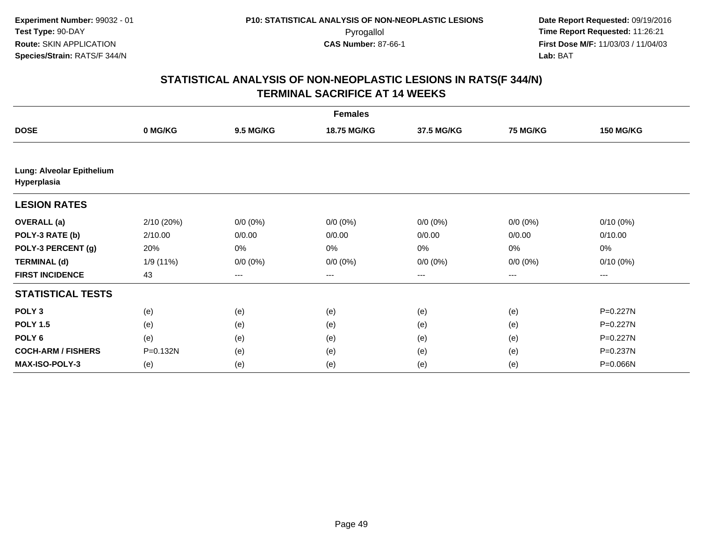| <b>Females</b>                           |            |                  |                    |             |                 |                  |  |  |
|------------------------------------------|------------|------------------|--------------------|-------------|-----------------|------------------|--|--|
| <b>DOSE</b>                              | 0 MG/KG    | <b>9.5 MG/KG</b> | <b>18.75 MG/KG</b> | 37.5 MG/KG  | <b>75 MG/KG</b> | <b>150 MG/KG</b> |  |  |
|                                          |            |                  |                    |             |                 |                  |  |  |
| Lung: Alveolar Epithelium<br>Hyperplasia |            |                  |                    |             |                 |                  |  |  |
| <b>LESION RATES</b>                      |            |                  |                    |             |                 |                  |  |  |
| <b>OVERALL</b> (a)                       | 2/10 (20%) | $0/0 (0\%)$      | $0/0 (0\%)$        | $0/0 (0\%)$ | $0/0 (0\%)$     | $0/10(0\%)$      |  |  |
| POLY-3 RATE (b)                          | 2/10.00    | 0/0.00           | 0/0.00             | 0/0.00      | 0/0.00          | 0/10.00          |  |  |
| POLY-3 PERCENT (g)                       | 20%        | 0%               | 0%                 | 0%          | 0%              | 0%               |  |  |
| <b>TERMINAL (d)</b>                      | 1/9 (11%)  | $0/0 (0\%)$      | $0/0 (0\%)$        | $0/0 (0\%)$ | $0/0 (0\%)$     | $0/10(0\%)$      |  |  |
| <b>FIRST INCIDENCE</b>                   | 43         | ---              | ---                | $---$       | ---             | ---              |  |  |
| <b>STATISTICAL TESTS</b>                 |            |                  |                    |             |                 |                  |  |  |
| POLY <sub>3</sub>                        | (e)        | (e)              | (e)                | (e)         | (e)             | P=0.227N         |  |  |
| <b>POLY 1.5</b>                          | (e)        | (e)              | (e)                | (e)         | (e)             | P=0.227N         |  |  |
| POLY <sub>6</sub>                        | (e)        | (e)              | (e)                | (e)         | (e)             | P=0.227N         |  |  |
| <b>COCH-ARM / FISHERS</b>                | P=0.132N   | (e)              | (e)                | (e)         | (e)             | P=0.237N         |  |  |
| <b>MAX-ISO-POLY-3</b>                    | (e)        | (e)              | (e)                | (e)         | (e)             | P=0.066N         |  |  |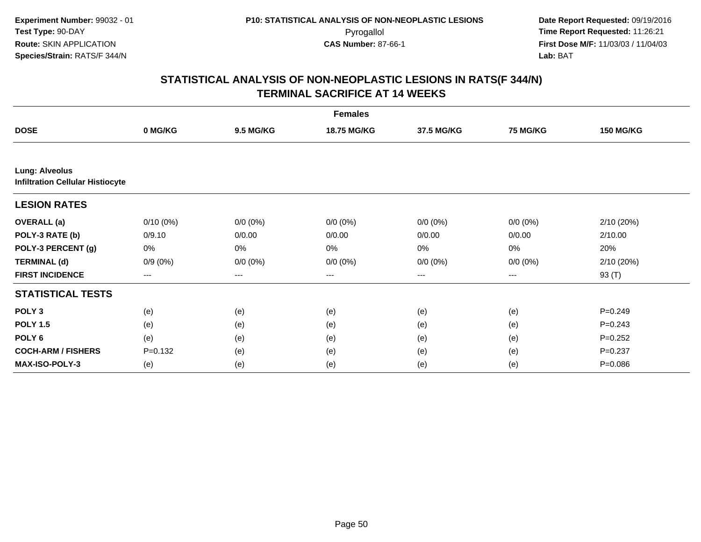| <b>Females</b>                                                   |                   |                  |                   |             |             |                  |  |  |
|------------------------------------------------------------------|-------------------|------------------|-------------------|-------------|-------------|------------------|--|--|
| <b>DOSE</b>                                                      | 0 MG/KG           | <b>9.5 MG/KG</b> | 18.75 MG/KG       | 37.5 MG/KG  | 75 MG/KG    | <b>150 MG/KG</b> |  |  |
|                                                                  |                   |                  |                   |             |             |                  |  |  |
| <b>Lung: Alveolus</b><br><b>Infiltration Cellular Histiocyte</b> |                   |                  |                   |             |             |                  |  |  |
| <b>LESION RATES</b>                                              |                   |                  |                   |             |             |                  |  |  |
| <b>OVERALL</b> (a)                                               | $0/10(0\%)$       | $0/0 (0\%)$      | $0/0 (0\%)$       | $0/0 (0\%)$ | $0/0 (0\%)$ | 2/10 (20%)       |  |  |
| POLY-3 RATE (b)                                                  | 0/9.10            | 0/0.00           | 0/0.00            | 0/0.00      | 0/0.00      | 2/10.00          |  |  |
| POLY-3 PERCENT (g)                                               | 0%                | $0\%$            | 0%                | $0\%$       | 0%          | 20%              |  |  |
| <b>TERMINAL (d)</b>                                              | $0/9(0\%)$        | $0/0 (0\%)$      | $0/0 (0\%)$       | $0/0 (0\%)$ | $0/0 (0\%)$ | 2/10 (20%)       |  |  |
| <b>FIRST INCIDENCE</b>                                           | $\qquad \qquad -$ | $---$            | $\qquad \qquad -$ | $---$       | $\cdots$    | 93 (T)           |  |  |
| <b>STATISTICAL TESTS</b>                                         |                   |                  |                   |             |             |                  |  |  |
| POLY <sub>3</sub>                                                | (e)               | (e)              | (e)               | (e)         | (e)         | $P=0.249$        |  |  |
| <b>POLY 1.5</b>                                                  | (e)               | (e)              | (e)               | (e)         | (e)         | $P = 0.243$      |  |  |
| POLY <sub>6</sub>                                                | (e)               | (e)              | (e)               | (e)         | (e)         | $P=0.252$        |  |  |
| <b>COCH-ARM / FISHERS</b>                                        | $P = 0.132$       | (e)              | (e)               | (e)         | (e)         | $P = 0.237$      |  |  |
| <b>MAX-ISO-POLY-3</b>                                            | (e)               | (e)              | (e)               | (e)         | (e)         | $P = 0.086$      |  |  |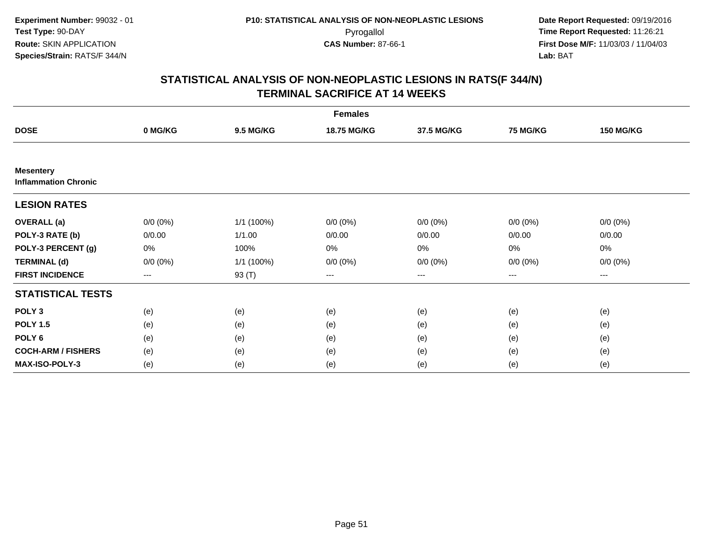| <b>Females</b>                                  |             |                  |             |                   |             |                     |  |  |
|-------------------------------------------------|-------------|------------------|-------------|-------------------|-------------|---------------------|--|--|
| <b>DOSE</b>                                     | 0 MG/KG     | <b>9.5 MG/KG</b> | 18.75 MG/KG | 37.5 MG/KG        | 75 MG/KG    | <b>150 MG/KG</b>    |  |  |
|                                                 |             |                  |             |                   |             |                     |  |  |
| <b>Mesentery</b><br><b>Inflammation Chronic</b> |             |                  |             |                   |             |                     |  |  |
| <b>LESION RATES</b>                             |             |                  |             |                   |             |                     |  |  |
| <b>OVERALL</b> (a)                              | $0/0 (0\%)$ | 1/1 (100%)       | $0/0 (0\%)$ | $0/0 (0\%)$       | $0/0 (0\%)$ | $0/0 (0\%)$         |  |  |
| POLY-3 RATE (b)                                 | 0/0.00      | 1/1.00           | 0/0.00      | 0/0.00            | 0/0.00      | 0/0.00              |  |  |
| POLY-3 PERCENT (g)                              | 0%          | 100%             | 0%          | 0%                | 0%          | 0%                  |  |  |
| <b>TERMINAL (d)</b>                             | $0/0 (0\%)$ | 1/1 (100%)       | $0/0 (0\%)$ | $0/0 (0\%)$       | $0/0 (0\%)$ | $0/0 (0\%)$         |  |  |
| <b>FIRST INCIDENCE</b>                          | $---$       | 93 (T)           | ---         | $\qquad \qquad -$ | ---         | $\qquad \qquad - -$ |  |  |
| <b>STATISTICAL TESTS</b>                        |             |                  |             |                   |             |                     |  |  |
| POLY <sub>3</sub>                               | (e)         | (e)              | (e)         | (e)               | (e)         | (e)                 |  |  |
| <b>POLY 1.5</b>                                 | (e)         | (e)              | (e)         | (e)               | (e)         | (e)                 |  |  |
| POLY <sub>6</sub>                               | (e)         | (e)              | (e)         | (e)               | (e)         | (e)                 |  |  |
| <b>COCH-ARM / FISHERS</b>                       | (e)         | (e)              | (e)         | (e)               | (e)         | (e)                 |  |  |
| MAX-ISO-POLY-3                                  | (e)         | (e)              | (e)         | (e)               | (e)         | (e)                 |  |  |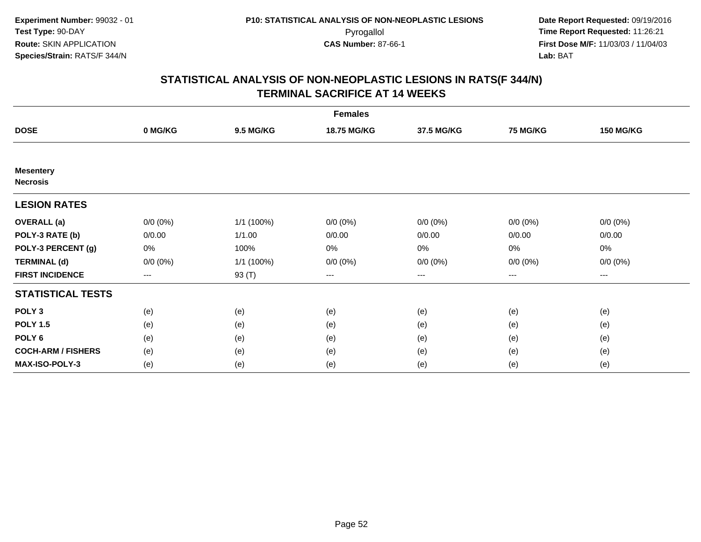| <b>Females</b>                      |             |                  |             |             |                 |                  |  |  |
|-------------------------------------|-------------|------------------|-------------|-------------|-----------------|------------------|--|--|
| <b>DOSE</b>                         | 0 MG/KG     | <b>9.5 MG/KG</b> | 18.75 MG/KG | 37.5 MG/KG  | <b>75 MG/KG</b> | <b>150 MG/KG</b> |  |  |
|                                     |             |                  |             |             |                 |                  |  |  |
| <b>Mesentery</b><br><b>Necrosis</b> |             |                  |             |             |                 |                  |  |  |
| <b>LESION RATES</b>                 |             |                  |             |             |                 |                  |  |  |
| <b>OVERALL</b> (a)                  | $0/0 (0\%)$ | 1/1 (100%)       | $0/0 (0\%)$ | $0/0 (0\%)$ | $0/0 (0\%)$     | $0/0 (0\%)$      |  |  |
| POLY-3 RATE (b)                     | 0/0.00      | 1/1.00           | 0/0.00      | 0/0.00      | 0/0.00          | 0/0.00           |  |  |
| POLY-3 PERCENT (g)                  | 0%          | 100%             | 0%          | $0\%$       | $0\%$           | 0%               |  |  |
| <b>TERMINAL (d)</b>                 | $0/0 (0\%)$ | 1/1 (100%)       | $0/0 (0\%)$ | $0/0 (0\%)$ | $0/0 (0\%)$     | $0/0 (0\%)$      |  |  |
| <b>FIRST INCIDENCE</b>              | $\cdots$    | 93 (T)           | ---         | $\cdots$    | $\cdots$        | $---$            |  |  |
| <b>STATISTICAL TESTS</b>            |             |                  |             |             |                 |                  |  |  |
| POLY <sub>3</sub>                   | (e)         | (e)              | (e)         | (e)         | (e)             | (e)              |  |  |
| <b>POLY 1.5</b>                     | (e)         | (e)              | (e)         | (e)         | (e)             | (e)              |  |  |
| POLY <sub>6</sub>                   | (e)         | (e)              | (e)         | (e)         | (e)             | (e)              |  |  |
| <b>COCH-ARM / FISHERS</b>           | (e)         | (e)              | (e)         | (e)         | (e)             | (e)              |  |  |
| MAX-ISO-POLY-3                      | (e)         | (e)              | (e)         | (e)         | (e)             | (e)              |  |  |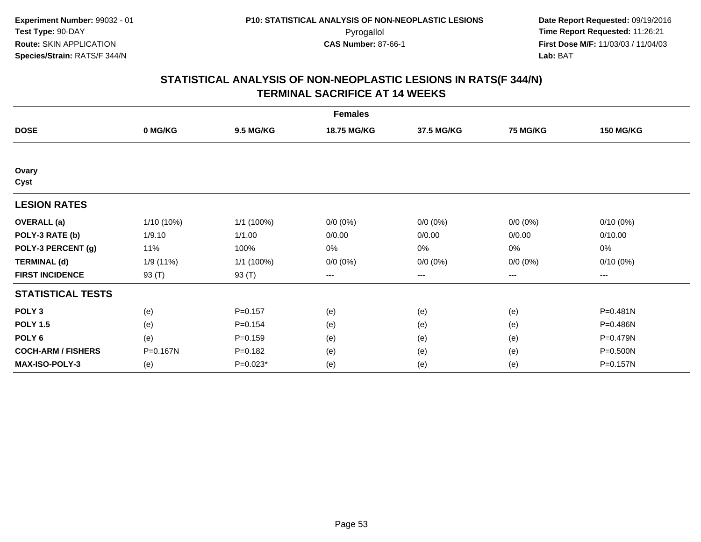|                           | <b>Females</b> |                  |             |                        |                 |                  |  |  |  |
|---------------------------|----------------|------------------|-------------|------------------------|-----------------|------------------|--|--|--|
| <b>DOSE</b>               | 0 MG/KG        | <b>9.5 MG/KG</b> | 18.75 MG/KG | 37.5 MG/KG             | <b>75 MG/KG</b> | <b>150 MG/KG</b> |  |  |  |
|                           |                |                  |             |                        |                 |                  |  |  |  |
| Ovary<br>Cyst             |                |                  |             |                        |                 |                  |  |  |  |
| <b>LESION RATES</b>       |                |                  |             |                        |                 |                  |  |  |  |
| <b>OVERALL</b> (a)        | 1/10 (10%)     | $1/1$ (100%)     | $0/0 (0\%)$ | $0/0 (0\%)$            | $0/0 (0\%)$     | $0/10(0\%)$      |  |  |  |
| POLY-3 RATE (b)           | 1/9.10         | 1/1.00           | 0/0.00      | 0/0.00                 | 0/0.00          | 0/10.00          |  |  |  |
| POLY-3 PERCENT (g)        | 11%            | 100%             | 0%          | 0%                     | $0\%$           | 0%               |  |  |  |
| <b>TERMINAL (d)</b>       | 1/9 (11%)      | 1/1 (100%)       | $0/0 (0\%)$ | $0/0 (0\%)$            | $0/0 (0\%)$     | 0/10(0%)         |  |  |  |
| <b>FIRST INCIDENCE</b>    | 93 (T)         | 93 (T)           | ---         | $\qquad \qquad \cdots$ | ---             | ---              |  |  |  |
| <b>STATISTICAL TESTS</b>  |                |                  |             |                        |                 |                  |  |  |  |
| POLY <sub>3</sub>         | (e)            | $P = 0.157$      | (e)         | (e)                    | (e)             | P=0.481N         |  |  |  |
| <b>POLY 1.5</b>           | (e)            | $P = 0.154$      | (e)         | (e)                    | (e)             | P=0.486N         |  |  |  |
| POLY <sub>6</sub>         | (e)            | $P = 0.159$      | (e)         | (e)                    | (e)             | P=0.479N         |  |  |  |
| <b>COCH-ARM / FISHERS</b> | P=0.167N       | $P = 0.182$      | (e)         | (e)                    | (e)             | P=0.500N         |  |  |  |
| <b>MAX-ISO-POLY-3</b>     | (e)            | P=0.023*         | (e)         | (e)                    | (e)             | P=0.157N         |  |  |  |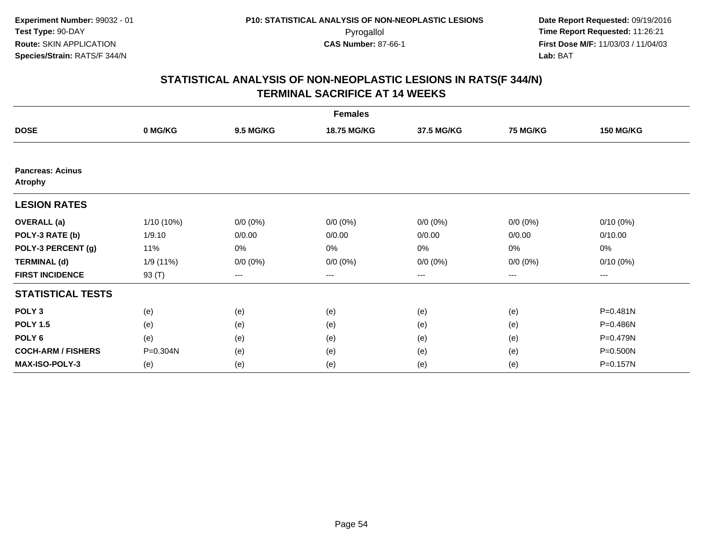|                                           | <b>Females</b> |                  |             |                        |                 |                  |  |  |  |
|-------------------------------------------|----------------|------------------|-------------|------------------------|-----------------|------------------|--|--|--|
| <b>DOSE</b>                               | 0 MG/KG        | <b>9.5 MG/KG</b> | 18.75 MG/KG | 37.5 MG/KG             | <b>75 MG/KG</b> | <b>150 MG/KG</b> |  |  |  |
|                                           |                |                  |             |                        |                 |                  |  |  |  |
| <b>Pancreas: Acinus</b><br><b>Atrophy</b> |                |                  |             |                        |                 |                  |  |  |  |
| <b>LESION RATES</b>                       |                |                  |             |                        |                 |                  |  |  |  |
| <b>OVERALL</b> (a)                        | 1/10 (10%)     | $0/0 (0\%)$      | $0/0 (0\%)$ | $0/0 (0\%)$            | $0/0 (0\%)$     | $0/10(0\%)$      |  |  |  |
| POLY-3 RATE (b)                           | 1/9.10         | 0/0.00           | 0/0.00      | 0/0.00                 | 0/0.00          | 0/10.00          |  |  |  |
| POLY-3 PERCENT (g)                        | 11%            | 0%               | 0%          | 0%                     | $0\%$           | 0%               |  |  |  |
| <b>TERMINAL (d)</b>                       | 1/9 (11%)      | $0/0 (0\%)$      | $0/0 (0\%)$ | $0/0 (0\%)$            | $0/0 (0\%)$     | 0/10(0%)         |  |  |  |
| <b>FIRST INCIDENCE</b>                    | 93 (T)         | ---              | ---         | $\qquad \qquad \cdots$ | ---             | ---              |  |  |  |
| <b>STATISTICAL TESTS</b>                  |                |                  |             |                        |                 |                  |  |  |  |
| POLY <sub>3</sub>                         | (e)            | (e)              | (e)         | (e)                    | (e)             | P=0.481N         |  |  |  |
| <b>POLY 1.5</b>                           | (e)            | (e)              | (e)         | (e)                    | (e)             | P=0.486N         |  |  |  |
| POLY <sub>6</sub>                         | (e)            | (e)              | (e)         | (e)                    | (e)             | P=0.479N         |  |  |  |
| <b>COCH-ARM / FISHERS</b>                 | P=0.304N       | (e)              | (e)         | (e)                    | (e)             | P=0.500N         |  |  |  |
| <b>MAX-ISO-POLY-3</b>                     | (e)            | (e)              | (e)         | (e)                    | (e)             | P=0.157N         |  |  |  |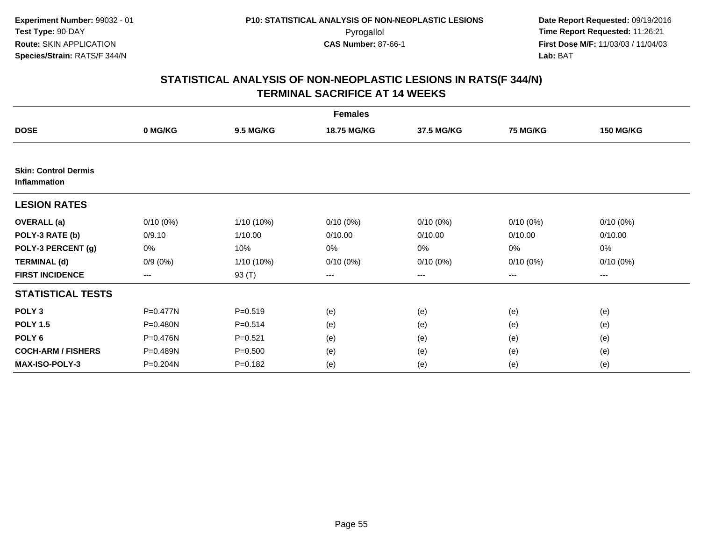|                                             | <b>Females</b> |                  |                    |             |                 |                  |  |  |  |
|---------------------------------------------|----------------|------------------|--------------------|-------------|-----------------|------------------|--|--|--|
| <b>DOSE</b>                                 | 0 MG/KG        | <b>9.5 MG/KG</b> | <b>18.75 MG/KG</b> | 37.5 MG/KG  | <b>75 MG/KG</b> | <b>150 MG/KG</b> |  |  |  |
|                                             |                |                  |                    |             |                 |                  |  |  |  |
| <b>Skin: Control Dermis</b><br>Inflammation |                |                  |                    |             |                 |                  |  |  |  |
| <b>LESION RATES</b>                         |                |                  |                    |             |                 |                  |  |  |  |
| <b>OVERALL</b> (a)                          | $0/10(0\%)$    | 1/10 (10%)       | 0/10(0%)           | $0/10(0\%)$ | $0/10(0\%)$     | $0/10(0\%)$      |  |  |  |
| POLY-3 RATE (b)                             | 0/9.10         | 1/10.00          | 0/10.00            | 0/10.00     | 0/10.00         | 0/10.00          |  |  |  |
| POLY-3 PERCENT (g)                          | 0%             | 10%              | 0%                 | 0%          | 0%              | 0%               |  |  |  |
| <b>TERMINAL (d)</b>                         | $0/9(0\%)$     | 1/10 (10%)       | $0/10(0\%)$        | $0/10(0\%)$ | 0/10(0%)        | $0/10(0\%)$      |  |  |  |
| <b>FIRST INCIDENCE</b>                      | ---            | 93 (T)           | $--$               | ---         | ---             | ---              |  |  |  |
| <b>STATISTICAL TESTS</b>                    |                |                  |                    |             |                 |                  |  |  |  |
| POLY <sub>3</sub>                           | P=0.477N       | $P = 0.519$      | (e)                | (e)         | (e)             | (e)              |  |  |  |
| <b>POLY 1.5</b>                             | $P = 0.480N$   | $P = 0.514$      | (e)                | (e)         | (e)             | (e)              |  |  |  |
| POLY 6                                      | P=0.476N       | $P = 0.521$      | (e)                | (e)         | (e)             | (e)              |  |  |  |
| <b>COCH-ARM / FISHERS</b>                   | P=0.489N       | $P = 0.500$      | (e)                | (e)         | (e)             | (e)              |  |  |  |
| <b>MAX-ISO-POLY-3</b>                       | P=0.204N       | $P = 0.182$      | (e)                | (e)         | (e)             | (e)              |  |  |  |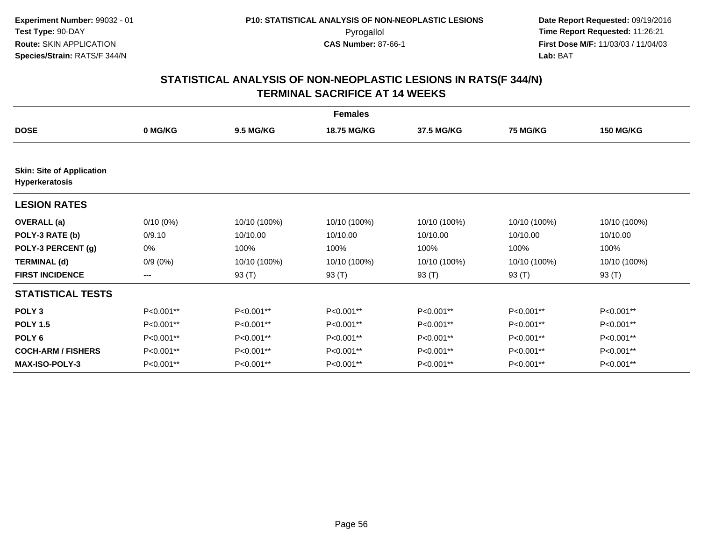|                                                           | <b>Females</b> |                  |                    |              |                 |                  |  |  |  |
|-----------------------------------------------------------|----------------|------------------|--------------------|--------------|-----------------|------------------|--|--|--|
| <b>DOSE</b>                                               | 0 MG/KG        | <b>9.5 MG/KG</b> | <b>18.75 MG/KG</b> | 37.5 MG/KG   | <b>75 MG/KG</b> | <b>150 MG/KG</b> |  |  |  |
| <b>Skin: Site of Application</b><br><b>Hyperkeratosis</b> |                |                  |                    |              |                 |                  |  |  |  |
| <b>LESION RATES</b>                                       |                |                  |                    |              |                 |                  |  |  |  |
| <b>OVERALL</b> (a)                                        | $0/10(0\%)$    | 10/10 (100%)     | 10/10 (100%)       | 10/10 (100%) | 10/10 (100%)    | 10/10 (100%)     |  |  |  |
| POLY-3 RATE (b)                                           | 0/9.10         | 10/10.00         | 10/10.00           | 10/10.00     | 10/10.00        | 10/10.00         |  |  |  |
| POLY-3 PERCENT (g)                                        | 0%             | 100%             | 100%               | 100%         | 100%            | 100%             |  |  |  |
| <b>TERMINAL (d)</b>                                       | $0/9(0\%)$     | 10/10 (100%)     | 10/10 (100%)       | 10/10 (100%) | 10/10 (100%)    | 10/10 (100%)     |  |  |  |
| <b>FIRST INCIDENCE</b>                                    | ---            | 93 (T)           | 93 (T)             | 93 (T)       | 93 (T)          | 93 (T)           |  |  |  |
| <b>STATISTICAL TESTS</b>                                  |                |                  |                    |              |                 |                  |  |  |  |
| POLY <sub>3</sub>                                         | P<0.001**      | P<0.001**        | P<0.001**          | P<0.001**    | P<0.001**       | P<0.001**        |  |  |  |
| <b>POLY 1.5</b>                                           | P<0.001**      | P<0.001**        | P<0.001**          | P<0.001**    | P<0.001**       | P<0.001**        |  |  |  |
| POLY <sub>6</sub>                                         | P<0.001**      | $P<0.001**$      | P<0.001**          | P<0.001**    | P<0.001**       | P<0.001**        |  |  |  |
| <b>COCH-ARM / FISHERS</b>                                 | P<0.001**      | P<0.001**        | P<0.001**          | P<0.001**    | P<0.001**       | P<0.001**        |  |  |  |
| <b>MAX-ISO-POLY-3</b>                                     | P<0.001**      | P<0.001**        | P<0.001**          | P<0.001**    | P<0.001**       | P<0.001**        |  |  |  |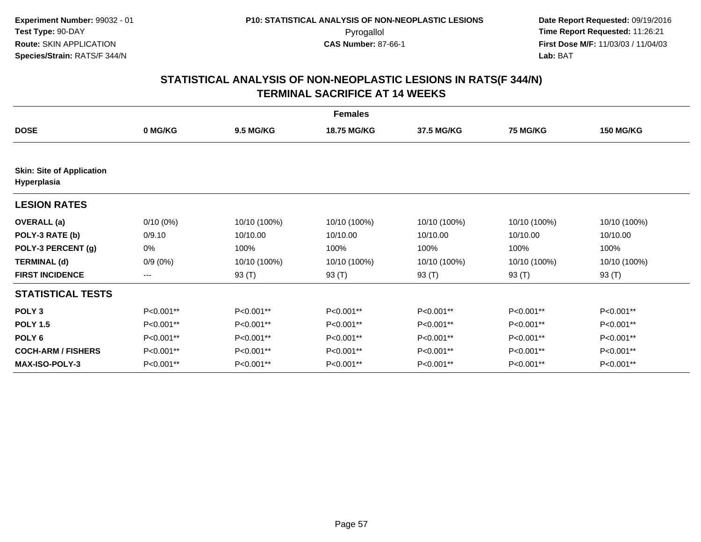|                                                 | <b>Females</b> |                  |              |              |                 |                  |  |  |  |
|-------------------------------------------------|----------------|------------------|--------------|--------------|-----------------|------------------|--|--|--|
| <b>DOSE</b>                                     | 0 MG/KG        | <b>9.5 MG/KG</b> | 18.75 MG/KG  | 37.5 MG/KG   | <b>75 MG/KG</b> | <b>150 MG/KG</b> |  |  |  |
| <b>Skin: Site of Application</b><br>Hyperplasia |                |                  |              |              |                 |                  |  |  |  |
| <b>LESION RATES</b>                             |                |                  |              |              |                 |                  |  |  |  |
| <b>OVERALL</b> (a)                              | $0/10(0\%)$    | 10/10 (100%)     | 10/10 (100%) | 10/10 (100%) | 10/10 (100%)    | 10/10 (100%)     |  |  |  |
| POLY-3 RATE (b)                                 | 0/9.10         | 10/10.00         | 10/10.00     | 10/10.00     | 10/10.00        | 10/10.00         |  |  |  |
| POLY-3 PERCENT (g)                              | 0%             | 100%             | 100%         | 100%         | 100%            | 100%             |  |  |  |
| <b>TERMINAL (d)</b>                             | $0/9(0\%)$     | 10/10 (100%)     | 10/10 (100%) | 10/10 (100%) | 10/10 (100%)    | 10/10 (100%)     |  |  |  |
| <b>FIRST INCIDENCE</b>                          | ---            | 93 (T)           | 93 (T)       | 93 (T)       | 93 (T)          | 93 (T)           |  |  |  |
| <b>STATISTICAL TESTS</b>                        |                |                  |              |              |                 |                  |  |  |  |
| POLY <sub>3</sub>                               | P<0.001**      | P<0.001**        | P<0.001**    | P<0.001**    | P<0.001**       | P<0.001**        |  |  |  |
| <b>POLY 1.5</b>                                 | P<0.001**      | P<0.001**        | P<0.001**    | P<0.001**    | P<0.001**       | P<0.001**        |  |  |  |
| POLY <sub>6</sub>                               | P<0.001**      | $P<0.001**$      | $P<0.001**$  | P<0.001**    | P<0.001**       | $P<0.001**$      |  |  |  |
| <b>COCH-ARM / FISHERS</b>                       | P<0.001**      | P<0.001**        | P<0.001**    | P<0.001**    | P<0.001**       | P<0.001**        |  |  |  |
| <b>MAX-ISO-POLY-3</b>                           | P<0.001**      | P<0.001**        | P<0.001**    | P<0.001**    | P<0.001**       | P<0.001**        |  |  |  |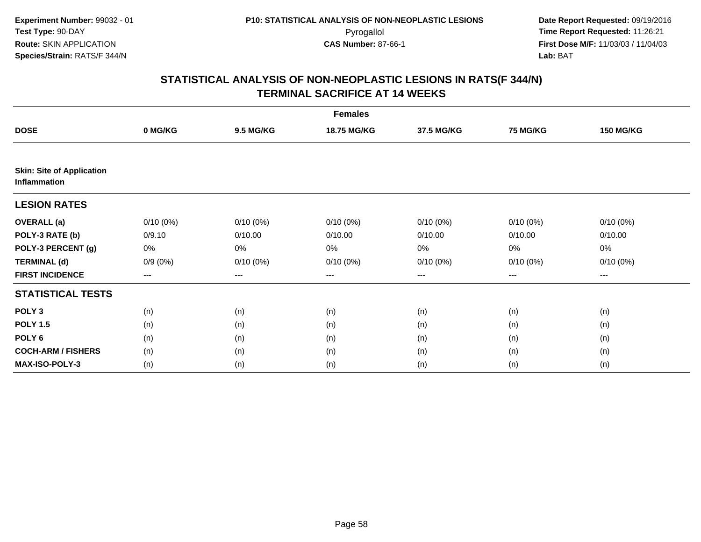|                                                  | <b>Females</b> |                  |                    |             |                 |                  |  |  |  |
|--------------------------------------------------|----------------|------------------|--------------------|-------------|-----------------|------------------|--|--|--|
| <b>DOSE</b>                                      | 0 MG/KG        | <b>9.5 MG/KG</b> | <b>18.75 MG/KG</b> | 37.5 MG/KG  | <b>75 MG/KG</b> | <b>150 MG/KG</b> |  |  |  |
|                                                  |                |                  |                    |             |                 |                  |  |  |  |
| <b>Skin: Site of Application</b><br>Inflammation |                |                  |                    |             |                 |                  |  |  |  |
| <b>LESION RATES</b>                              |                |                  |                    |             |                 |                  |  |  |  |
| <b>OVERALL</b> (a)                               | $0/10(0\%)$    | $0/10(0\%)$      | $0/10(0\%)$        | $0/10(0\%)$ | $0/10(0\%)$     | $0/10(0\%)$      |  |  |  |
| POLY-3 RATE (b)                                  | 0/9.10         | 0/10.00          | 0/10.00            | 0/10.00     | 0/10.00         | 0/10.00          |  |  |  |
| POLY-3 PERCENT (g)                               | 0%             | 0%               | 0%                 | 0%          | 0%              | 0%               |  |  |  |
| <b>TERMINAL (d)</b>                              | $0/9(0\%)$     | $0/10(0\%)$      | $0/10(0\%)$        | $0/10(0\%)$ | $0/10(0\%)$     | $0/10(0\%)$      |  |  |  |
| <b>FIRST INCIDENCE</b>                           | ---            | $---$            | ---                | $---$       | ---             | ---              |  |  |  |
| <b>STATISTICAL TESTS</b>                         |                |                  |                    |             |                 |                  |  |  |  |
| POLY <sub>3</sub>                                | (n)            | (n)              | (n)                | (n)         | (n)             | (n)              |  |  |  |
| <b>POLY 1.5</b>                                  | (n)            | (n)              | (n)                | (n)         | (n)             | (n)              |  |  |  |
| POLY <sub>6</sub>                                | (n)            | (n)              | (n)                | (n)         | (n)             | (n)              |  |  |  |
| <b>COCH-ARM / FISHERS</b>                        | (n)            | (n)              | (n)                | (n)         | (n)             | (n)              |  |  |  |
| MAX-ISO-POLY-3                                   | (n)            | (n)              | (n)                | (n)         | (n)             | (n)              |  |  |  |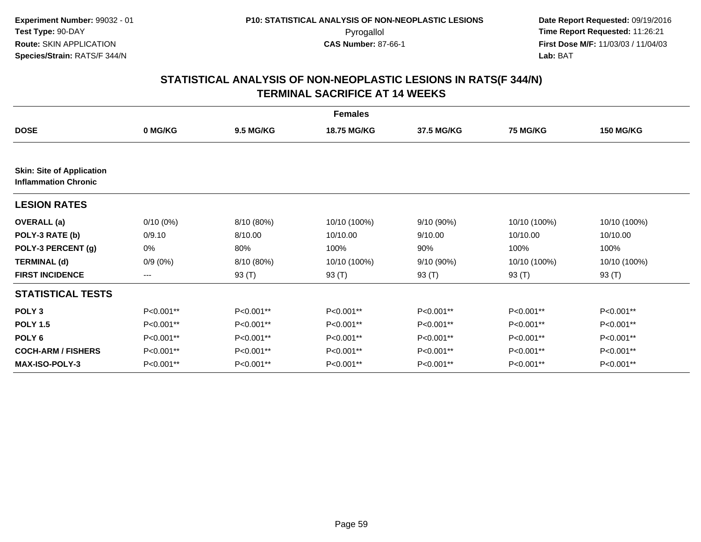|                                                                 | <b>Females</b> |                  |              |              |                 |                  |  |  |  |
|-----------------------------------------------------------------|----------------|------------------|--------------|--------------|-----------------|------------------|--|--|--|
| <b>DOSE</b>                                                     | 0 MG/KG        | <b>9.5 MG/KG</b> | 18.75 MG/KG  | 37.5 MG/KG   | <b>75 MG/KG</b> | <b>150 MG/KG</b> |  |  |  |
| <b>Skin: Site of Application</b><br><b>Inflammation Chronic</b> |                |                  |              |              |                 |                  |  |  |  |
| <b>LESION RATES</b>                                             |                |                  |              |              |                 |                  |  |  |  |
| <b>OVERALL</b> (a)                                              | $0/10(0\%)$    | 8/10 (80%)       | 10/10 (100%) | $9/10(90\%)$ | 10/10 (100%)    | 10/10 (100%)     |  |  |  |
| POLY-3 RATE (b)                                                 | 0/9.10         | 8/10.00          | 10/10.00     | 9/10.00      | 10/10.00        | 10/10.00         |  |  |  |
| POLY-3 PERCENT (g)                                              | 0%             | 80%              | 100%         | 90%          | 100%            | 100%             |  |  |  |
| <b>TERMINAL (d)</b>                                             | $0/9(0\%)$     | 8/10 (80%)       | 10/10 (100%) | $9/10(90\%)$ | 10/10 (100%)    | 10/10 (100%)     |  |  |  |
| <b>FIRST INCIDENCE</b>                                          | ---            | 93 (T)           | 93 (T)       | 93 (T)       | 93 (T)          | 93 (T)           |  |  |  |
| <b>STATISTICAL TESTS</b>                                        |                |                  |              |              |                 |                  |  |  |  |
| POLY <sub>3</sub>                                               | P<0.001**      | P<0.001**        | P<0.001**    | P<0.001**    | P<0.001**       | P<0.001**        |  |  |  |
| <b>POLY 1.5</b>                                                 | P<0.001**      | P<0.001**        | P<0.001**    | P<0.001**    | P<0.001**       | P<0.001**        |  |  |  |
| POLY <sub>6</sub>                                               | P<0.001**      | P<0.001**        | P<0.001**    | P<0.001**    | P<0.001**       | P<0.001**        |  |  |  |
| <b>COCH-ARM / FISHERS</b>                                       | P<0.001**      | P<0.001**        | P<0.001**    | P<0.001**    | P<0.001**       | P<0.001**        |  |  |  |
| <b>MAX-ISO-POLY-3</b>                                           | P<0.001**      | P<0.001**        | P<0.001**    | P<0.001**    | P<0.001**       | P<0.001**        |  |  |  |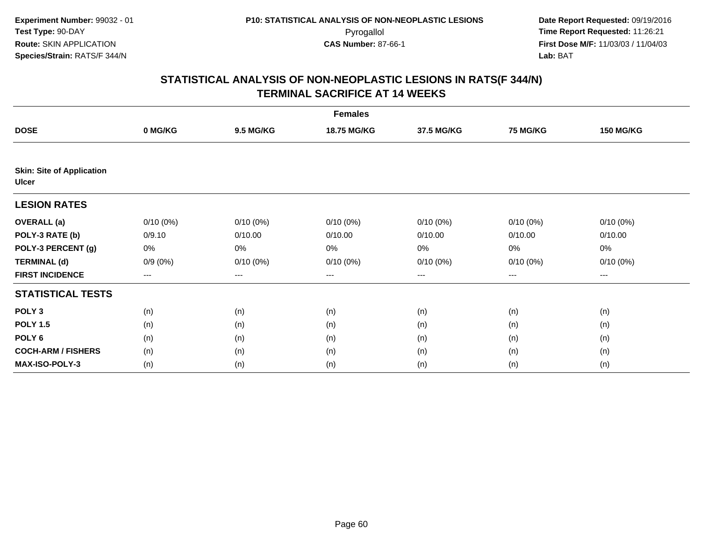| <b>Females</b>                                   |             |                  |             |             |             |                  |  |  |
|--------------------------------------------------|-------------|------------------|-------------|-------------|-------------|------------------|--|--|
| <b>DOSE</b>                                      | 0 MG/KG     | <b>9.5 MG/KG</b> | 18.75 MG/KG | 37.5 MG/KG  | 75 MG/KG    | <b>150 MG/KG</b> |  |  |
|                                                  |             |                  |             |             |             |                  |  |  |
| <b>Skin: Site of Application</b><br><b>Ulcer</b> |             |                  |             |             |             |                  |  |  |
| <b>LESION RATES</b>                              |             |                  |             |             |             |                  |  |  |
| <b>OVERALL</b> (a)                               | $0/10(0\%)$ | $0/10(0\%)$      | $0/10(0\%)$ | $0/10(0\%)$ | $0/10(0\%)$ | $0/10(0\%)$      |  |  |
| POLY-3 RATE (b)                                  | 0/9.10      | 0/10.00          | 0/10.00     | 0/10.00     | 0/10.00     | 0/10.00          |  |  |
| POLY-3 PERCENT (g)                               | 0%          | 0%               | 0%          | 0%          | 0%          | 0%               |  |  |
| <b>TERMINAL (d)</b>                              | $0/9(0\%)$  | $0/10(0\%)$      | 0/10(0%)    | $0/10(0\%)$ | 0/10(0%)    | $0/10(0\%)$      |  |  |
| <b>FIRST INCIDENCE</b>                           | ---         | $---$            | ---         | $\cdots$    | $\cdots$    | ---              |  |  |
| <b>STATISTICAL TESTS</b>                         |             |                  |             |             |             |                  |  |  |
| POLY <sub>3</sub>                                | (n)         | (n)              | (n)         | (n)         | (n)         | (n)              |  |  |
| <b>POLY 1.5</b>                                  | (n)         | (n)              | (n)         | (n)         | (n)         | (n)              |  |  |
| POLY 6                                           | (n)         | (n)              | (n)         | (n)         | (n)         | (n)              |  |  |
| <b>COCH-ARM / FISHERS</b>                        | (n)         | (n)              | (n)         | (n)         | (n)         | (n)              |  |  |
| <b>MAX-ISO-POLY-3</b>                            | (n)         | (n)              | (n)         | (n)         | (n)         | (n)              |  |  |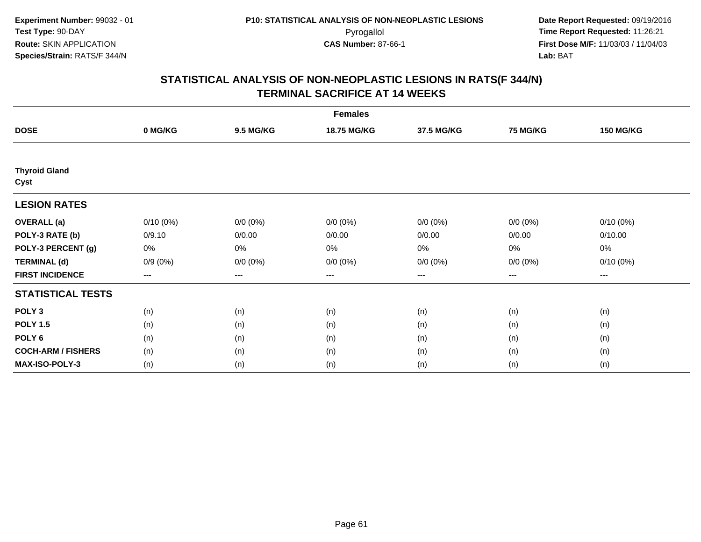|                              | <b>Females</b> |                  |             |             |             |                     |  |  |  |
|------------------------------|----------------|------------------|-------------|-------------|-------------|---------------------|--|--|--|
| <b>DOSE</b>                  | 0 MG/KG        | <b>9.5 MG/KG</b> | 18.75 MG/KG | 37.5 MG/KG  | 75 MG/KG    | <b>150 MG/KG</b>    |  |  |  |
|                              |                |                  |             |             |             |                     |  |  |  |
| <b>Thyroid Gland</b><br>Cyst |                |                  |             |             |             |                     |  |  |  |
| <b>LESION RATES</b>          |                |                  |             |             |             |                     |  |  |  |
| <b>OVERALL</b> (a)           | $0/10(0\%)$    | $0/0 (0\%)$      | $0/0 (0\%)$ | $0/0 (0\%)$ | $0/0 (0\%)$ | $0/10(0\%)$         |  |  |  |
| POLY-3 RATE (b)              | 0/9.10         | 0/0.00           | 0/0.00      | 0/0.00      | 0/0.00      | 0/10.00             |  |  |  |
| POLY-3 PERCENT (g)           | 0%             | 0%               | 0%          | 0%          | $0\%$       | 0%                  |  |  |  |
| <b>TERMINAL (d)</b>          | $0/9(0\%)$     | $0/0 (0\%)$      | $0/0 (0\%)$ | $0/0 (0\%)$ | $0/0 (0\%)$ | $0/10(0\%)$         |  |  |  |
| <b>FIRST INCIDENCE</b>       | $---$          | $---$            | ---         | $\cdots$    | $---$       | $\qquad \qquad - -$ |  |  |  |
| <b>STATISTICAL TESTS</b>     |                |                  |             |             |             |                     |  |  |  |
| POLY <sub>3</sub>            | (n)            | (n)              | (n)         | (n)         | (n)         | (n)                 |  |  |  |
| <b>POLY 1.5</b>              | (n)            | (n)              | (n)         | (n)         | (n)         | (n)                 |  |  |  |
| POLY <sub>6</sub>            | (n)            | (n)              | (n)         | (n)         | (n)         | (n)                 |  |  |  |
| <b>COCH-ARM / FISHERS</b>    | (n)            | (n)              | (n)         | (n)         | (n)         | (n)                 |  |  |  |
| <b>MAX-ISO-POLY-3</b>        | (n)            | (n)              | (n)         | (n)         | (n)         | (n)                 |  |  |  |